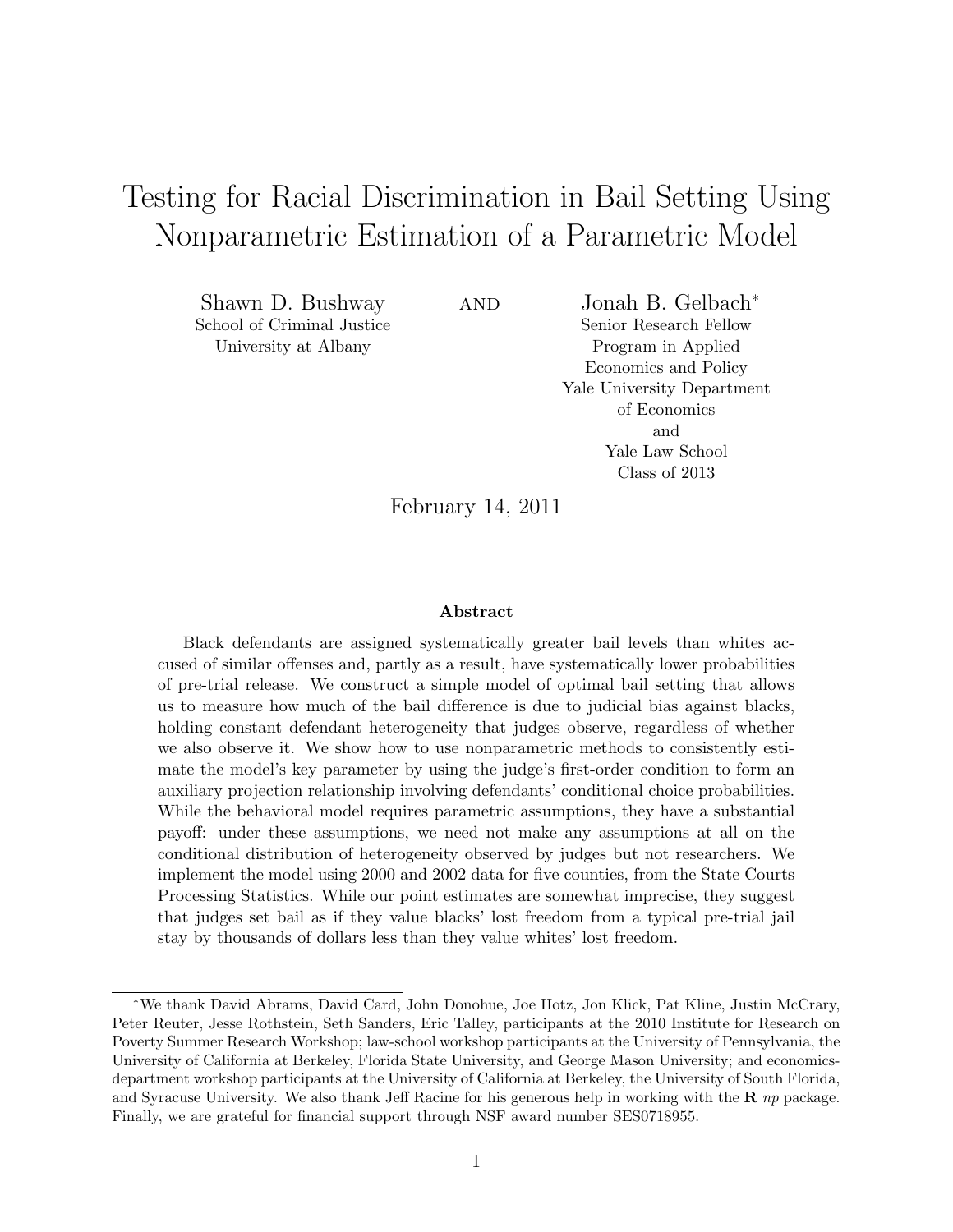# Testing for Racial Discrimination in Bail Setting Using Nonparametric Estimation of a Parametric Model

Shawn D. Bushway School of Criminal Justice University at Albany

and Jonah B. Gelbach<sup>∗</sup> Senior Research Fellow Program in Applied Economics and Policy Yale University Department of Economics and Yale Law School Class of 2013

February 14, 2011

#### Abstract

Black defendants are assigned systematically greater bail levels than whites accused of similar offenses and, partly as a result, have systematically lower probabilities of pre-trial release. We construct a simple model of optimal bail setting that allows us to measure how much of the bail difference is due to judicial bias against blacks, holding constant defendant heterogeneity that judges observe, regardless of whether we also observe it. We show how to use nonparametric methods to consistently estimate the model's key parameter by using the judge's first-order condition to form an auxiliary projection relationship involving defendants' conditional choice probabilities. While the behavioral model requires parametric assumptions, they have a substantial payoff: under these assumptions, we need not make any assumptions at all on the conditional distribution of heterogeneity observed by judges but not researchers. We implement the model using 2000 and 2002 data for five counties, from the State Courts Processing Statistics. While our point estimates are somewhat imprecise, they suggest that judges set bail as if they value blacks' lost freedom from a typical pre-trial jail stay by thousands of dollars less than they value whites' lost freedom.

<sup>∗</sup>We thank David Abrams, David Card, John Donohue, Joe Hotz, Jon Klick, Pat Kline, Justin McCrary, Peter Reuter, Jesse Rothstein, Seth Sanders, Eric Talley, participants at the 2010 Institute for Research on Poverty Summer Research Workshop; law-school workshop participants at the University of Pennsylvania, the University of California at Berkeley, Florida State University, and George Mason University; and economicsdepartment workshop participants at the University of California at Berkeley, the University of South Florida, and Syracuse University. We also thank Jeff Racine for his generous help in working with the  $\bf{R}$  np package. Finally, we are grateful for financial support through NSF award number SES0718955.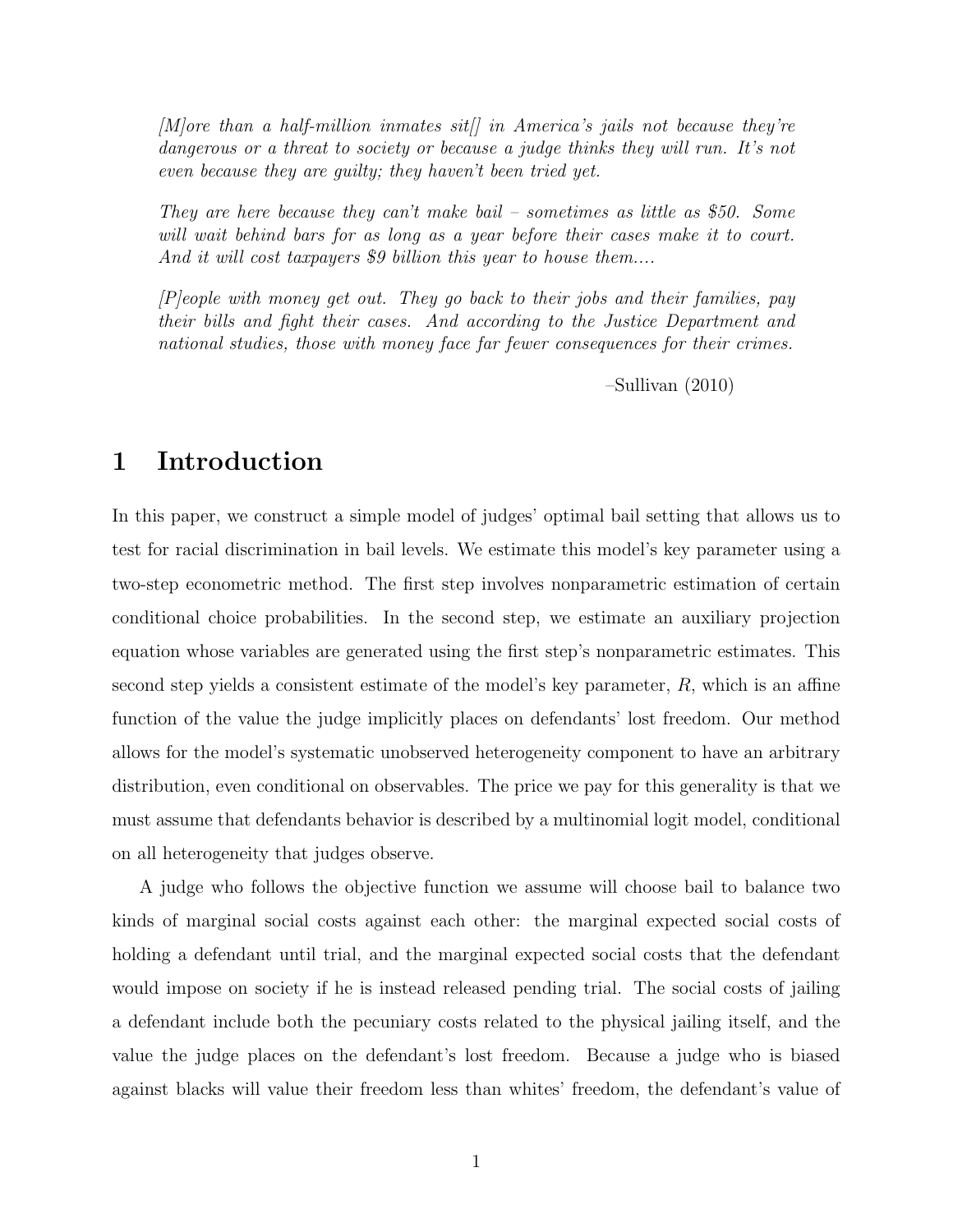$[M]$ ore than a half-million inmates sit $[]$  in America's jails not because they're dangerous or a threat to society or because a judge thinks they will run. It's not even because they are guilty; they haven't been tried yet.

They are here because they can't make bail – sometimes as little as \$50. Some will wait behind bars for as long as a year before their cases make it to court. And it will cost taxpayers \$9 billion this year to house them....

[P]eople with money get out. They go back to their jobs and their families, pay their bills and fight their cases. And according to the Justice Department and national studies, those with money face far fewer consequences for their crimes.

–Sullivan (2010)

### 1 Introduction

In this paper, we construct a simple model of judges' optimal bail setting that allows us to test for racial discrimination in bail levels. We estimate this model's key parameter using a two-step econometric method. The first step involves nonparametric estimation of certain conditional choice probabilities. In the second step, we estimate an auxiliary projection equation whose variables are generated using the first step's nonparametric estimates. This second step yields a consistent estimate of the model's key parameter,  $R$ , which is an affine function of the value the judge implicitly places on defendants' lost freedom. Our method allows for the model's systematic unobserved heterogeneity component to have an arbitrary distribution, even conditional on observables. The price we pay for this generality is that we must assume that defendants behavior is described by a multinomial logit model, conditional on all heterogeneity that judges observe.

A judge who follows the objective function we assume will choose bail to balance two kinds of marginal social costs against each other: the marginal expected social costs of holding a defendant until trial, and the marginal expected social costs that the defendant would impose on society if he is instead released pending trial. The social costs of jailing a defendant include both the pecuniary costs related to the physical jailing itself, and the value the judge places on the defendant's lost freedom. Because a judge who is biased against blacks will value their freedom less than whites' freedom, the defendant's value of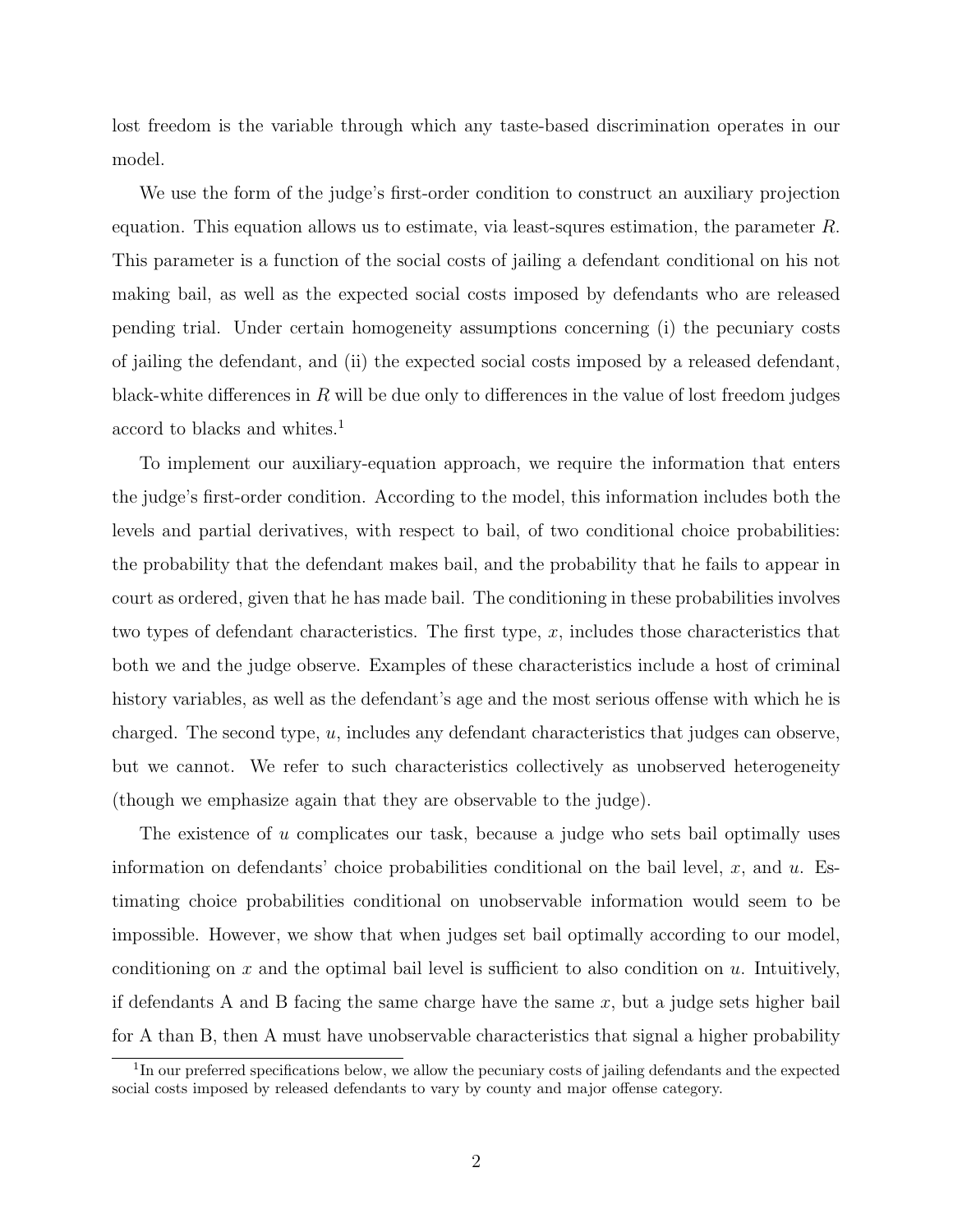lost freedom is the variable through which any taste-based discrimination operates in our model.

We use the form of the judge's first-order condition to construct an auxiliary projection equation. This equation allows us to estimate, via least-squres estimation, the parameter R. This parameter is a function of the social costs of jailing a defendant conditional on his not making bail, as well as the expected social costs imposed by defendants who are released pending trial. Under certain homogeneity assumptions concerning (i) the pecuniary costs of jailing the defendant, and (ii) the expected social costs imposed by a released defendant, black-white differences in  $R$  will be due only to differences in the value of lost freedom judges accord to blacks and whites.<sup>1</sup>

To implement our auxiliary-equation approach, we require the information that enters the judge's first-order condition. According to the model, this information includes both the levels and partial derivatives, with respect to bail, of two conditional choice probabilities: the probability that the defendant makes bail, and the probability that he fails to appear in court as ordered, given that he has made bail. The conditioning in these probabilities involves two types of defendant characteristics. The first type,  $x$ , includes those characteristics that both we and the judge observe. Examples of these characteristics include a host of criminal history variables, as well as the defendant's age and the most serious offense with which he is charged. The second type, u, includes any defendant characteristics that judges can observe, but we cannot. We refer to such characteristics collectively as unobserved heterogeneity (though we emphasize again that they are observable to the judge).

The existence of u complicates our task, because a judge who sets bail optimally uses information on defendants' choice probabilities conditional on the bail level,  $x$ , and  $u$ . Estimating choice probabilities conditional on unobservable information would seem to be impossible. However, we show that when judges set bail optimally according to our model, conditioning on x and the optimal bail level is sufficient to also condition on  $u$ . Intuitively, if defendants A and B facing the same charge have the same  $x$ , but a judge sets higher bail for A than B, then A must have unobservable characteristics that signal a higher probability

<sup>&</sup>lt;sup>1</sup>In our preferred specifications below, we allow the pecuniary costs of jailing defendants and the expected social costs imposed by released defendants to vary by county and major offense category.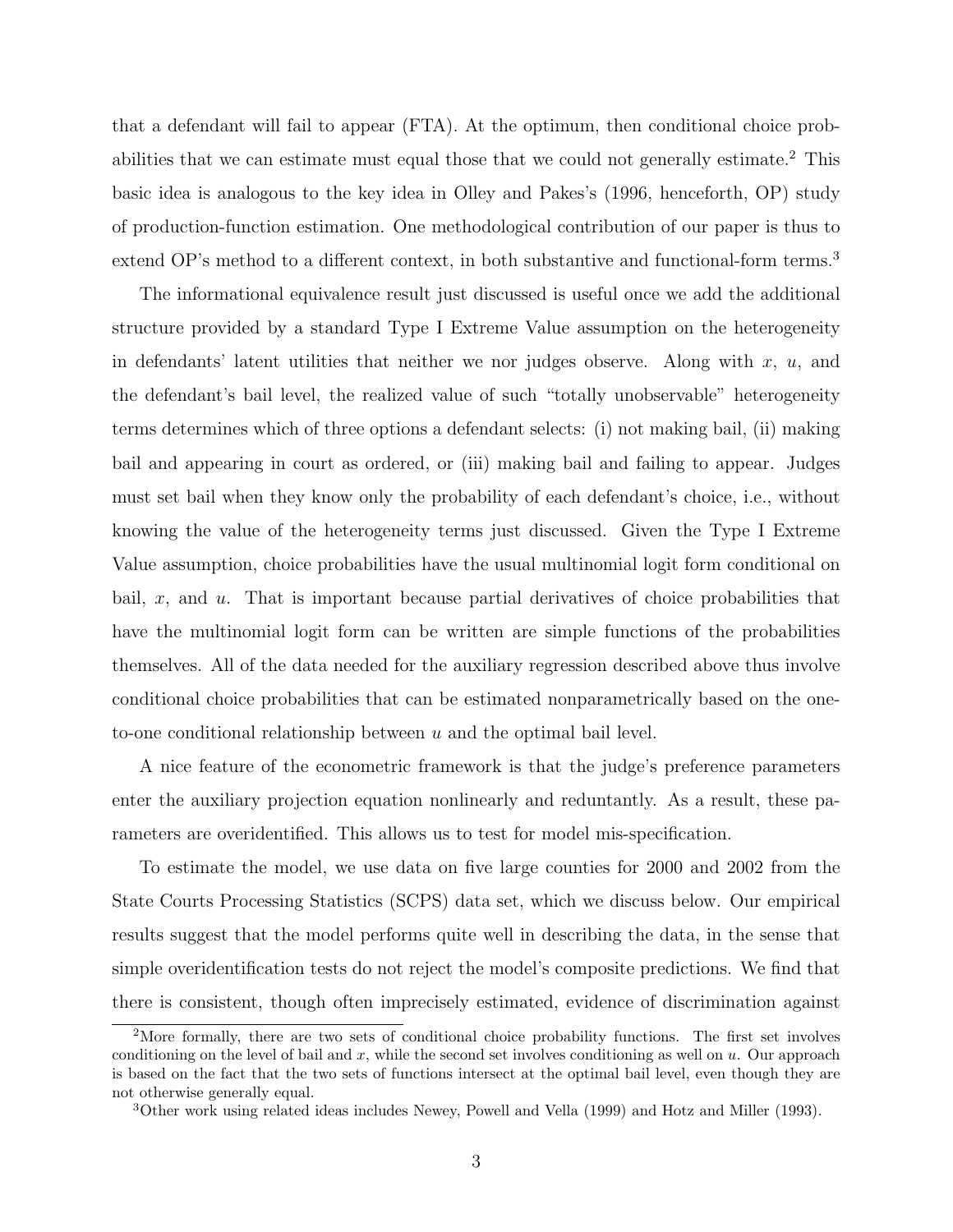that a defendant will fail to appear (FTA). At the optimum, then conditional choice probabilities that we can estimate must equal those that we could not generally estimate.<sup>2</sup> This basic idea is analogous to the key idea in Olley and Pakes's (1996, henceforth, OP) study of production-function estimation. One methodological contribution of our paper is thus to extend OP's method to a different context, in both substantive and functional-form terms.<sup>3</sup>

The informational equivalence result just discussed is useful once we add the additional structure provided by a standard Type I Extreme Value assumption on the heterogeneity in defendants' latent utilities that neither we nor judges observe. Along with x, u, and the defendant's bail level, the realized value of such "totally unobservable" heterogeneity terms determines which of three options a defendant selects: (i) not making bail, (ii) making bail and appearing in court as ordered, or (iii) making bail and failing to appear. Judges must set bail when they know only the probability of each defendant's choice, i.e., without knowing the value of the heterogeneity terms just discussed. Given the Type I Extreme Value assumption, choice probabilities have the usual multinomial logit form conditional on bail, x, and  $u$ . That is important because partial derivatives of choice probabilities that have the multinomial logit form can be written are simple functions of the probabilities themselves. All of the data needed for the auxiliary regression described above thus involve conditional choice probabilities that can be estimated nonparametrically based on the oneto-one conditional relationship between  $u$  and the optimal bail level.

A nice feature of the econometric framework is that the judge's preference parameters enter the auxiliary projection equation nonlinearly and reduntantly. As a result, these parameters are overidentified. This allows us to test for model mis-specification.

To estimate the model, we use data on five large counties for 2000 and 2002 from the State Courts Processing Statistics (SCPS) data set, which we discuss below. Our empirical results suggest that the model performs quite well in describing the data, in the sense that simple overidentification tests do not reject the model's composite predictions. We find that there is consistent, though often imprecisely estimated, evidence of discrimination against

<sup>&</sup>lt;sup>2</sup>More formally, there are two sets of conditional choice probability functions. The first set involves conditioning on the level of bail and x, while the second set involves conditioning as well on  $u$ . Our approach is based on the fact that the two sets of functions intersect at the optimal bail level, even though they are not otherwise generally equal.

<sup>3</sup>Other work using related ideas includes Newey, Powell and Vella (1999) and Hotz and Miller (1993).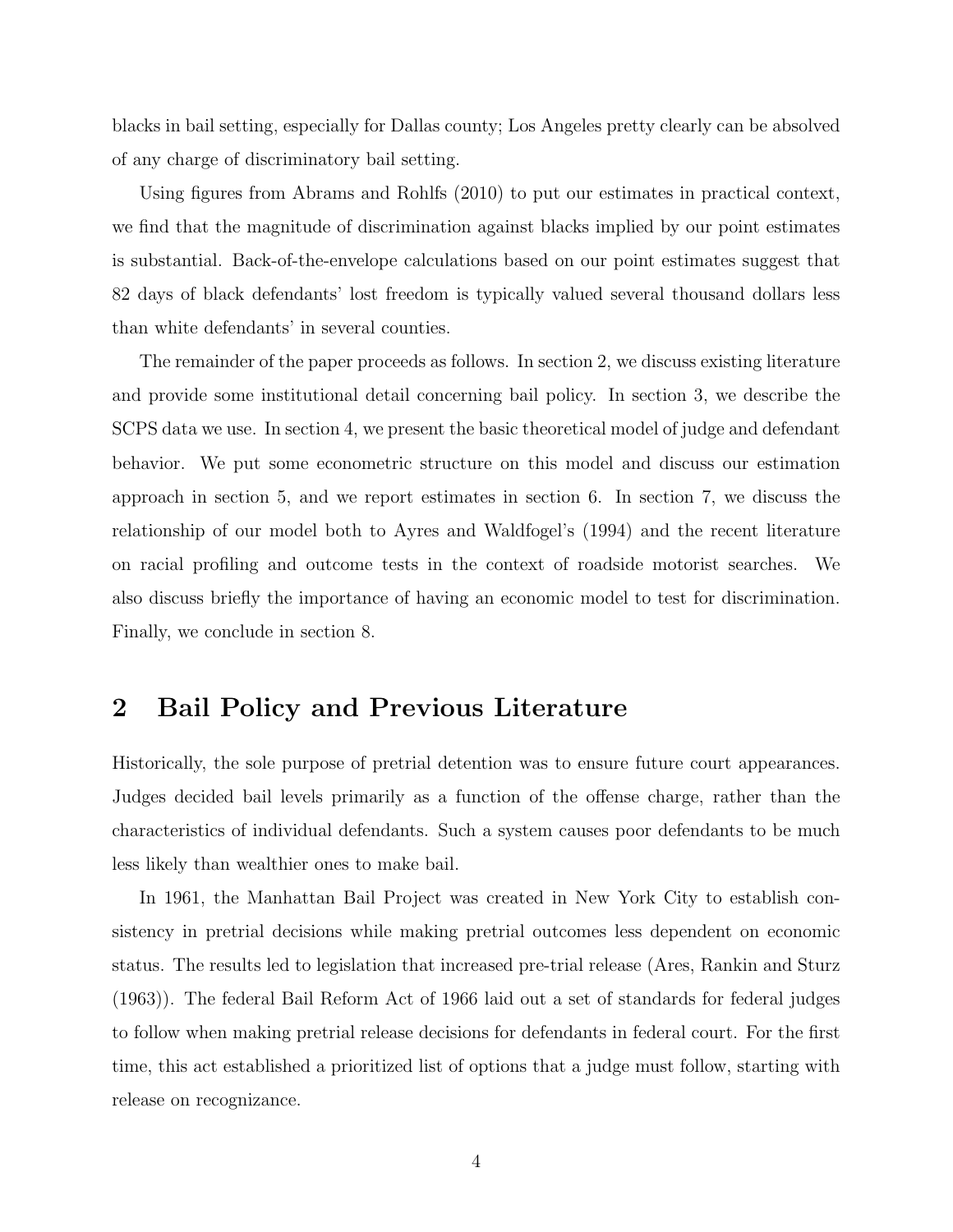blacks in bail setting, especially for Dallas county; Los Angeles pretty clearly can be absolved of any charge of discriminatory bail setting.

Using figures from Abrams and Rohlfs (2010) to put our estimates in practical context, we find that the magnitude of discrimination against blacks implied by our point estimates is substantial. Back-of-the-envelope calculations based on our point estimates suggest that 82 days of black defendants' lost freedom is typically valued several thousand dollars less than white defendants' in several counties.

The remainder of the paper proceeds as follows. In section 2, we discuss existing literature and provide some institutional detail concerning bail policy. In section 3, we describe the SCPS data we use. In section 4, we present the basic theoretical model of judge and defendant behavior. We put some econometric structure on this model and discuss our estimation approach in section 5, and we report estimates in section 6. In section 7, we discuss the relationship of our model both to Ayres and Waldfogel's (1994) and the recent literature on racial profiling and outcome tests in the context of roadside motorist searches. We also discuss briefly the importance of having an economic model to test for discrimination. Finally, we conclude in section 8.

## 2 Bail Policy and Previous Literature

Historically, the sole purpose of pretrial detention was to ensure future court appearances. Judges decided bail levels primarily as a function of the offense charge, rather than the characteristics of individual defendants. Such a system causes poor defendants to be much less likely than wealthier ones to make bail.

In 1961, the Manhattan Bail Project was created in New York City to establish consistency in pretrial decisions while making pretrial outcomes less dependent on economic status. The results led to legislation that increased pre-trial release (Ares, Rankin and Sturz (1963)). The federal Bail Reform Act of 1966 laid out a set of standards for federal judges to follow when making pretrial release decisions for defendants in federal court. For the first time, this act established a prioritized list of options that a judge must follow, starting with release on recognizance.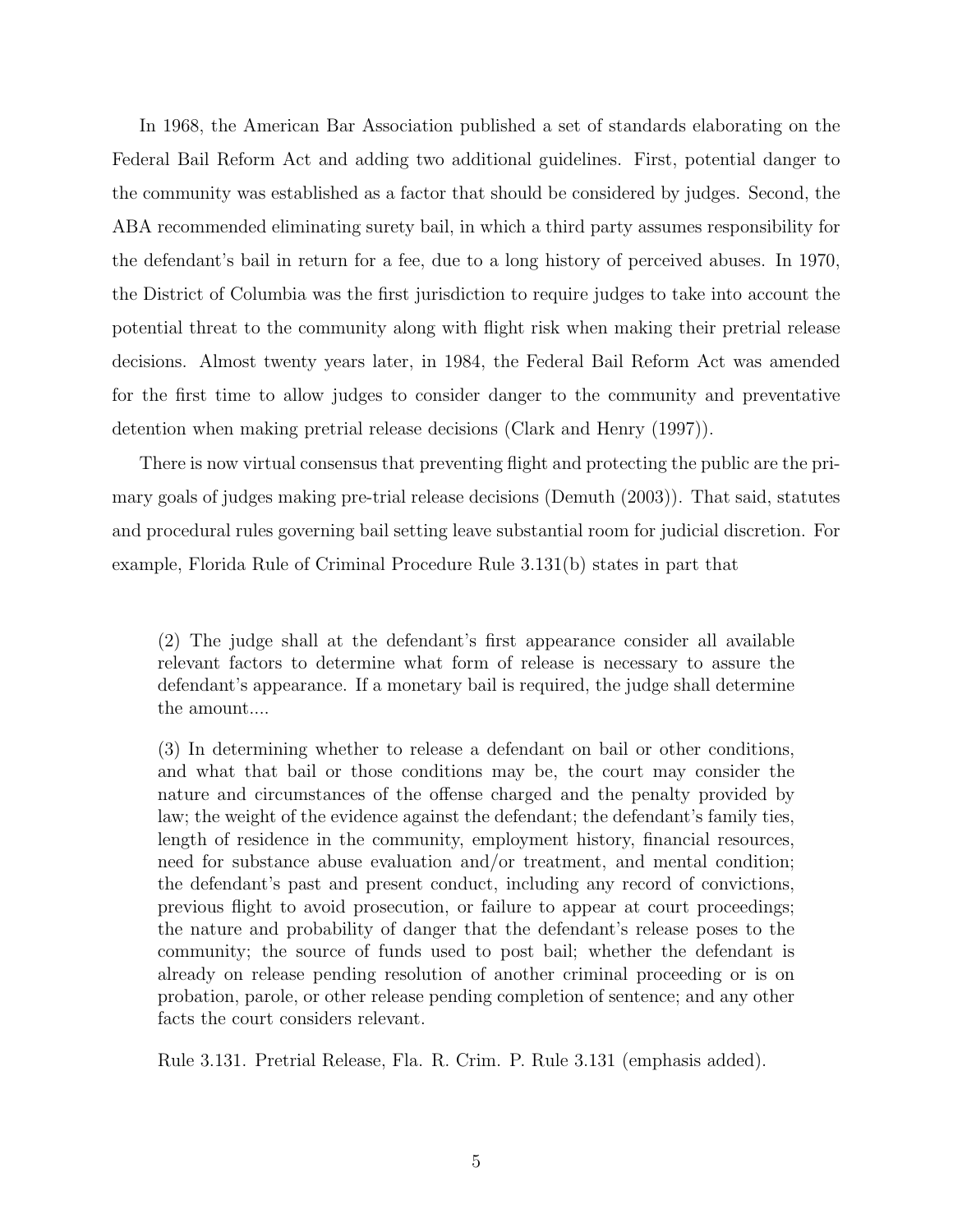In 1968, the American Bar Association published a set of standards elaborating on the Federal Bail Reform Act and adding two additional guidelines. First, potential danger to the community was established as a factor that should be considered by judges. Second, the ABA recommended eliminating surety bail, in which a third party assumes responsibility for the defendant's bail in return for a fee, due to a long history of perceived abuses. In 1970, the District of Columbia was the first jurisdiction to require judges to take into account the potential threat to the community along with flight risk when making their pretrial release decisions. Almost twenty years later, in 1984, the Federal Bail Reform Act was amended for the first time to allow judges to consider danger to the community and preventative detention when making pretrial release decisions (Clark and Henry (1997)).

There is now virtual consensus that preventing flight and protecting the public are the primary goals of judges making pre-trial release decisions (Demuth (2003)). That said, statutes and procedural rules governing bail setting leave substantial room for judicial discretion. For example, Florida Rule of Criminal Procedure Rule 3.131(b) states in part that

(3) In determining whether to release a defendant on bail or other conditions, and what that bail or those conditions may be, the court may consider the nature and circumstances of the offense charged and the penalty provided by law; the weight of the evidence against the defendant; the defendant's family ties, length of residence in the community, employment history, financial resources, need for substance abuse evaluation and/or treatment, and mental condition; the defendant's past and present conduct, including any record of convictions, previous flight to avoid prosecution, or failure to appear at court proceedings; the nature and probability of danger that the defendant's release poses to the community; the source of funds used to post bail; whether the defendant is already on release pending resolution of another criminal proceeding or is on probation, parole, or other release pending completion of sentence; and any other facts the court considers relevant.

Rule 3.131. Pretrial Release, Fla. R. Crim. P. Rule 3.131 (emphasis added).

<sup>(2)</sup> The judge shall at the defendant's first appearance consider all available relevant factors to determine what form of release is necessary to assure the defendant's appearance. If a monetary bail is required, the judge shall determine the amount....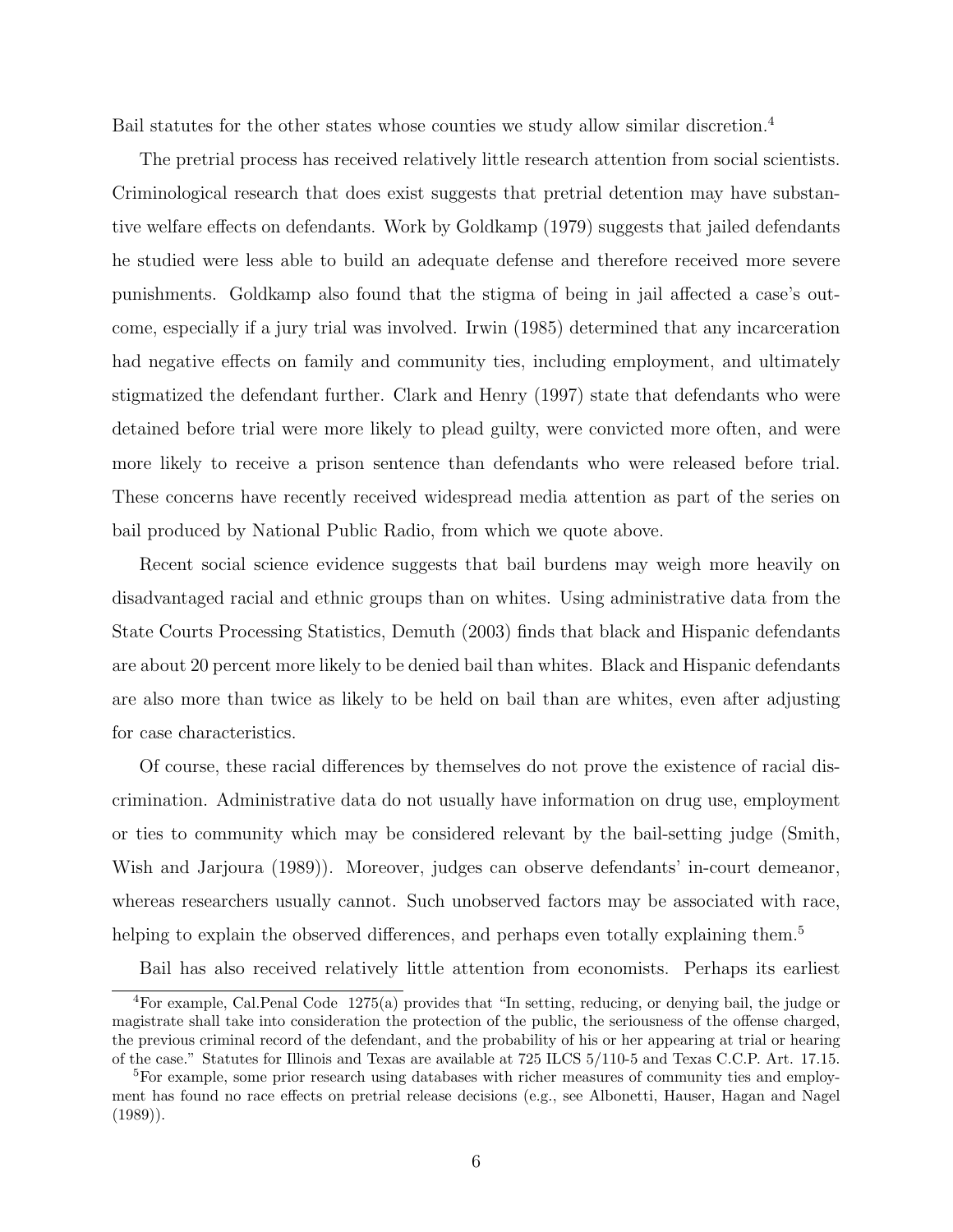Bail statutes for the other states whose counties we study allow similar discretion.<sup>4</sup>

The pretrial process has received relatively little research attention from social scientists. Criminological research that does exist suggests that pretrial detention may have substantive welfare effects on defendants. Work by Goldkamp (1979) suggests that jailed defendants he studied were less able to build an adequate defense and therefore received more severe punishments. Goldkamp also found that the stigma of being in jail affected a case's outcome, especially if a jury trial was involved. Irwin (1985) determined that any incarceration had negative effects on family and community ties, including employment, and ultimately stigmatized the defendant further. Clark and Henry (1997) state that defendants who were detained before trial were more likely to plead guilty, were convicted more often, and were more likely to receive a prison sentence than defendants who were released before trial. These concerns have recently received widespread media attention as part of the series on bail produced by National Public Radio, from which we quote above.

Recent social science evidence suggests that bail burdens may weigh more heavily on disadvantaged racial and ethnic groups than on whites. Using administrative data from the State Courts Processing Statistics, Demuth (2003) finds that black and Hispanic defendants are about 20 percent more likely to be denied bail than whites. Black and Hispanic defendants are also more than twice as likely to be held on bail than are whites, even after adjusting for case characteristics.

Of course, these racial differences by themselves do not prove the existence of racial discrimination. Administrative data do not usually have information on drug use, employment or ties to community which may be considered relevant by the bail-setting judge (Smith, Wish and Jarjoura (1989)). Moreover, judges can observe defendants' in-court demeanor, whereas researchers usually cannot. Such unobserved factors may be associated with race, helping to explain the observed differences, and perhaps even totally explaining them.<sup>5</sup>

Bail has also received relatively little attention from economists. Perhaps its earliest

<sup>&</sup>lt;sup>4</sup>For example, Cal.Penal Code 1275(a) provides that "In setting, reducing, or denying bail, the judge or magistrate shall take into consideration the protection of the public, the seriousness of the offense charged, the previous criminal record of the defendant, and the probability of his or her appearing at trial or hearing of the case." Statutes for Illinois and Texas are available at 725 ILCS 5/110-5 and Texas C.C.P. Art. 17.15.

<sup>&</sup>lt;sup>5</sup>For example, some prior research using databases with richer measures of community ties and employment has found no race effects on pretrial release decisions (e.g., see Albonetti, Hauser, Hagan and Nagel  $(1989)$ .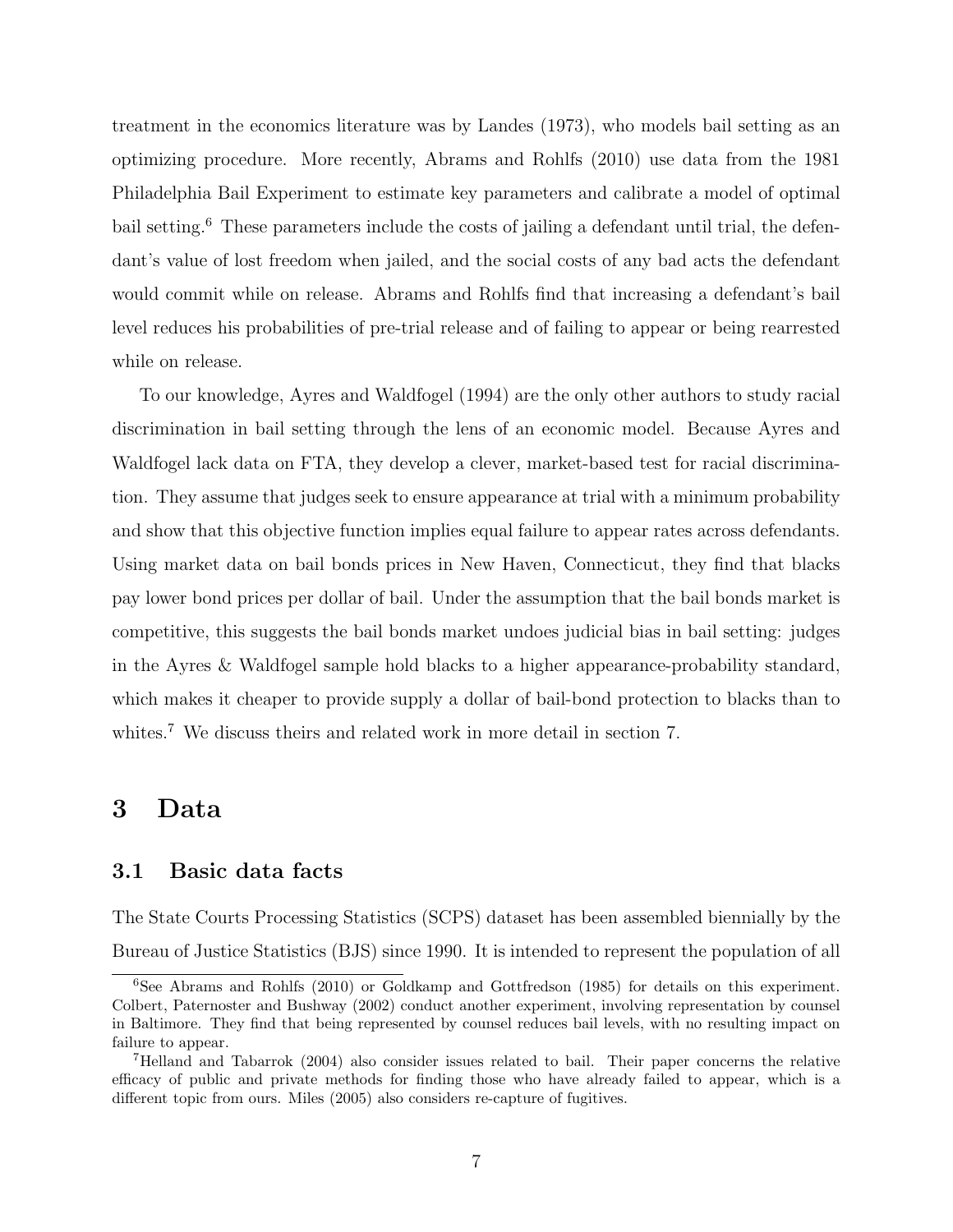treatment in the economics literature was by Landes (1973), who models bail setting as an optimizing procedure. More recently, Abrams and Rohlfs (2010) use data from the 1981 Philadelphia Bail Experiment to estimate key parameters and calibrate a model of optimal bail setting.<sup>6</sup> These parameters include the costs of jailing a defendant until trial, the defendant's value of lost freedom when jailed, and the social costs of any bad acts the defendant would commit while on release. Abrams and Rohlfs find that increasing a defendant's bail level reduces his probabilities of pre-trial release and of failing to appear or being rearrested while on release.

To our knowledge, Ayres and Waldfogel (1994) are the only other authors to study racial discrimination in bail setting through the lens of an economic model. Because Ayres and Waldfogel lack data on FTA, they develop a clever, market-based test for racial discrimination. They assume that judges seek to ensure appearance at trial with a minimum probability and show that this objective function implies equal failure to appear rates across defendants. Using market data on bail bonds prices in New Haven, Connecticut, they find that blacks pay lower bond prices per dollar of bail. Under the assumption that the bail bonds market is competitive, this suggests the bail bonds market undoes judicial bias in bail setting: judges in the Ayres & Waldfogel sample hold blacks to a higher appearance-probability standard, which makes it cheaper to provide supply a dollar of bail-bond protection to blacks than to whites.<sup>7</sup> We discuss theirs and related work in more detail in section 7.

### 3 Data

#### 3.1 Basic data facts

The State Courts Processing Statistics (SCPS) dataset has been assembled biennially by the Bureau of Justice Statistics (BJS) since 1990. It is intended to represent the population of all

<sup>6</sup>See Abrams and Rohlfs (2010) or Goldkamp and Gottfredson (1985) for details on this experiment. Colbert, Paternoster and Bushway (2002) conduct another experiment, involving representation by counsel in Baltimore. They find that being represented by counsel reduces bail levels, with no resulting impact on failure to appear.

<sup>7</sup>Helland and Tabarrok (2004) also consider issues related to bail. Their paper concerns the relative efficacy of public and private methods for finding those who have already failed to appear, which is a different topic from ours. Miles (2005) also considers re-capture of fugitives.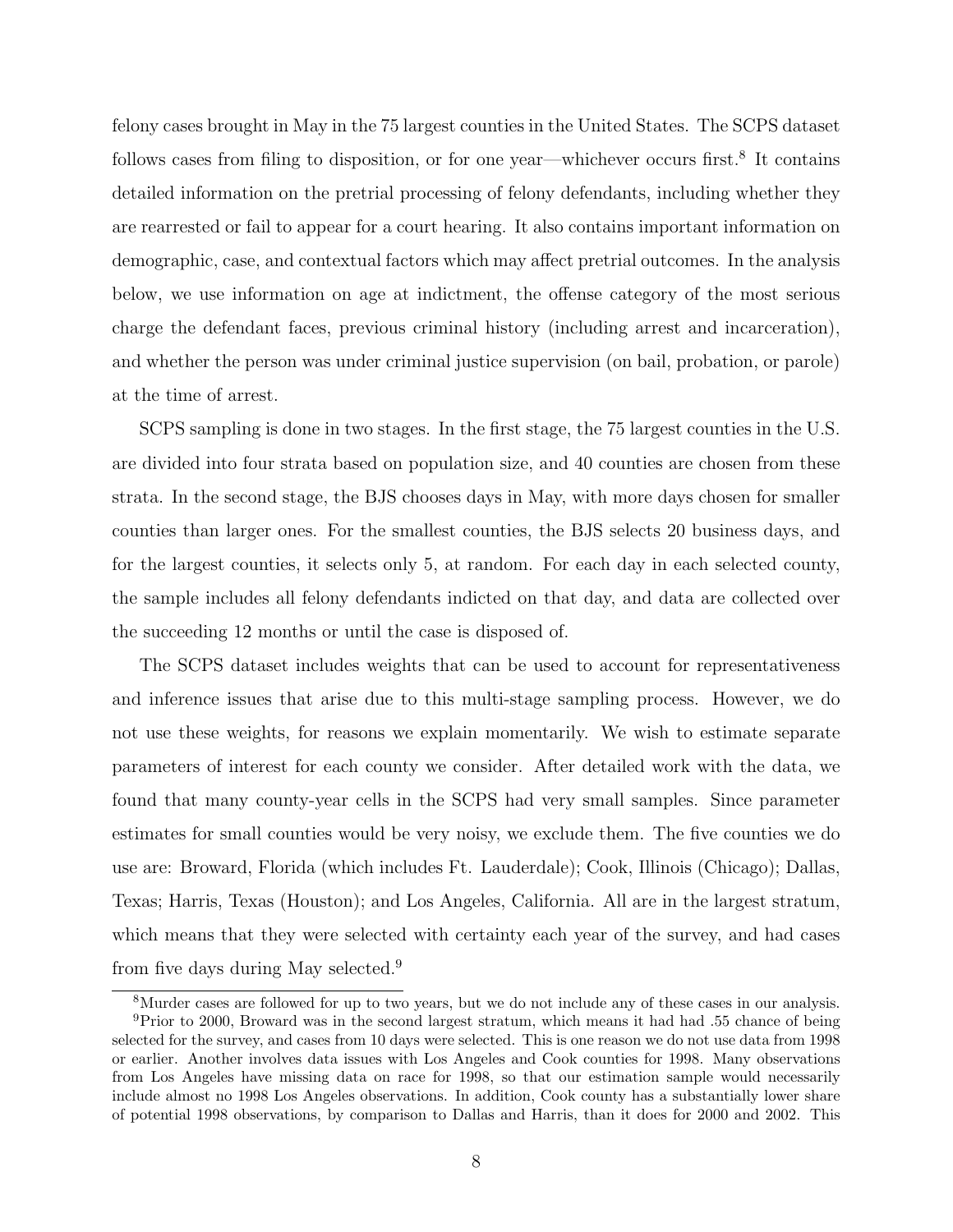felony cases brought in May in the 75 largest counties in the United States. The SCPS dataset follows cases from filing to disposition, or for one year—whichever occurs first.<sup>8</sup> It contains detailed information on the pretrial processing of felony defendants, including whether they are rearrested or fail to appear for a court hearing. It also contains important information on demographic, case, and contextual factors which may affect pretrial outcomes. In the analysis below, we use information on age at indictment, the offense category of the most serious charge the defendant faces, previous criminal history (including arrest and incarceration), and whether the person was under criminal justice supervision (on bail, probation, or parole) at the time of arrest.

SCPS sampling is done in two stages. In the first stage, the 75 largest counties in the U.S. are divided into four strata based on population size, and 40 counties are chosen from these strata. In the second stage, the BJS chooses days in May, with more days chosen for smaller counties than larger ones. For the smallest counties, the BJS selects 20 business days, and for the largest counties, it selects only 5, at random. For each day in each selected county, the sample includes all felony defendants indicted on that day, and data are collected over the succeeding 12 months or until the case is disposed of.

The SCPS dataset includes weights that can be used to account for representativeness and inference issues that arise due to this multi-stage sampling process. However, we do not use these weights, for reasons we explain momentarily. We wish to estimate separate parameters of interest for each county we consider. After detailed work with the data, we found that many county-year cells in the SCPS had very small samples. Since parameter estimates for small counties would be very noisy, we exclude them. The five counties we do use are: Broward, Florida (which includes Ft. Lauderdale); Cook, Illinois (Chicago); Dallas, Texas; Harris, Texas (Houston); and Los Angeles, California. All are in the largest stratum, which means that they were selected with certainty each year of the survey, and had cases from five days during May selected.<sup>9</sup>

<sup>8</sup>Murder cases are followed for up to two years, but we do not include any of these cases in our analysis. <sup>9</sup>Prior to 2000, Broward was in the second largest stratum, which means it had had .55 chance of being selected for the survey, and cases from 10 days were selected. This is one reason we do not use data from 1998 or earlier. Another involves data issues with Los Angeles and Cook counties for 1998. Many observations from Los Angeles have missing data on race for 1998, so that our estimation sample would necessarily include almost no 1998 Los Angeles observations. In addition, Cook county has a substantially lower share of potential 1998 observations, by comparison to Dallas and Harris, than it does for 2000 and 2002. This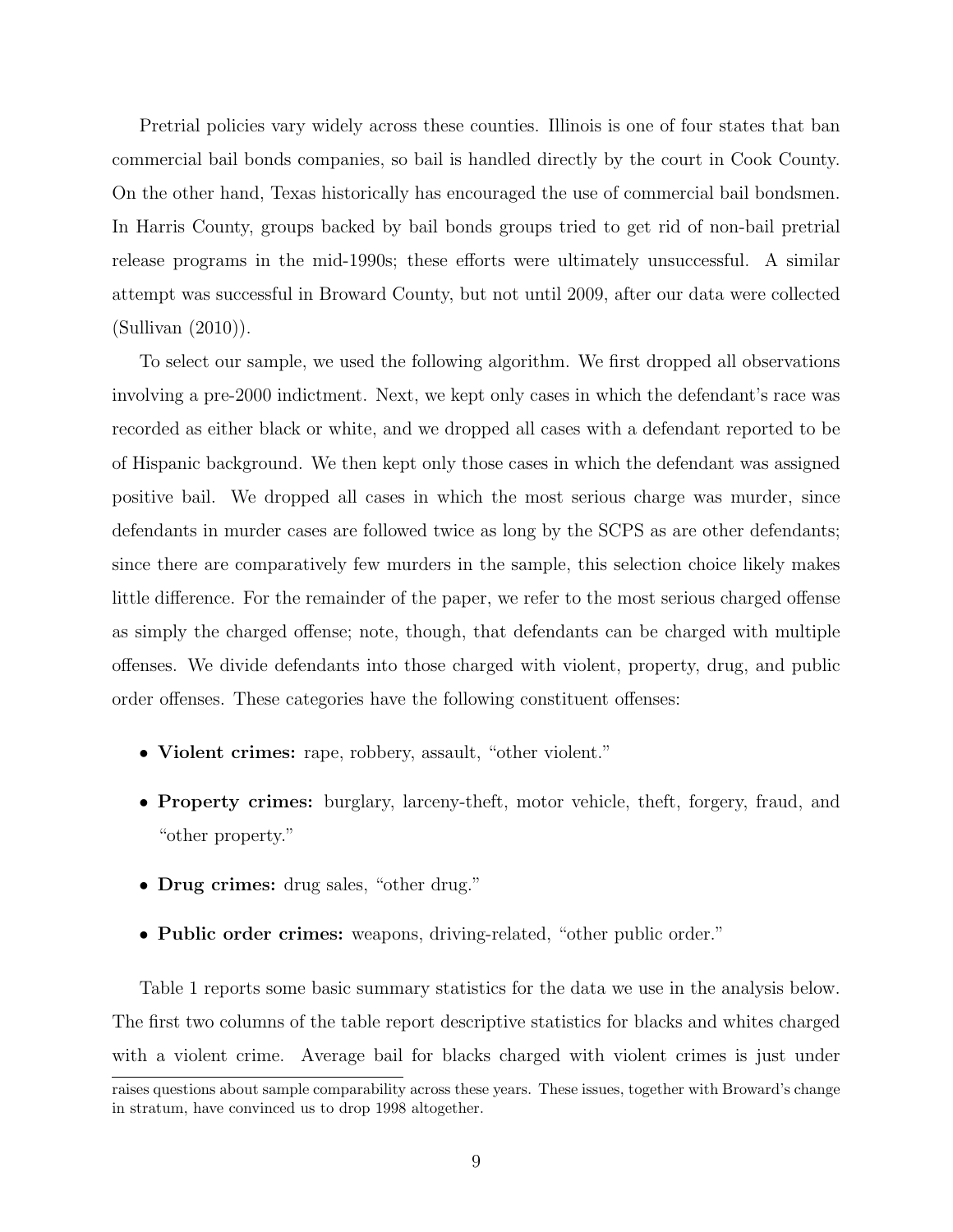Pretrial policies vary widely across these counties. Illinois is one of four states that ban commercial bail bonds companies, so bail is handled directly by the court in Cook County. On the other hand, Texas historically has encouraged the use of commercial bail bondsmen. In Harris County, groups backed by bail bonds groups tried to get rid of non-bail pretrial release programs in the mid-1990s; these efforts were ultimately unsuccessful. A similar attempt was successful in Broward County, but not until 2009, after our data were collected (Sullivan (2010)).

To select our sample, we used the following algorithm. We first dropped all observations involving a pre-2000 indictment. Next, we kept only cases in which the defendant's race was recorded as either black or white, and we dropped all cases with a defendant reported to be of Hispanic background. We then kept only those cases in which the defendant was assigned positive bail. We dropped all cases in which the most serious charge was murder, since defendants in murder cases are followed twice as long by the SCPS as are other defendants; since there are comparatively few murders in the sample, this selection choice likely makes little difference. For the remainder of the paper, we refer to the most serious charged offense as simply the charged offense; note, though, that defendants can be charged with multiple offenses. We divide defendants into those charged with violent, property, drug, and public order offenses. These categories have the following constituent offenses:

- Violent crimes: rape, robbery, assault, "other violent."
- Property crimes: burglary, larceny-theft, motor vehicle, theft, forgery, fraud, and "other property."
- Drug crimes: drug sales, "other drug."
- Public order crimes: weapons, driving-related, "other public order."

Table 1 reports some basic summary statistics for the data we use in the analysis below. The first two columns of the table report descriptive statistics for blacks and whites charged with a violent crime. Average bail for blacks charged with violent crimes is just under

raises questions about sample comparability across these years. These issues, together with Broward's change in stratum, have convinced us to drop 1998 altogether.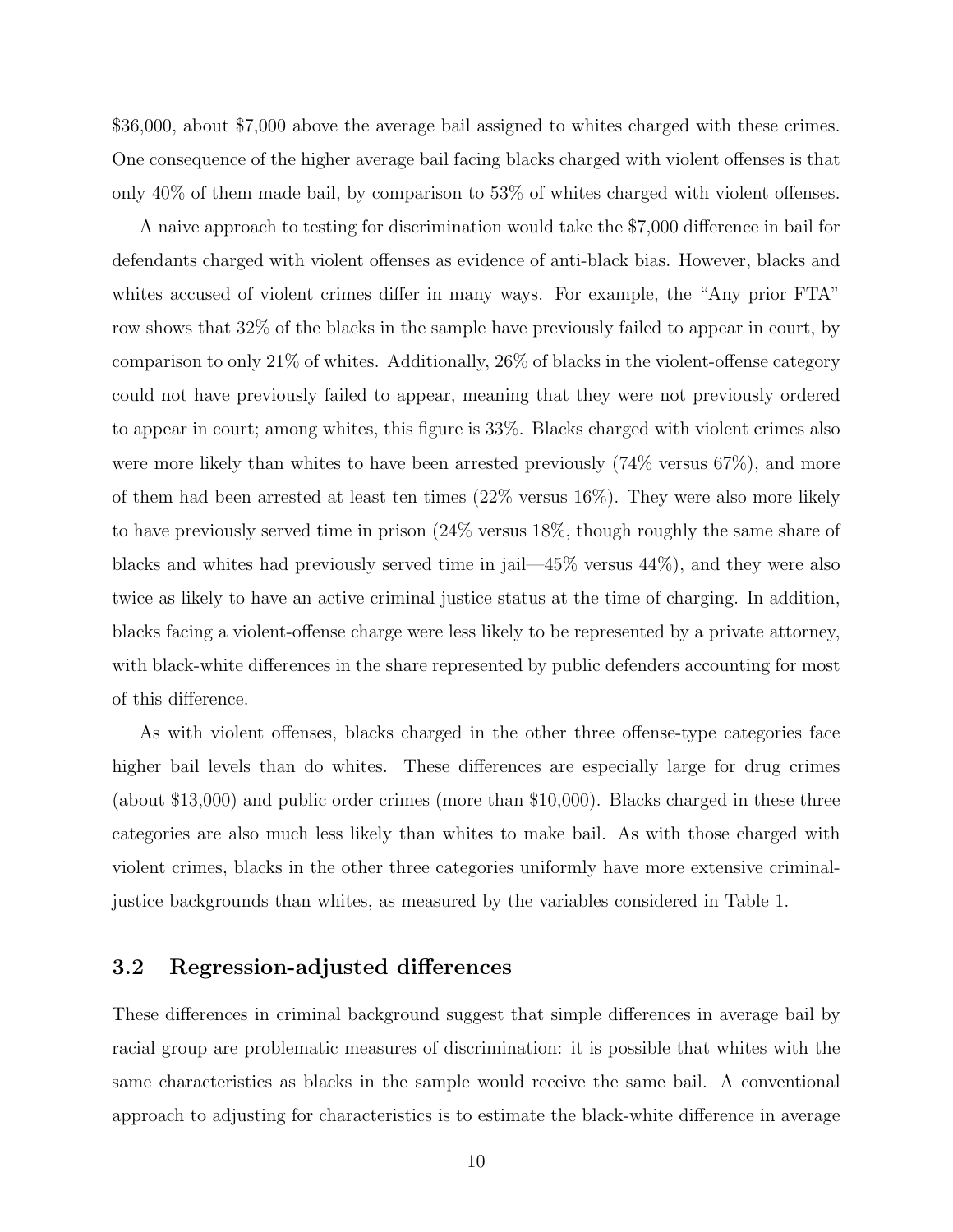\$36,000, about \$7,000 above the average bail assigned to whites charged with these crimes. One consequence of the higher average bail facing blacks charged with violent offenses is that only 40% of them made bail, by comparison to 53% of whites charged with violent offenses.

A naive approach to testing for discrimination would take the \$7,000 difference in bail for defendants charged with violent offenses as evidence of anti-black bias. However, blacks and whites accused of violent crimes differ in many ways. For example, the "Any prior FTA" row shows that 32% of the blacks in the sample have previously failed to appear in court, by comparison to only 21% of whites. Additionally, 26% of blacks in the violent-offense category could not have previously failed to appear, meaning that they were not previously ordered to appear in court; among whites, this figure is 33%. Blacks charged with violent crimes also were more likely than whites to have been arrested previously  $(74\% \text{ versus } 67\%)$ , and more of them had been arrested at least ten times (22% versus 16%). They were also more likely to have previously served time in prison (24% versus 18%, though roughly the same share of blacks and whites had previously served time in jail—45% versus 44%), and they were also twice as likely to have an active criminal justice status at the time of charging. In addition, blacks facing a violent-offense charge were less likely to be represented by a private attorney, with black-white differences in the share represented by public defenders accounting for most of this difference.

As with violent offenses, blacks charged in the other three offense-type categories face higher bail levels than do whites. These differences are especially large for drug crimes (about \$13,000) and public order crimes (more than \$10,000). Blacks charged in these three categories are also much less likely than whites to make bail. As with those charged with violent crimes, blacks in the other three categories uniformly have more extensive criminaljustice backgrounds than whites, as measured by the variables considered in Table 1.

#### 3.2 Regression-adjusted differences

These differences in criminal background suggest that simple differences in average bail by racial group are problematic measures of discrimination: it is possible that whites with the same characteristics as blacks in the sample would receive the same bail. A conventional approach to adjusting for characteristics is to estimate the black-white difference in average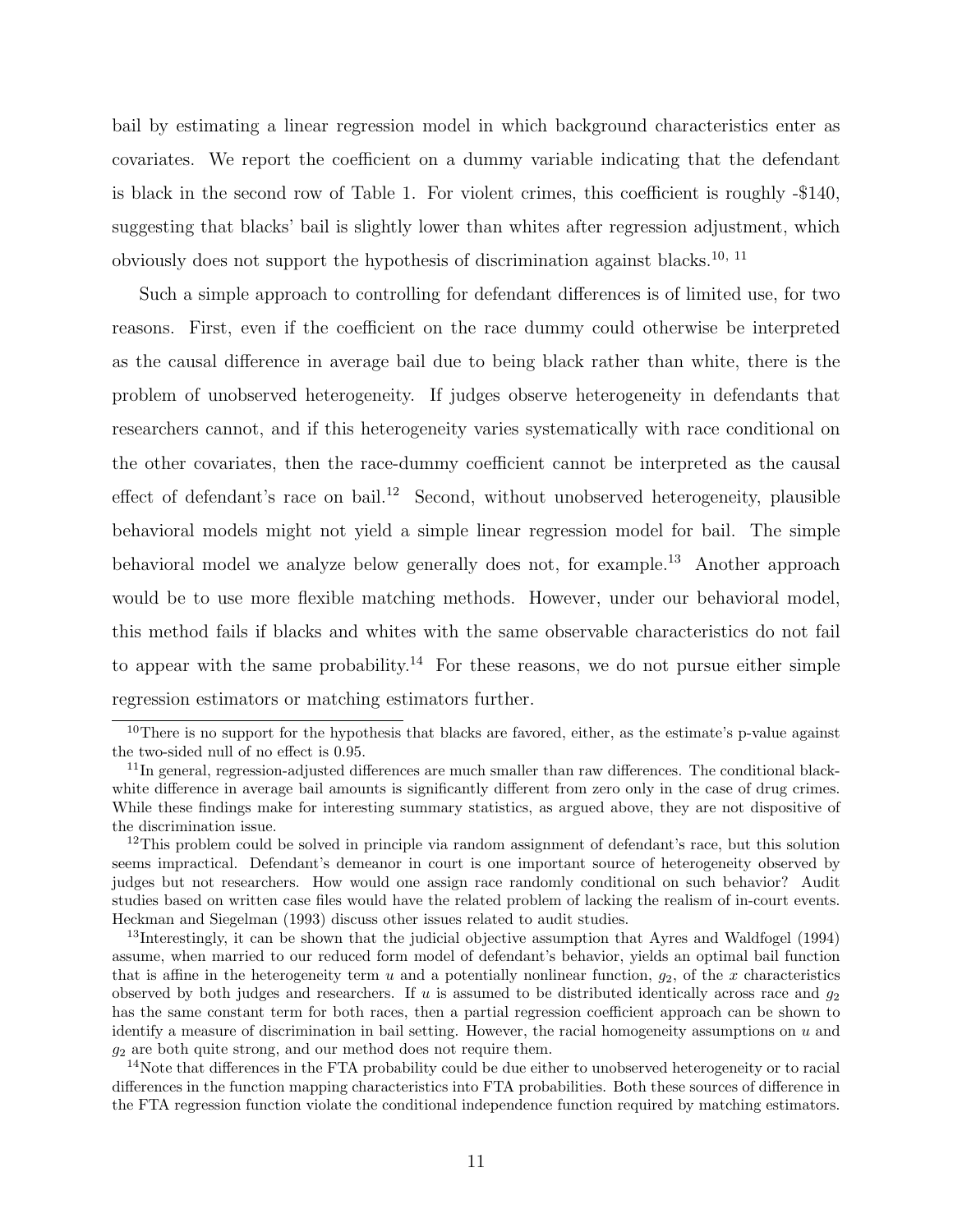bail by estimating a linear regression model in which background characteristics enter as covariates. We report the coefficient on a dummy variable indicating that the defendant is black in the second row of Table 1. For violent crimes, this coefficient is roughly -\$140, suggesting that blacks' bail is slightly lower than whites after regression adjustment, which obviously does not support the hypothesis of discrimination against blacks.10, 11

Such a simple approach to controlling for defendant differences is of limited use, for two reasons. First, even if the coefficient on the race dummy could otherwise be interpreted as the causal difference in average bail due to being black rather than white, there is the problem of unobserved heterogeneity. If judges observe heterogeneity in defendants that researchers cannot, and if this heterogeneity varies systematically with race conditional on the other covariates, then the race-dummy coefficient cannot be interpreted as the causal effect of defendant's race on bail.<sup>12</sup> Second, without unobserved heterogeneity, plausible behavioral models might not yield a simple linear regression model for bail. The simple behavioral model we analyze below generally does not, for example.<sup>13</sup> Another approach would be to use more flexible matching methods. However, under our behavioral model, this method fails if blacks and whites with the same observable characteristics do not fail to appear with the same probability.<sup>14</sup> For these reasons, we do not pursue either simple regression estimators or matching estimators further.

 $10$ There is no support for the hypothesis that blacks are favored, either, as the estimate's p-value against the two-sided null of no effect is 0.95.

<sup>&</sup>lt;sup>11</sup>In general, regression-adjusted differences are much smaller than raw differences. The conditional blackwhite difference in average bail amounts is significantly different from zero only in the case of drug crimes. While these findings make for interesting summary statistics, as argued above, they are not dispositive of the discrimination issue.

 $12$ This problem could be solved in principle via random assignment of defendant's race, but this solution seems impractical. Defendant's demeanor in court is one important source of heterogeneity observed by judges but not researchers. How would one assign race randomly conditional on such behavior? Audit studies based on written case files would have the related problem of lacking the realism of in-court events. Heckman and Siegelman (1993) discuss other issues related to audit studies.

<sup>13</sup>Interestingly, it can be shown that the judicial objective assumption that Ayres and Waldfogel (1994) assume, when married to our reduced form model of defendant's behavior, yields an optimal bail function that is affine in the heterogeneity term  $u$  and a potentially nonlinear function,  $g_2$ , of the x characteristics observed by both judges and researchers. If u is assumed to be distributed identically across race and  $g_2$ has the same constant term for both races, then a partial regression coefficient approach can be shown to identify a measure of discrimination in bail setting. However, the racial homogeneity assumptions on u and  $g_2$  are both quite strong, and our method does not require them.

<sup>&</sup>lt;sup>14</sup>Note that differences in the FTA probability could be due either to unobserved heterogeneity or to racial differences in the function mapping characteristics into FTA probabilities. Both these sources of difference in the FTA regression function violate the conditional independence function required by matching estimators.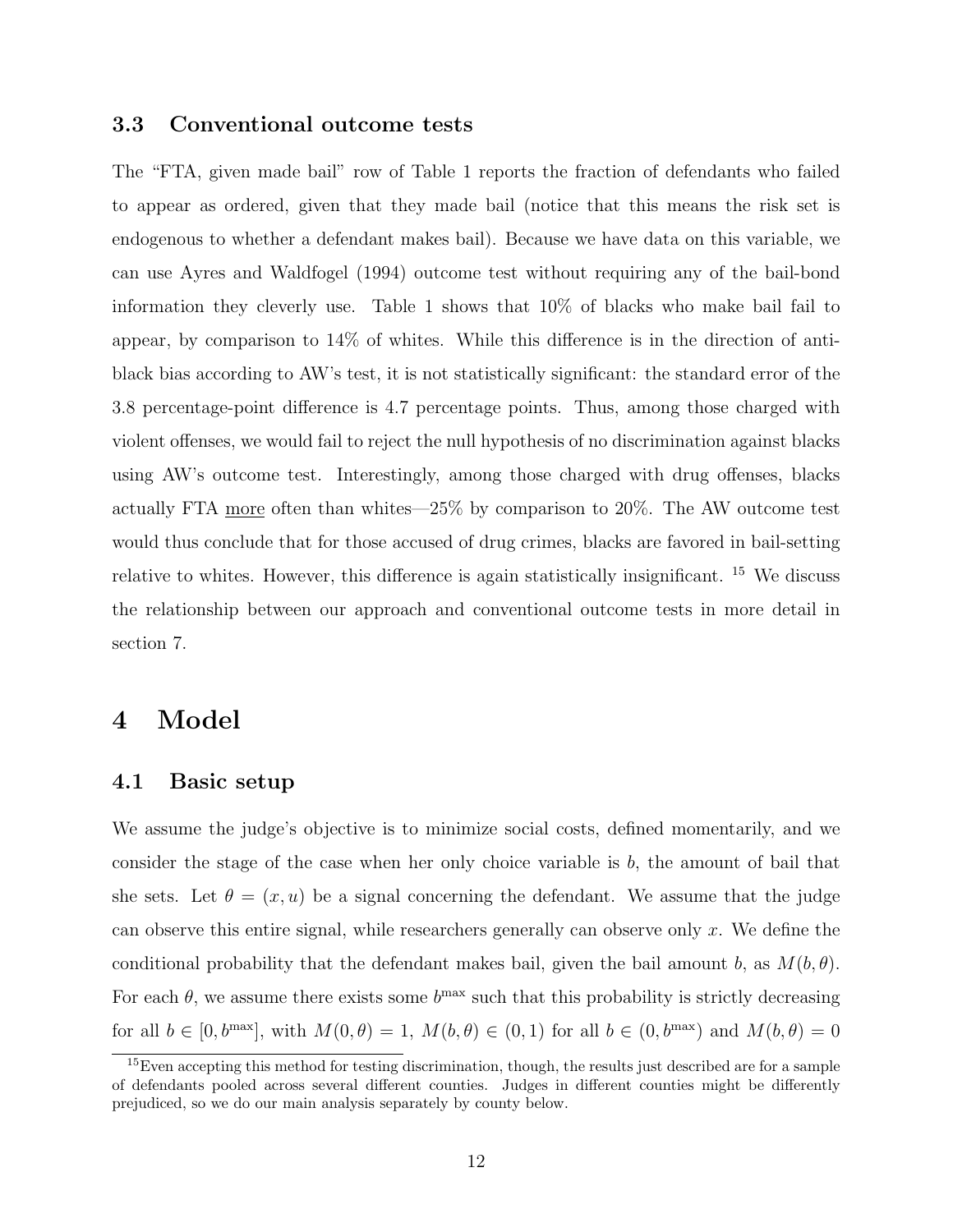#### 3.3 Conventional outcome tests

The "FTA, given made bail" row of Table 1 reports the fraction of defendants who failed to appear as ordered, given that they made bail (notice that this means the risk set is endogenous to whether a defendant makes bail). Because we have data on this variable, we can use Ayres and Waldfogel (1994) outcome test without requiring any of the bail-bond information they cleverly use. Table 1 shows that 10% of blacks who make bail fail to appear, by comparison to 14% of whites. While this difference is in the direction of antiblack bias according to AW's test, it is not statistically significant: the standard error of the 3.8 percentage-point difference is 4.7 percentage points. Thus, among those charged with violent offenses, we would fail to reject the null hypothesis of no discrimination against blacks using AW's outcome test. Interestingly, among those charged with drug offenses, blacks actually FTA more often than whites—25% by comparison to 20%. The AW outcome test would thus conclude that for those accused of drug crimes, blacks are favored in bail-setting relative to whites. However, this difference is again statistically insignificant. <sup>15</sup> We discuss the relationship between our approach and conventional outcome tests in more detail in section 7.

### 4 Model

#### 4.1 Basic setup

We assume the judge's objective is to minimize social costs, defined momentarily, and we consider the stage of the case when her only choice variable is  $b$ , the amount of bail that she sets. Let  $\theta = (x, u)$  be a signal concerning the defendant. We assume that the judge can observe this entire signal, while researchers generally can observe only x. We define the conditional probability that the defendant makes bail, given the bail amount b, as  $M(b, \theta)$ . For each  $\theta$ , we assume there exists some  $b^{\text{max}}$  such that this probability is strictly decreasing for all  $b \in [0, b^{\max}]$ , with  $M(0, \theta) = 1$ ,  $M(b, \theta) \in (0, 1)$  for all  $b \in (0, b^{\max})$  and  $M(b, \theta) = 0$ 

<sup>&</sup>lt;sup>15</sup>Even accepting this method for testing discrimination, though, the results just described are for a sample of defendants pooled across several different counties. Judges in different counties might be differently prejudiced, so we do our main analysis separately by county below.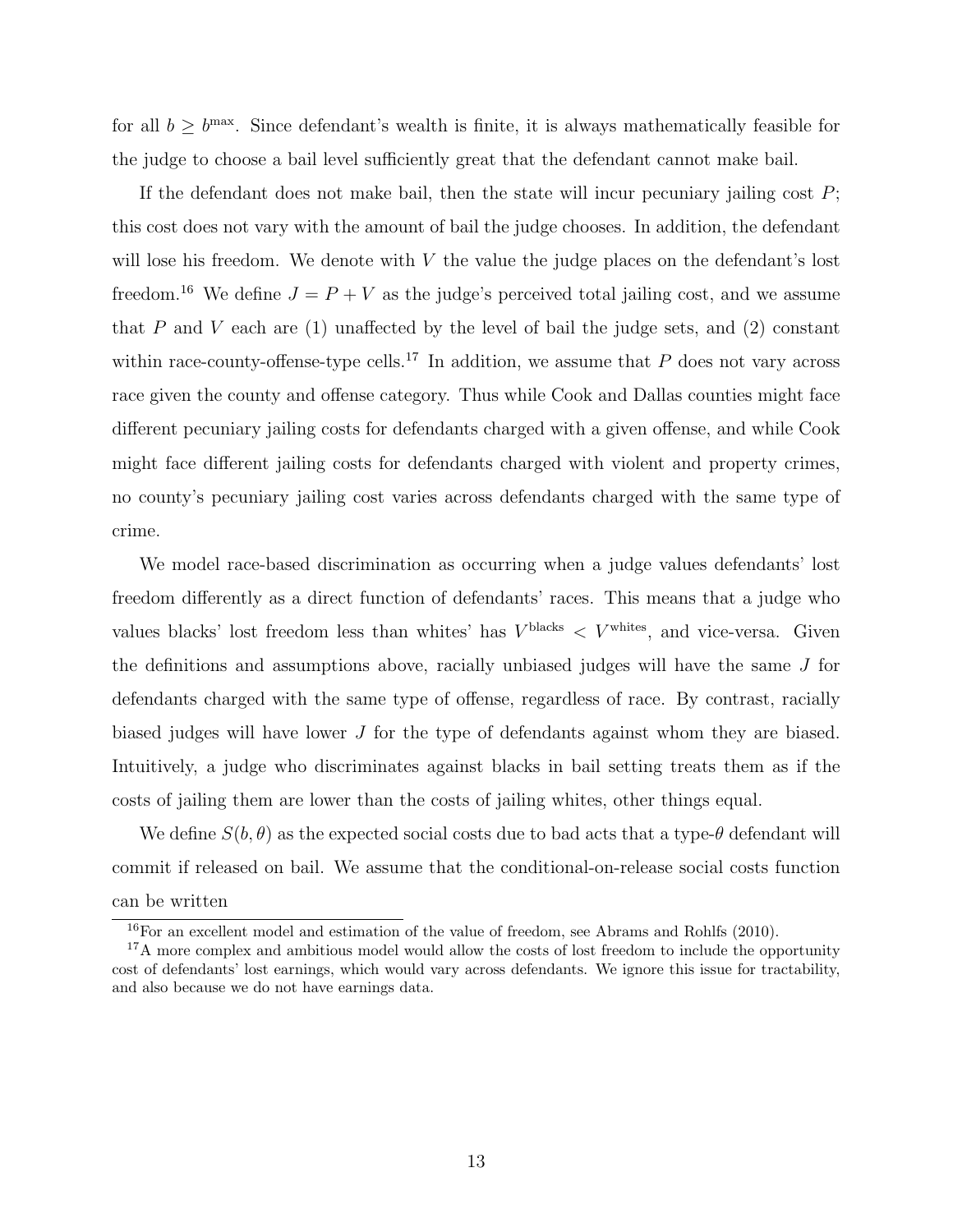for all  $b \ge b^{\text{max}}$ . Since defendant's wealth is finite, it is always mathematically feasible for the judge to choose a bail level sufficiently great that the defendant cannot make bail.

If the defendant does not make bail, then the state will incur pecuniary jailing cost P; this cost does not vary with the amount of bail the judge chooses. In addition, the defendant will lose his freedom. We denote with  $V$  the value the judge places on the defendant's lost freedom.<sup>16</sup> We define  $J = P + V$  as the judge's perceived total jailing cost, and we assume that P and V each are  $(1)$  unaffected by the level of bail the judge sets, and  $(2)$  constant within race-county-offense-type cells.<sup>17</sup> In addition, we assume that P does not vary across race given the county and offense category. Thus while Cook and Dallas counties might face different pecuniary jailing costs for defendants charged with a given offense, and while Cook might face different jailing costs for defendants charged with violent and property crimes, no county's pecuniary jailing cost varies across defendants charged with the same type of crime.

We model race-based discrimination as occurring when a judge values defendants' lost freedom differently as a direct function of defendants' races. This means that a judge who values blacks' lost freedom less than whites' has  $V^{\text{blacks}} < V^{\text{whites}}$ , and vice-versa. Given the definitions and assumptions above, racially unbiased judges will have the same J for defendants charged with the same type of offense, regardless of race. By contrast, racially biased judges will have lower J for the type of defendants against whom they are biased. Intuitively, a judge who discriminates against blacks in bail setting treats them as if the costs of jailing them are lower than the costs of jailing whites, other things equal.

We define  $S(b, \theta)$  as the expected social costs due to bad acts that a type- $\theta$  defendant will commit if released on bail. We assume that the conditional-on-release social costs function can be written

<sup>&</sup>lt;sup>16</sup>For an excellent model and estimation of the value of freedom, see Abrams and Rohlfs (2010).

<sup>&</sup>lt;sup>17</sup>A more complex and ambitious model would allow the costs of lost freedom to include the opportunity cost of defendants' lost earnings, which would vary across defendants. We ignore this issue for tractability, and also because we do not have earnings data.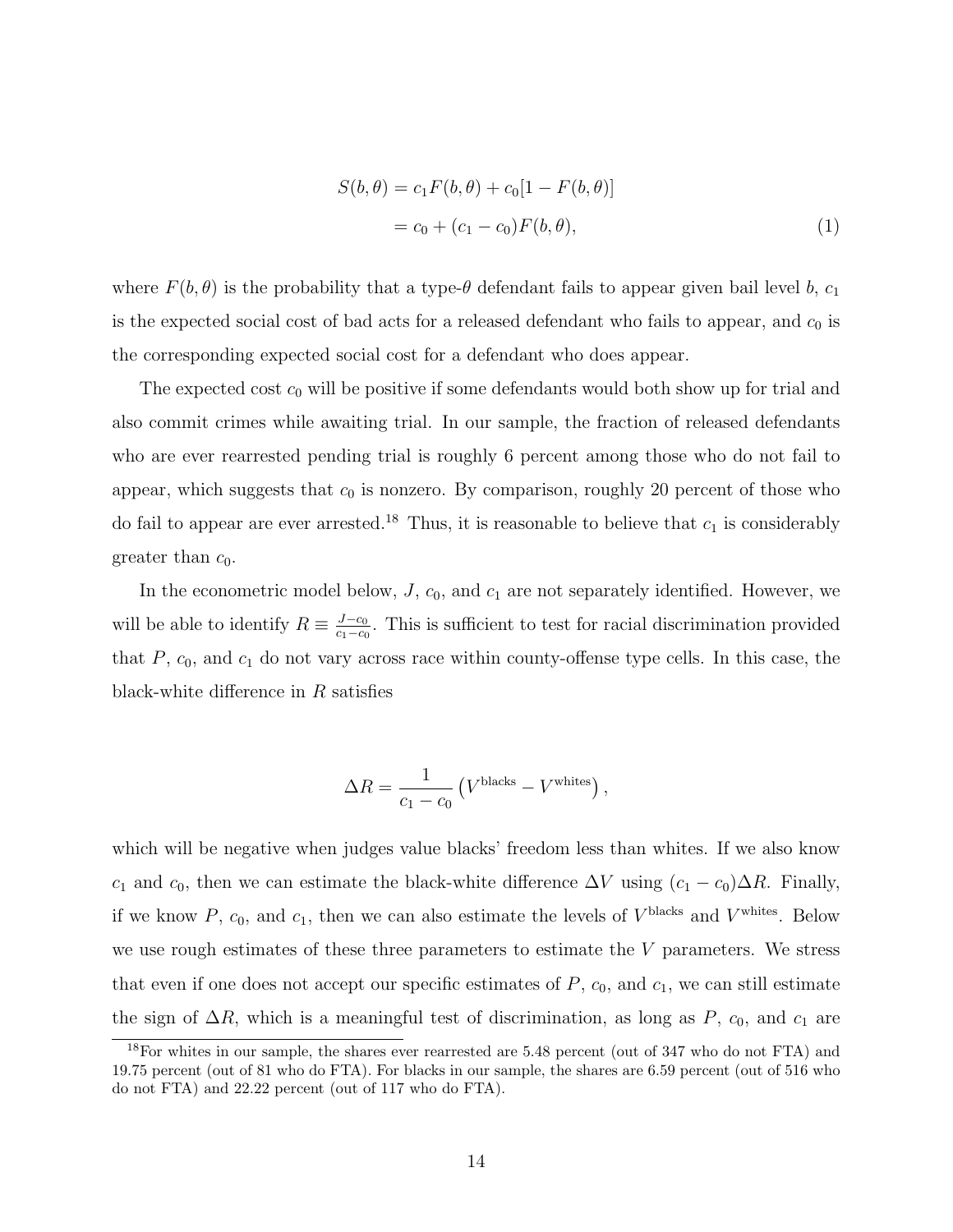$$
S(b, \theta) = c_1 F(b, \theta) + c_0 [1 - F(b, \theta)]
$$
  
= c\_0 + (c\_1 - c\_0) F(b, \theta), (1)

where  $F(b, \theta)$  is the probability that a type- $\theta$  defendant fails to appear given bail level b,  $c_1$ is the expected social cost of bad acts for a released defendant who fails to appear, and  $c_0$  is the corresponding expected social cost for a defendant who does appear.

The expected cost  $c_0$  will be positive if some defendants would both show up for trial and also commit crimes while awaiting trial. In our sample, the fraction of released defendants who are ever rearrested pending trial is roughly 6 percent among those who do not fail to appear, which suggests that  $c_0$  is nonzero. By comparison, roughly 20 percent of those who do fail to appear are ever arrested.<sup>18</sup> Thus, it is reasonable to believe that  $c_1$  is considerably greater than  $c_0$ .

In the econometric model below,  $J$ ,  $c_0$ , and  $c_1$  are not separately identified. However, we will be able to identify  $R \equiv \frac{J-c_0}{c_1-c_0}$  $\frac{J-c_0}{c_1-c_0}$ . This is sufficient to test for racial discrimination provided that  $P$ ,  $c_0$ , and  $c_1$  do not vary across race within county-offense type cells. In this case, the black-white difference in  $R$  satisfies

$$
\Delta R = \frac{1}{c_1 - c_0} \left( V^{\text{blacks}} - V^{\text{whites}} \right),
$$

which will be negative when judges value blacks' freedom less than whites. If we also know c<sub>1</sub> and c<sub>0</sub>, then we can estimate the black-white difference  $\Delta V$  using  $(c_1 - c_0)\Delta R$ . Finally, if we know  $P$ ,  $c_0$ , and  $c_1$ , then we can also estimate the levels of  $V^{\text{blacks}}$  and  $V^{\text{white}}$ . Below we use rough estimates of these three parameters to estimate the  $V$  parameters. We stress that even if one does not accept our specific estimates of  $P$ ,  $c_0$ , and  $c_1$ , we can still estimate the sign of  $\Delta R$ , which is a meaningful test of discrimination, as long as P,  $c_0$ , and  $c_1$  are

<sup>18</sup>For whites in our sample, the shares ever rearrested are 5.48 percent (out of 347 who do not FTA) and 19.75 percent (out of 81 who do FTA). For blacks in our sample, the shares are 6.59 percent (out of 516 who do not FTA) and 22.22 percent (out of 117 who do FTA).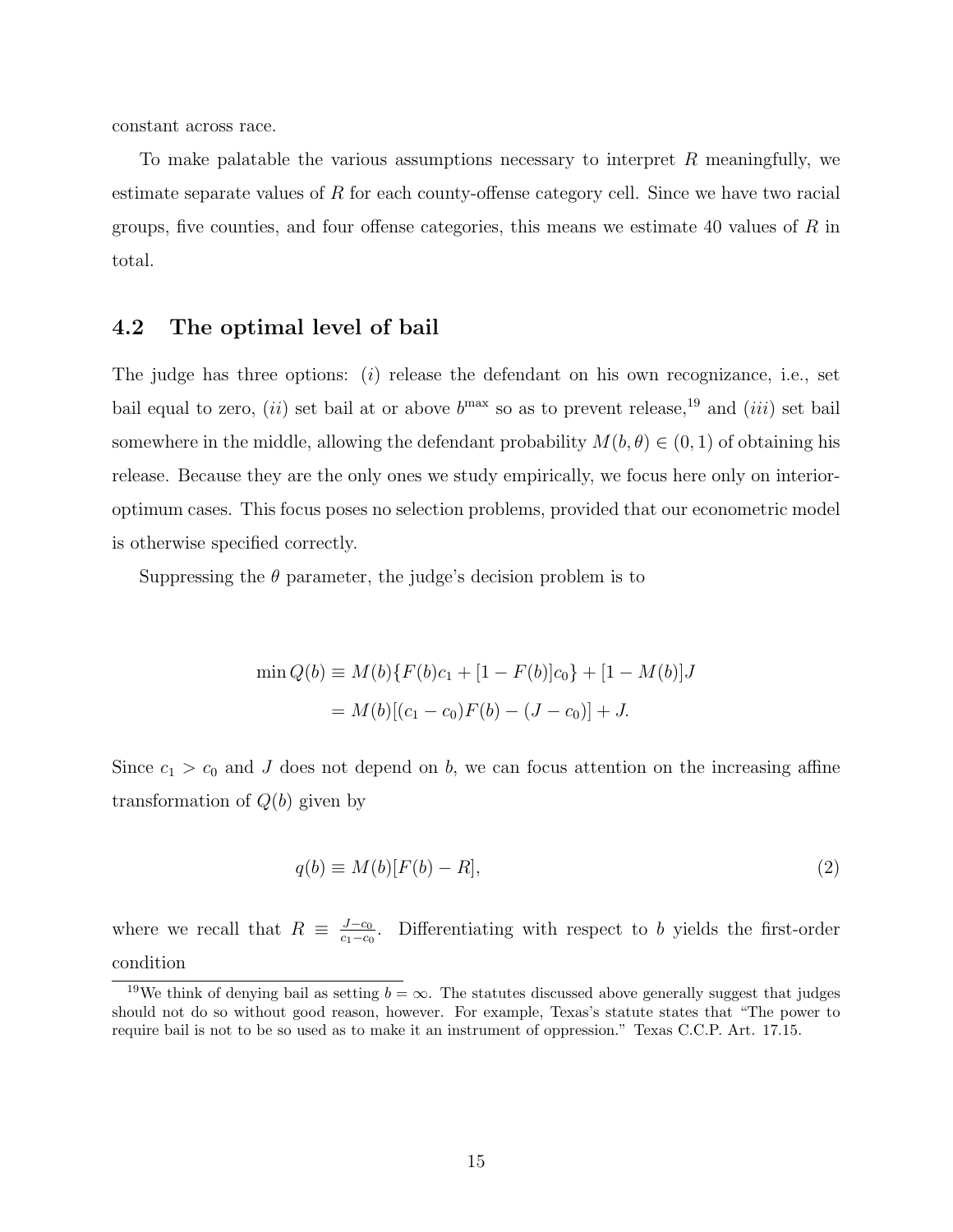constant across race.

To make palatable the various assumptions necessary to interpret R meaningfully, we estimate separate values of R for each county-offense category cell. Since we have two racial groups, five counties, and four offense categories, this means we estimate 40 values of  $R$  in total.

#### 4.2 The optimal level of bail

The judge has three options:  $(i)$  release the defendant on his own recognizance, i.e., set bail equal to zero, (*ii*) set bail at or above  $b^{max}$  so as to prevent release,<sup>19</sup> and (*iii*) set bail somewhere in the middle, allowing the defendant probability  $M(b, \theta) \in (0, 1)$  of obtaining his release. Because they are the only ones we study empirically, we focus here only on interioroptimum cases. This focus poses no selection problems, provided that our econometric model is otherwise specified correctly.

Suppressing the  $\theta$  parameter, the judge's decision problem is to

$$
\min Q(b) \equiv M(b)\{F(b)c_1 + [1 - F(b)]c_0\} + [1 - M(b)]J
$$

$$
= M(b)[(c_1 - c_0)F(b) - (J - c_0)] + J.
$$

Since  $c_1 > c_0$  and J does not depend on b, we can focus attention on the increasing affine transformation of  $Q(b)$  given by

$$
q(b) \equiv M(b)[F(b) - R], \tag{2}
$$

where we recall that  $R \equiv \frac{J-c_0}{c_1-c_0}$  $\frac{J-c_0}{c_1-c_0}$ . Differentiating with respect to b yields the first-order condition

<sup>&</sup>lt;sup>19</sup>We think of denying bail as setting  $b = \infty$ . The statutes discussed above generally suggest that judges should not do so without good reason, however. For example, Texas's statute states that "The power to require bail is not to be so used as to make it an instrument of oppression." Texas C.C.P. Art. 17.15.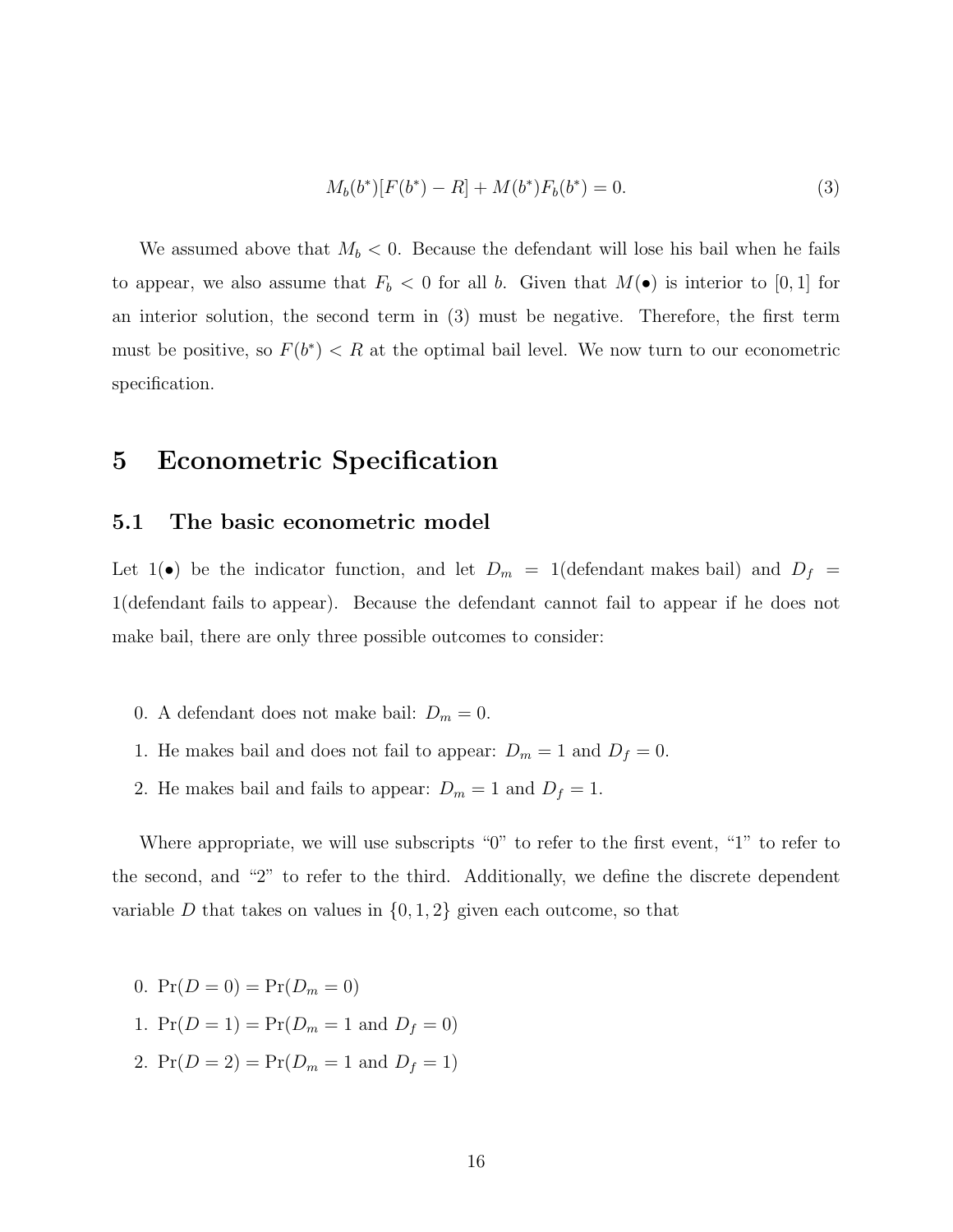$$
M_b(b^*)[F(b^*) - R] + M(b^*)F_b(b^*) = 0.
$$
\n(3)

We assumed above that  $M_b < 0$ . Because the defendant will lose his bail when he fails to appear, we also assume that  $F_b < 0$  for all b. Given that  $M(\bullet)$  is interior to [0, 1] for an interior solution, the second term in (3) must be negative. Therefore, the first term must be positive, so  $F(b^*) < R$  at the optimal bail level. We now turn to our econometric specification.

# 5 Econometric Specification

#### 5.1 The basic econometric model

Let  $1(\bullet)$  be the indicator function, and let  $D_m = 1$  (defendant makes bail) and  $D_f =$ 1(defendant fails to appear). Because the defendant cannot fail to appear if he does not make bail, there are only three possible outcomes to consider:

- 0. A defendant does not make bail:  $D_m = 0$ .
- 1. He makes bail and does not fail to appear:  $D_m = 1$  and  $D_f = 0$ .
- 2. He makes bail and fails to appear:  $D_m = 1$  and  $D_f = 1$ .

Where appropriate, we will use subscripts "0" to refer to the first event, "1" to refer to the second, and "2" to refer to the third. Additionally, we define the discrete dependent variable D that takes on values in  $\{0, 1, 2\}$  given each outcome, so that

- 0.  $Pr(D = 0) = Pr(D_m = 0)$
- 1.  $Pr(D = 1) = Pr(D_m = 1 \text{ and } D_f = 0)$
- 2.  $Pr(D = 2) = Pr(D_m = 1 \text{ and } D_f = 1)$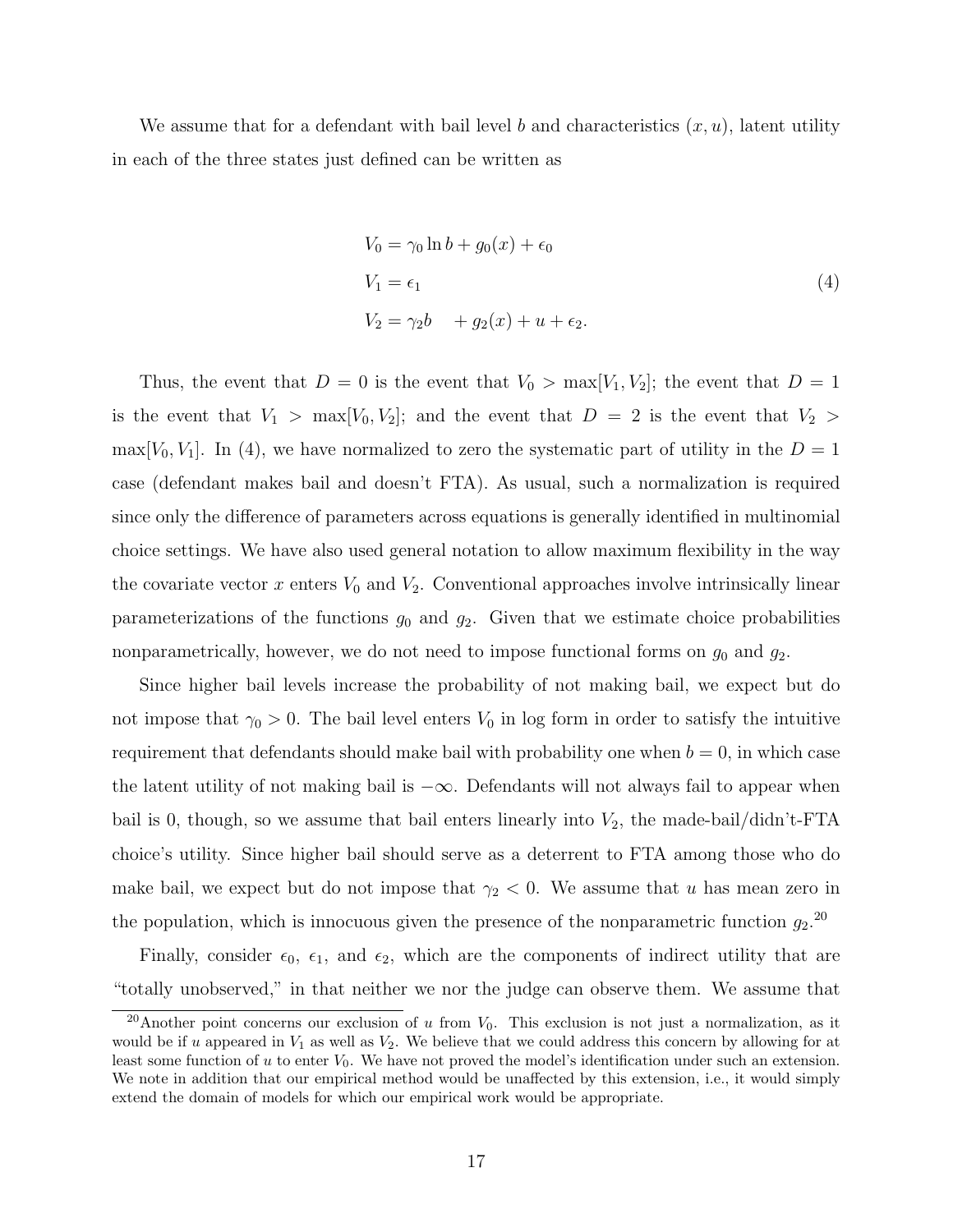We assume that for a defendant with bail level b and characteristics  $(x, u)$ , latent utility in each of the three states just defined can be written as

$$
V_0 = \gamma_0 \ln b + g_0(x) + \epsilon_0
$$
  
\n
$$
V_1 = \epsilon_1
$$
  
\n
$$
V_2 = \gamma_2 b + g_2(x) + u + \epsilon_2.
$$
\n(4)

Thus, the event that  $D = 0$  is the event that  $V_0 > \max[V_1, V_2]$ ; the event that  $D = 1$ is the event that  $V_1$  > max[ $V_0, V_2$ ]; and the event that  $D = 2$  is the event that  $V_2$  > max[ $V_0, V_1$ ]. In (4), we have normalized to zero the systematic part of utility in the  $D = 1$ case (defendant makes bail and doesn't FTA). As usual, such a normalization is required since only the difference of parameters across equations is generally identified in multinomial choice settings. We have also used general notation to allow maximum flexibility in the way the covariate vector  $x$  enters  $V_0$  and  $V_2$ . Conventional approaches involve intrinsically linear parameterizations of the functions  $g_0$  and  $g_2$ . Given that we estimate choice probabilities nonparametrically, however, we do not need to impose functional forms on  $g_0$  and  $g_2$ .

Since higher bail levels increase the probability of not making bail, we expect but do not impose that  $\gamma_0 > 0$ . The bail level enters  $V_0$  in log form in order to satisfy the intuitive requirement that defendants should make bail with probability one when  $b = 0$ , in which case the latent utility of not making bail is  $-\infty$ . Defendants will not always fail to appear when bail is 0, though, so we assume that bail enters linearly into  $V_2$ , the made-bail/didn't-FTA choice's utility. Since higher bail should serve as a deterrent to FTA among those who do make bail, we expect but do not impose that  $\gamma_2$  < 0. We assume that u has mean zero in the population, which is innocuous given the presence of the nonparametric function  $g_2$ <sup>20</sup>

Finally, consider  $\epsilon_0$ ,  $\epsilon_1$ , and  $\epsilon_2$ , which are the components of indirect utility that are "totally unobserved," in that neither we nor the judge can observe them. We assume that

<sup>&</sup>lt;sup>20</sup>Another point concerns our exclusion of u from  $V_0$ . This exclusion is not just a normalization, as it would be if u appeared in  $V_1$  as well as  $V_2$ . We believe that we could address this concern by allowing for at least some function of  $u$  to enter  $V_0$ . We have not proved the model's identification under such an extension. We note in addition that our empirical method would be unaffected by this extension, i.e., it would simply extend the domain of models for which our empirical work would be appropriate.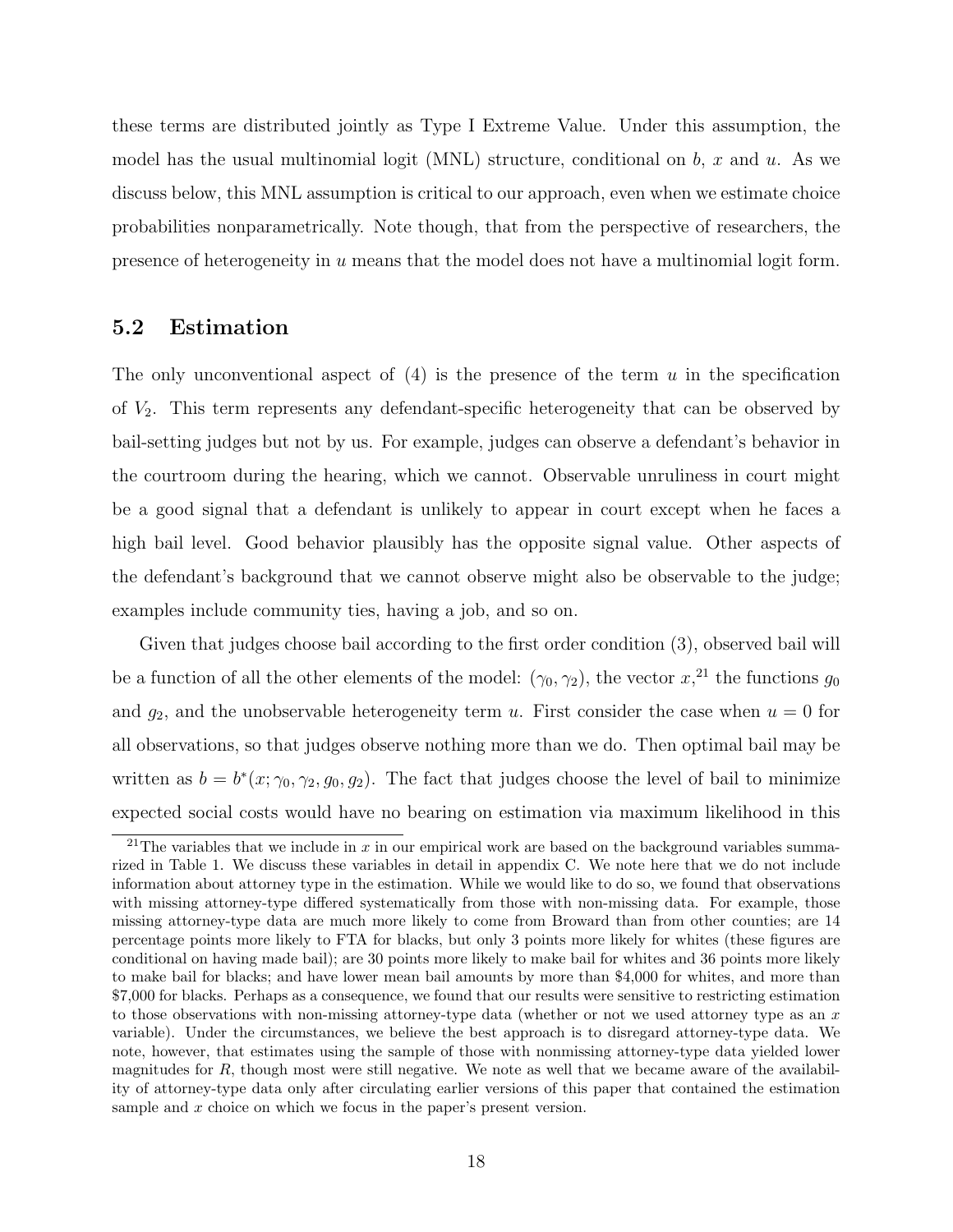these terms are distributed jointly as Type I Extreme Value. Under this assumption, the model has the usual multinomial logit (MNL) structure, conditional on  $b, x$  and  $u$ . As we discuss below, this MNL assumption is critical to our approach, even when we estimate choice probabilities nonparametrically. Note though, that from the perspective of researchers, the presence of heterogeneity in u means that the model does not have a multinomial logit form.

#### 5.2 Estimation

The only unconventional aspect of  $(4)$  is the presence of the term u in the specification of  $V_2$ . This term represents any defendant-specific heterogeneity that can be observed by bail-setting judges but not by us. For example, judges can observe a defendant's behavior in the courtroom during the hearing, which we cannot. Observable unruliness in court might be a good signal that a defendant is unlikely to appear in court except when he faces a high bail level. Good behavior plausibly has the opposite signal value. Other aspects of the defendant's background that we cannot observe might also be observable to the judge; examples include community ties, having a job, and so on.

Given that judges choose bail according to the first order condition (3), observed bail will be a function of all the other elements of the model:  $(\gamma_0, \gamma_2)$ , the vector  $x, \text{ and } x$ , the functions  $g_0$ and  $g_2$ , and the unobservable heterogeneity term u. First consider the case when  $u = 0$  for all observations, so that judges observe nothing more than we do. Then optimal bail may be written as  $b = b^*(x; \gamma_0, \gamma_2, g_0, g_2)$ . The fact that judges choose the level of bail to minimize expected social costs would have no bearing on estimation via maximum likelihood in this

<sup>&</sup>lt;sup>21</sup>The variables that we include in  $x$  in our empirical work are based on the background variables summarized in Table 1. We discuss these variables in detail in appendix C. We note here that we do not include information about attorney type in the estimation. While we would like to do so, we found that observations with missing attorney-type differed systematically from those with non-missing data. For example, those missing attorney-type data are much more likely to come from Broward than from other counties; are 14 percentage points more likely to FTA for blacks, but only 3 points more likely for whites (these figures are conditional on having made bail); are 30 points more likely to make bail for whites and 36 points more likely to make bail for blacks; and have lower mean bail amounts by more than \$4,000 for whites, and more than \$7,000 for blacks. Perhaps as a consequence, we found that our results were sensitive to restricting estimation to those observations with non-missing attorney-type data (whether or not we used attorney type as an  $x$ variable). Under the circumstances, we believe the best approach is to disregard attorney-type data. We note, however, that estimates using the sample of those with nonmissing attorney-type data yielded lower magnitudes for R, though most were still negative. We note as well that we became aware of the availability of attorney-type data only after circulating earlier versions of this paper that contained the estimation sample and x choice on which we focus in the paper's present version.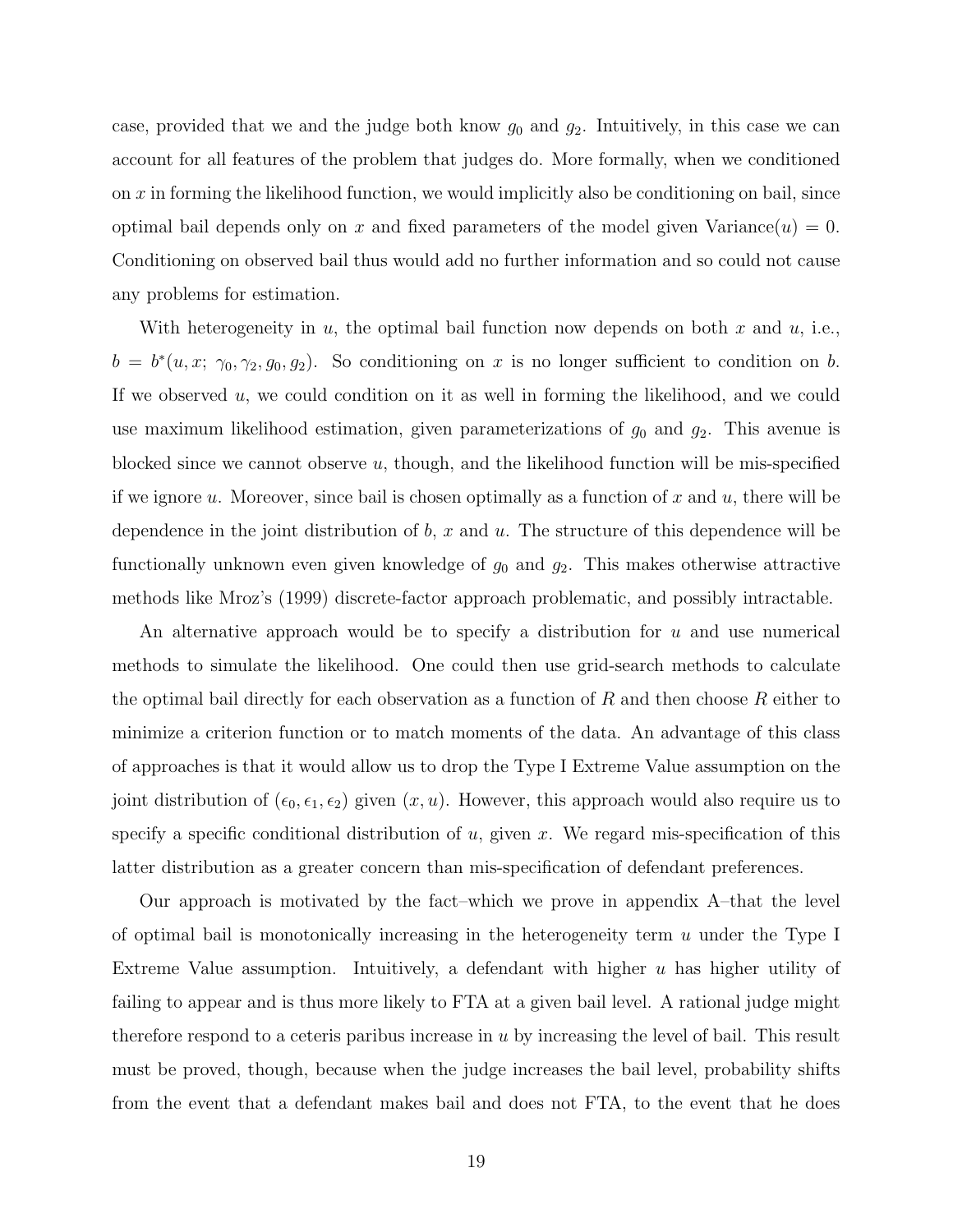case, provided that we and the judge both know  $g_0$  and  $g_2$ . Intuitively, in this case we can account for all features of the problem that judges do. More formally, when we conditioned on x in forming the likelihood function, we would implicitly also be conditioning on bail, since optimal bail depends only on x and fixed parameters of the model given Variance( $u$ ) = 0. Conditioning on observed bail thus would add no further information and so could not cause any problems for estimation.

With heterogeneity in u, the optimal bail function now depends on both x and u, i.e.,  $b = b^*(u, x; \gamma_0, \gamma_2, g_0, g_2)$ . So conditioning on x is no longer sufficient to condition on b. If we observed  $u$ , we could condition on it as well in forming the likelihood, and we could use maximum likelihood estimation, given parameterizations of  $g_0$  and  $g_2$ . This avenue is blocked since we cannot observe  $u$ , though, and the likelihood function will be mis-specified if we ignore u. Moreover, since bail is chosen optimally as a function of x and u, there will be dependence in the joint distribution of  $b$ ,  $x$  and  $u$ . The structure of this dependence will be functionally unknown even given knowledge of  $g_0$  and  $g_2$ . This makes otherwise attractive methods like Mroz's (1999) discrete-factor approach problematic, and possibly intractable.

An alternative approach would be to specify a distribution for u and use numerical methods to simulate the likelihood. One could then use grid-search methods to calculate the optimal bail directly for each observation as a function of  $R$  and then choose  $R$  either to minimize a criterion function or to match moments of the data. An advantage of this class of approaches is that it would allow us to drop the Type I Extreme Value assumption on the joint distribution of  $(\epsilon_0, \epsilon_1, \epsilon_2)$  given  $(x, u)$ . However, this approach would also require us to specify a specific conditional distribution of u, given x. We regard mis-specification of this latter distribution as a greater concern than mis-specification of defendant preferences.

Our approach is motivated by the fact–which we prove in appendix A–that the level of optimal bail is monotonically increasing in the heterogeneity term  $u$  under the Type I Extreme Value assumption. Intuitively, a defendant with higher u has higher utility of failing to appear and is thus more likely to FTA at a given bail level. A rational judge might therefore respond to a ceteris paribus increase in  $u$  by increasing the level of bail. This result must be proved, though, because when the judge increases the bail level, probability shifts from the event that a defendant makes bail and does not FTA, to the event that he does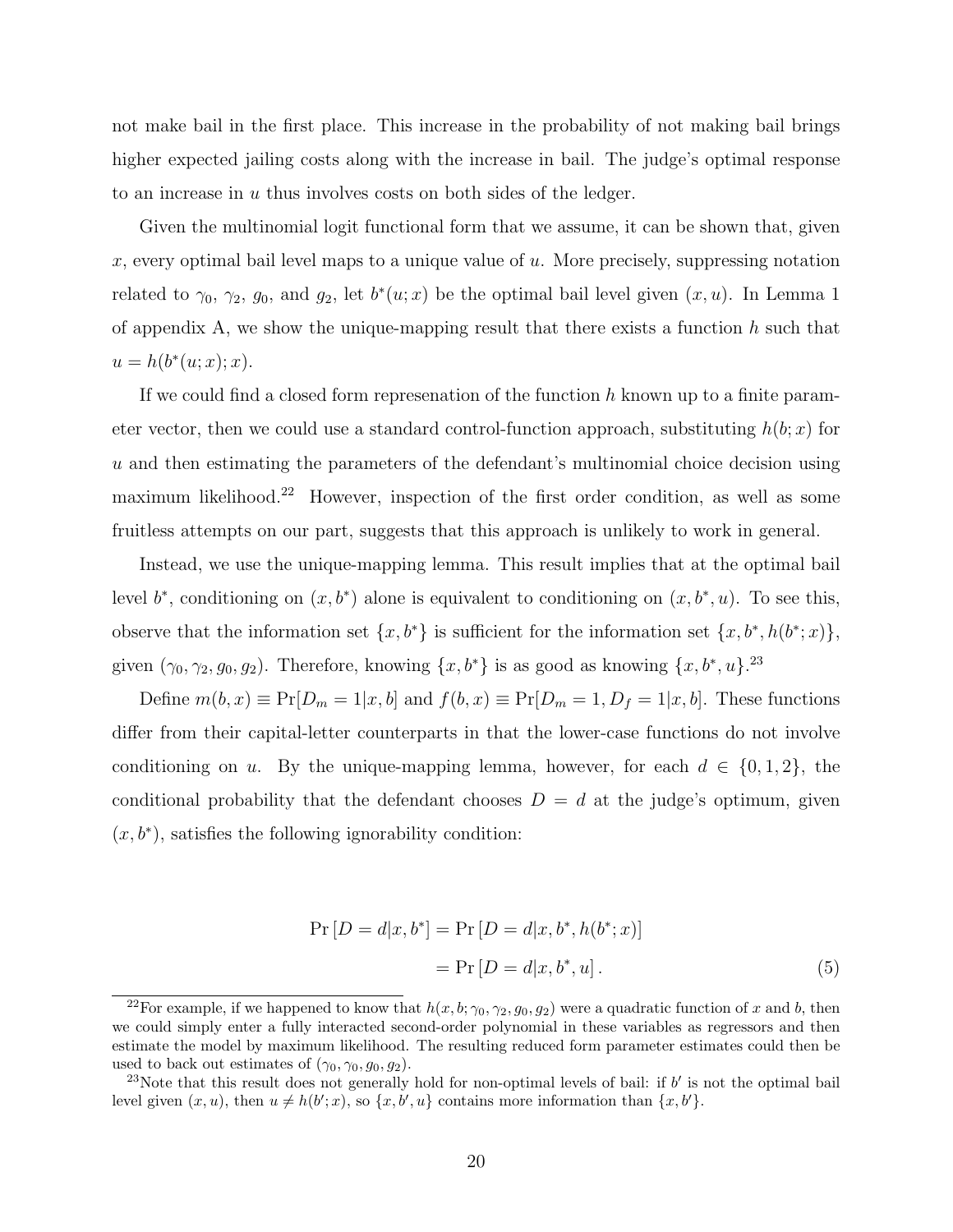not make bail in the first place. This increase in the probability of not making bail brings higher expected jailing costs along with the increase in bail. The judge's optimal response to an increase in u thus involves costs on both sides of the ledger.

Given the multinomial logit functional form that we assume, it can be shown that, given x, every optimal bail level maps to a unique value of  $u$ . More precisely, suppressing notation related to  $\gamma_0$ ,  $\gamma_2$ ,  $g_0$ , and  $g_2$ , let  $b^*(u; x)$  be the optimal bail level given  $(x, u)$ . In Lemma 1 of appendix A, we show the unique-mapping result that there exists a function  $h$  such that  $u = h(b^*(u; x); x).$ 

If we could find a closed form represenation of the function  $h$  known up to a finite parameter vector, then we could use a standard control-function approach, substituting  $h(b; x)$  for u and then estimating the parameters of the defendant's multinomial choice decision using maximum likelihood.<sup>22</sup> However, inspection of the first order condition, as well as some fruitless attempts on our part, suggests that this approach is unlikely to work in general.

Instead, we use the unique-mapping lemma. This result implies that at the optimal bail level  $b^*$ , conditioning on  $(x, b^*)$  alone is equivalent to conditioning on  $(x, b^*, u)$ . To see this, observe that the information set  $\{x, b^*\}$  is sufficient for the information set  $\{x, b^*, h(b^*; x)\},$ given  $(\gamma_0, \gamma_2, g_0, g_2)$ . Therefore, knowing  $\{x, b^*\}$  is as good as knowing  $\{x, b^*, u\}$ .<sup>23</sup>

Define  $m(b, x) \equiv Pr[D_m = 1|x, b]$  and  $f(b, x) \equiv Pr[D_m = 1, D_f = 1|x, b]$ . These functions differ from their capital-letter counterparts in that the lower-case functions do not involve conditioning on u. By the unique-mapping lemma, however, for each  $d \in \{0, 1, 2\}$ , the conditional probability that the defendant chooses  $D = d$  at the judge's optimum, given  $(x, b^*)$ , satisfies the following ignorability condition:

$$
Pr[D = d|x, b^*] = Pr[D = d|x, b^*, h(b^*; x)]
$$
  
= 
$$
Pr[D = d|x, b^*, u].
$$
 (5)

<sup>&</sup>lt;sup>22</sup>For example, if we happened to know that  $h(x, b; \gamma_0, \gamma_2, g_0, g_2)$  were a quadratic function of x and b, then we could simply enter a fully interacted second-order polynomial in these variables as regressors and then estimate the model by maximum likelihood. The resulting reduced form parameter estimates could then be used to back out estimates of  $(\gamma_0, \gamma_0, g_0, g_2)$ .

<sup>&</sup>lt;sup>23</sup>Note that this result does not generally hold for non-optimal levels of bail: if  $b'$  is not the optimal bail level given  $(x, u)$ , then  $u \neq h(b'; x)$ , so  $\{x, b', u\}$  contains more information than  $\{x, b'\}$ .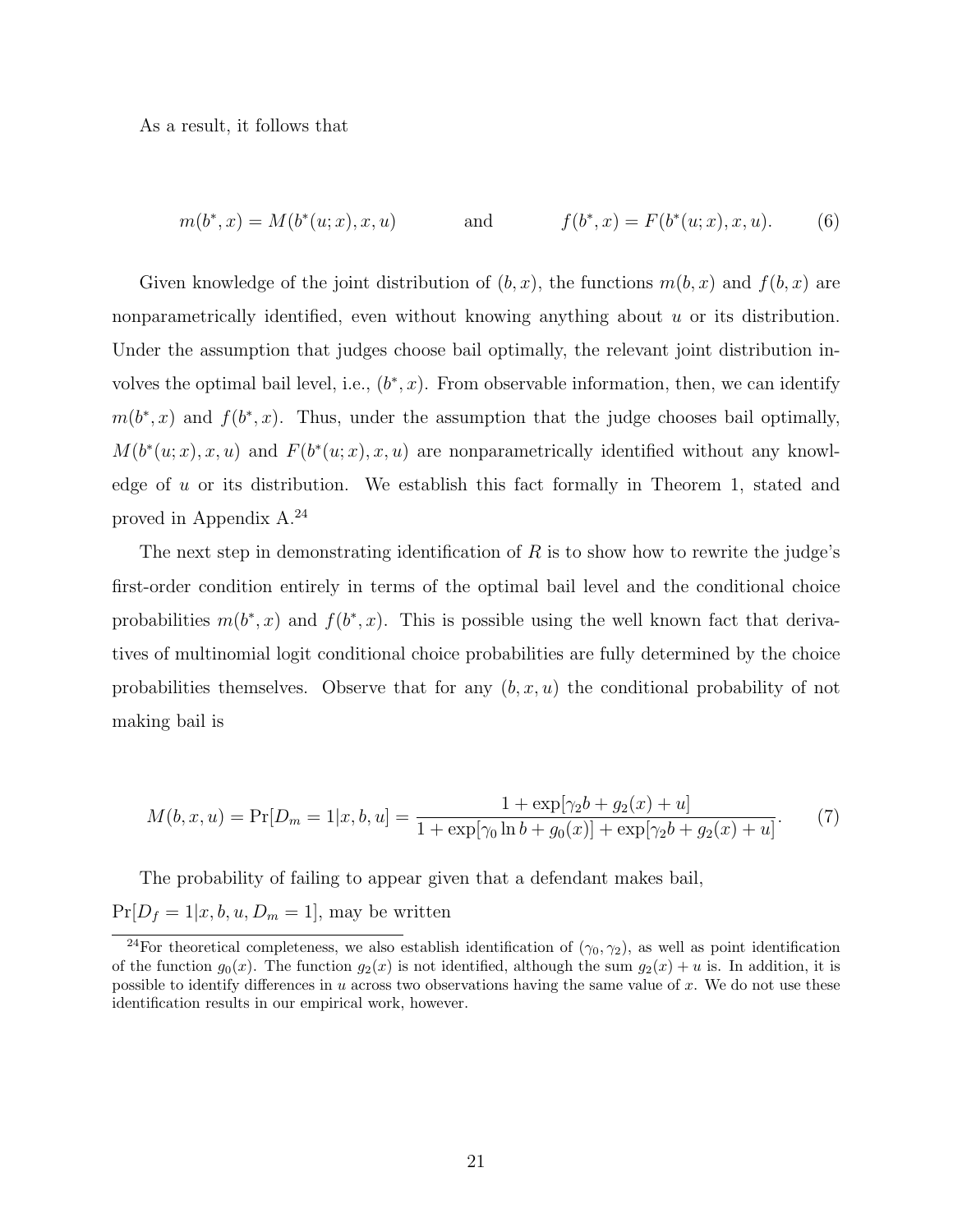As a result, it follows that

$$
m(b^*, x) = M(b^*(u; x), x, u) \qquad \text{and} \qquad f(b^*, x) = F(b^*(u; x), x, u). \tag{6}
$$

Given knowledge of the joint distribution of  $(b, x)$ , the functions  $m(b, x)$  and  $f(b, x)$  are nonparametrically identified, even without knowing anything about  $u$  or its distribution. Under the assumption that judges choose bail optimally, the relevant joint distribution involves the optimal bail level, i.e.,  $(b^*, x)$ . From observable information, then, we can identify  $m(b^*,x)$  and  $f(b^*,x)$ . Thus, under the assumption that the judge chooses bail optimally,  $M(b^*(u;x),x,u)$  and  $F(b^*(u;x),x,u)$  are nonparametrically identified without any knowledge of  $u$  or its distribution. We establish this fact formally in Theorem 1, stated and proved in Appendix A.<sup>24</sup>

The next step in demonstrating identification of R is to show how to rewrite the judge's first-order condition entirely in terms of the optimal bail level and the conditional choice probabilities  $m(b^*,x)$  and  $f(b^*,x)$ . This is possible using the well known fact that derivatives of multinomial logit conditional choice probabilities are fully determined by the choice probabilities themselves. Observe that for any  $(b, x, u)$  the conditional probability of not making bail is

$$
M(b, x, u) = \Pr[D_m = 1 | x, b, u] = \frac{1 + \exp[\gamma_2 b + g_2(x) + u]}{1 + \exp[\gamma_0 \ln b + g_0(x)] + \exp[\gamma_2 b + g_2(x) + u]}.
$$
(7)

The probability of failing to appear given that a defendant makes bail,  $Pr[D_f = 1 | x, b, u, D_m = 1],$  may be written

<sup>&</sup>lt;sup>24</sup>For theoretical completeness, we also establish identification of  $(\gamma_0, \gamma_2)$ , as well as point identification of the function  $g_0(x)$ . The function  $g_2(x)$  is not identified, although the sum  $g_2(x) + u$  is. In addition, it is possible to identify differences in u across two observations having the same value of x. We do not use these identification results in our empirical work, however.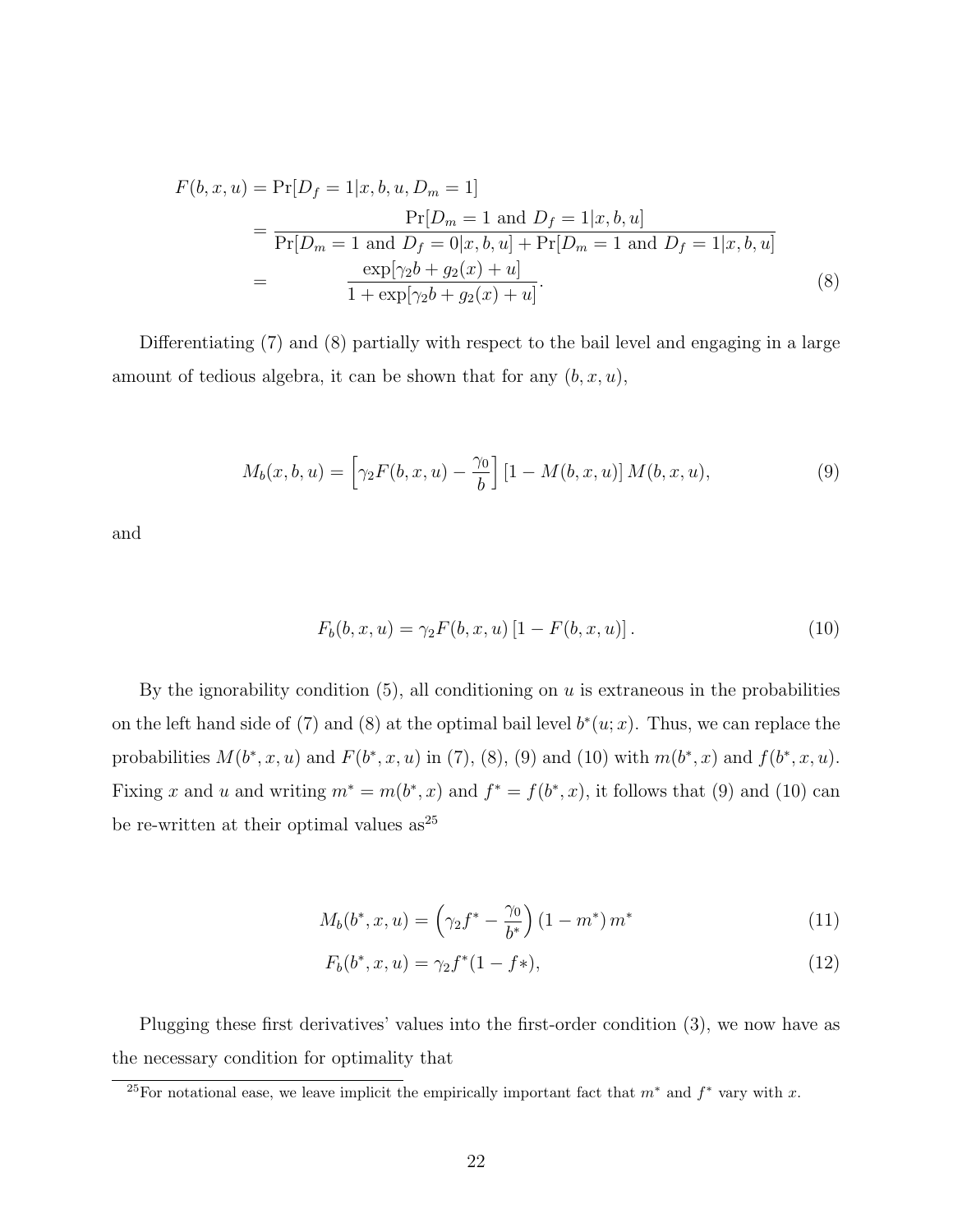$$
F(b, x, u) = \Pr[D_f = 1 | x, b, u, D_m = 1]
$$
  
= 
$$
\frac{\Pr[D_m = 1 \text{ and } D_f = 1 | x, b, u]}{\Pr[D_m = 1 \text{ and } D_f = 0 | x, b, u] + \Pr[D_m = 1 \text{ and } D_f = 1 | x, b, u]}
$$
  
= 
$$
\frac{\exp[\gamma_2 b + g_2(x) + u]}{1 + \exp[\gamma_2 b + g_2(x) + u]}.
$$
(8)

Differentiating (7) and (8) partially with respect to the bail level and engaging in a large amount of tedious algebra, it can be shown that for any  $(b, x, u)$ ,

$$
M_b(x, b, u) = \left[ \gamma_2 F(b, x, u) - \frac{\gamma_0}{b} \right] \left[ 1 - M(b, x, u) \right] M(b, x, u), \tag{9}
$$

and

$$
F_b(b, x, u) = \gamma_2 F(b, x, u) [1 - F(b, x, u)].
$$
\n(10)

By the ignorability condition  $(5)$ , all conditioning on u is extraneous in the probabilities on the left hand side of (7) and (8) at the optimal bail level  $b^*(u; x)$ . Thus, we can replace the probabilities  $M(b^*, x, u)$  and  $F(b^*, x, u)$  in (7), (8), (9) and (10) with  $m(b^*, x)$  and  $f(b^*, x, u)$ . Fixing x and u and writing  $m^* = m(b^*, x)$  and  $f^* = f(b^*, x)$ , it follows that (9) and (10) can be re-written at their optimal values  $as^{25}$ 

$$
M_b(b^*, x, u) = \left(\gamma_2 f^* - \frac{\gamma_0}{b^*}\right) \left(1 - m^*\right) m^* \tag{11}
$$

$$
F_b(b^*, x, u) = \gamma_2 f^*(1 - f^*),\tag{12}
$$

Plugging these first derivatives' values into the first-order condition (3), we now have as the necessary condition for optimality that

<sup>&</sup>lt;sup>25</sup>For notational ease, we leave implicit the empirically important fact that  $m^*$  and  $f^*$  vary with x.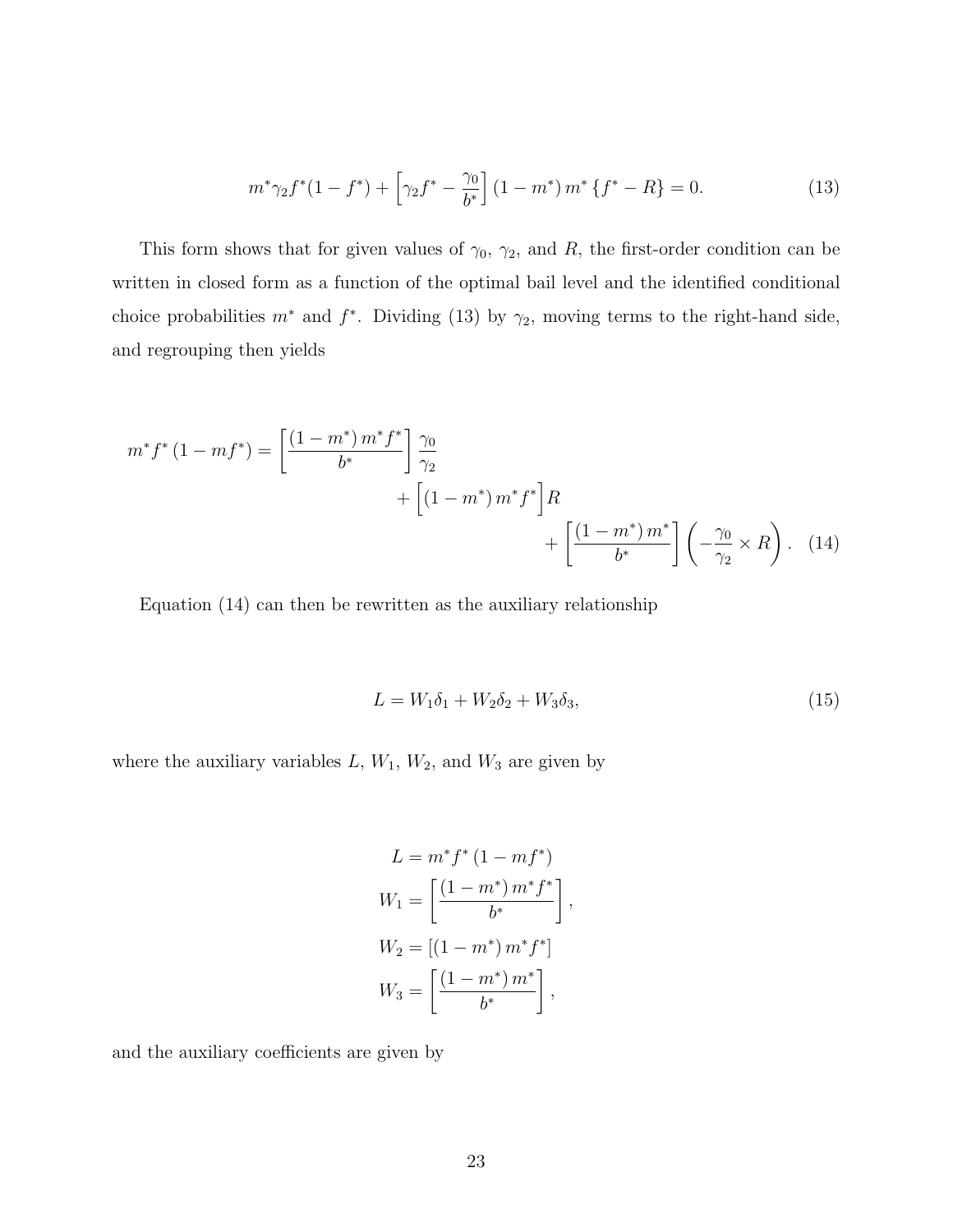$$
m^*\gamma_2 f^*(1 - f^*) + \left[\gamma_2 f^* - \frac{\gamma_0}{b^*}\right] (1 - m^*) m^* \left\{f^* - R\right\} = 0. \tag{13}
$$

This form shows that for given values of  $\gamma_0$ ,  $\gamma_2$ , and R, the first-order condition can be written in closed form as a function of the optimal bail level and the identified conditional choice probabilities  $m^*$  and  $f^*$ . Dividing (13) by  $\gamma_2$ , moving terms to the right-hand side, and regrouping then yields

$$
m^* f^* (1 - mf^*) = \left[ \frac{(1 - m^*) m^* f^*}{b^*} \right] \frac{\gamma_0}{\gamma_2} + \left[ (1 - m^*) m^* f^* \right] R + \left[ \frac{(1 - m^*) m^*}{b^*} \right] \left( -\frac{\gamma_0}{\gamma_2} \times R \right). \tag{14}
$$

Equation (14) can then be rewritten as the auxiliary relationship

$$
L = W_1 \delta_1 + W_2 \delta_2 + W_3 \delta_3, \tag{15}
$$

where the auxiliary variables  $L, W_1, W_2$ , and  $W_3$  are given by

$$
L = m^* f^* (1 - m f^*)
$$
  
\n
$$
W_1 = \left[ \frac{(1 - m^*) m^* f^*}{b^*} \right],
$$
  
\n
$$
W_2 = [(1 - m^*) m^* f^*]
$$
  
\n
$$
W_3 = \left[ \frac{(1 - m^*) m^*}{b^*} \right],
$$

and the auxiliary coefficients are given by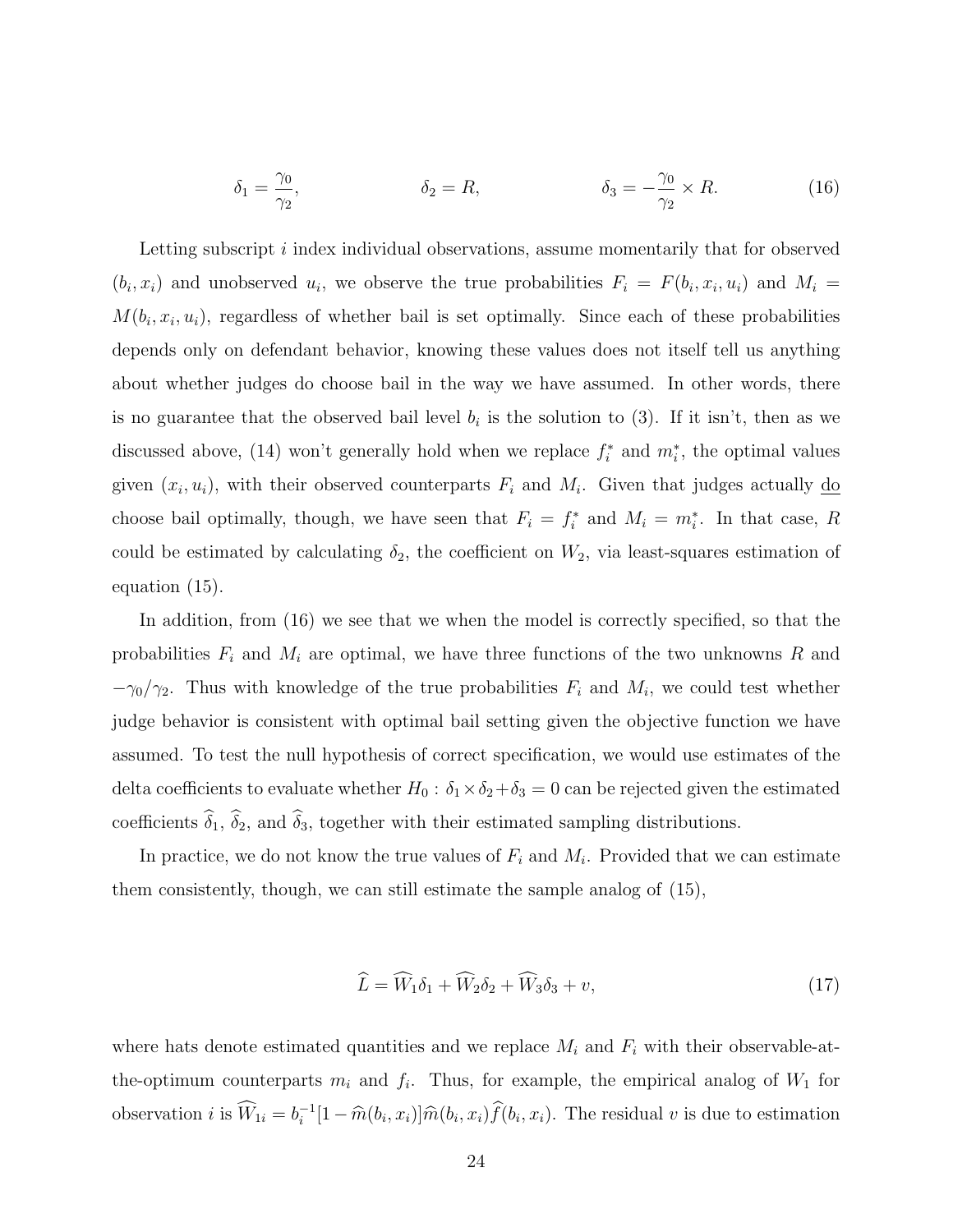$$
\delta_1 = \frac{\gamma_0}{\gamma_2}, \qquad \qquad \delta_2 = R, \qquad \qquad \delta_3 = -\frac{\gamma_0}{\gamma_2} \times R. \qquad (16)
$$

Letting subscript i index individual observations, assume momentarily that for observed  $(b_i, x_i)$  and unobserved  $u_i$ , we observe the true probabilities  $F_i = F(b_i, x_i, u_i)$  and  $M_i =$  $M(b_i, x_i, u_i)$ , regardless of whether bail is set optimally. Since each of these probabilities depends only on defendant behavior, knowing these values does not itself tell us anything about whether judges do choose bail in the way we have assumed. In other words, there is no guarantee that the observed bail level  $b_i$  is the solution to (3). If it isn't, then as we discussed above, (14) won't generally hold when we replace  $f_i^*$  and  $m_i^*$ , the optimal values given  $(x_i, u_i)$ , with their observed counterparts  $F_i$  and  $M_i$ . Given that judges actually  $\underline{\text{do}}$ choose bail optimally, though, we have seen that  $F_i = f_i^*$  and  $M_i = m_i^*$ . In that case, R could be estimated by calculating  $\delta_2$ , the coefficient on  $W_2$ , via least-squares estimation of equation (15).

In addition, from (16) we see that we when the model is correctly specified, so that the probabilities  $F_i$  and  $M_i$  are optimal, we have three functions of the two unknowns R and  $-\gamma_0/\gamma_2$ . Thus with knowledge of the true probabilities  $F_i$  and  $M_i$ , we could test whether judge behavior is consistent with optimal bail setting given the objective function we have assumed. To test the null hypothesis of correct specification, we would use estimates of the delta coefficients to evaluate whether  $H_0$ :  $\delta_1 \times \delta_2 + \delta_3 = 0$  can be rejected given the estimated coefficients  $\hat{\delta}_1$ ,  $\hat{\delta}_2$ , and  $\hat{\delta}_3$ , together with their estimated sampling distributions.

In practice, we do not know the true values of  $F_i$  and  $M_i$ . Provided that we can estimate them consistently, though, we can still estimate the sample analog of (15),

$$
\widehat{L} = \widehat{W}_1 \delta_1 + \widehat{W}_2 \delta_2 + \widehat{W}_3 \delta_3 + v,\tag{17}
$$

where hats denote estimated quantities and we replace  $M_i$  and  $F_i$  with their observable-atthe-optimum counterparts  $m_i$  and  $f_i$ . Thus, for example, the empirical analog of  $W_1$  for observation *i* is  $\widehat{W}_{1i} = b_i^{-1}$  $\hat{i}$ <sup>-1</sup>[1 –  $\hat{m}(b_i, x_i)$ ] $\hat{m}(b_i, x_i) f(b_i, x_i)$ . The residual v is due to estimation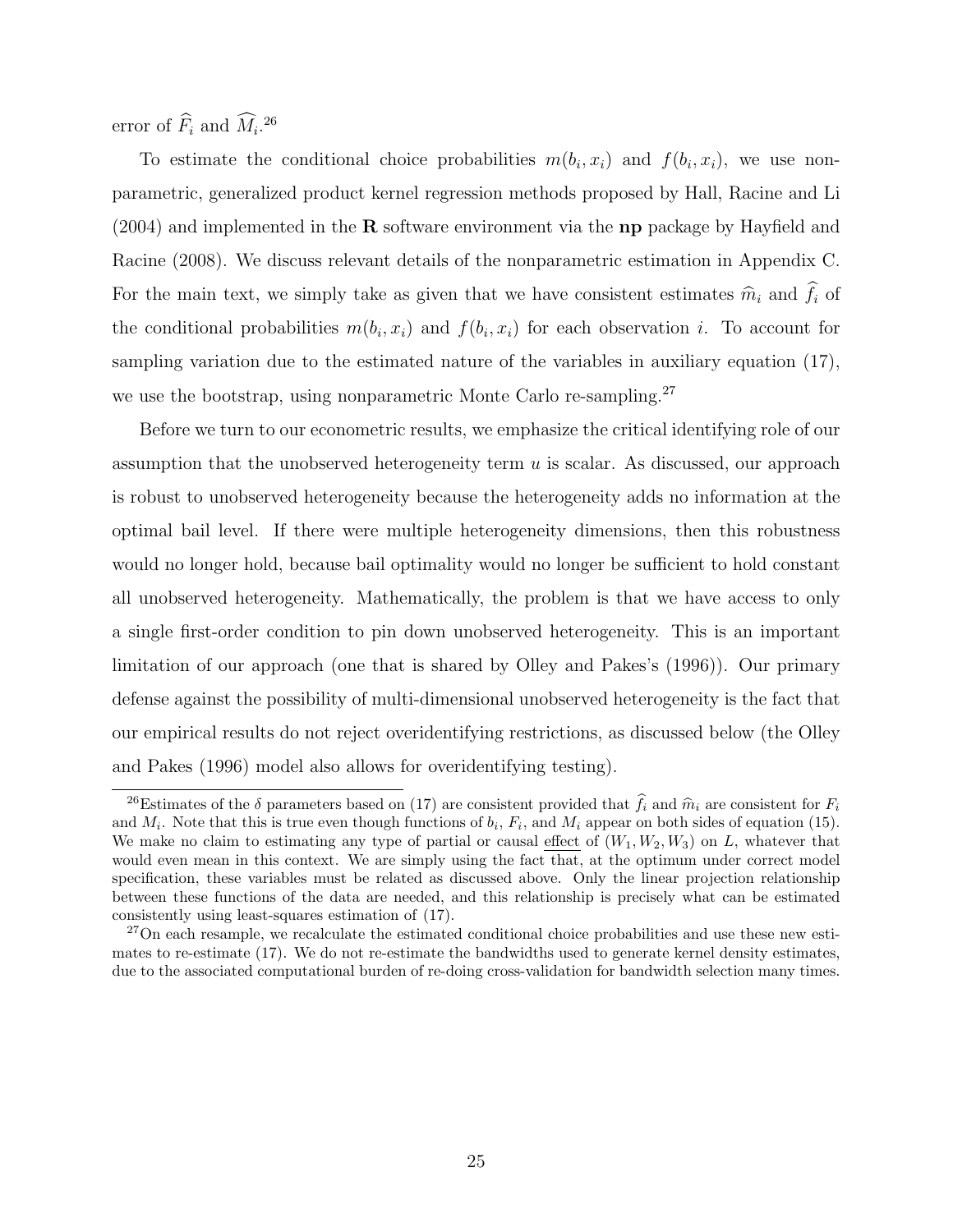error of  $\hat{F}_i$  and  $\hat{M}_i$ <sup>26</sup>

To estimate the conditional choice probabilities  $m(b_i, x_i)$  and  $f(b_i, x_i)$ , we use nonparametric, generalized product kernel regression methods proposed by Hall, Racine and Li  $(2004)$  and implemented in the **R** software environment via the **np** package by Hayfield and Racine (2008). We discuss relevant details of the nonparametric estimation in Appendix C. For the main text, we simply take as given that we have consistent estimates  $\hat{m}_i$  and  $\hat{f}_i$  of the conditional probabilities  $m(b_i, x_i)$  and  $f(b_i, x_i)$  for each observation i. To account for sampling variation due to the estimated nature of the variables in auxiliary equation (17), we use the bootstrap, using nonparametric Monte Carlo re-sampling.<sup>27</sup>

Before we turn to our econometric results, we emphasize the critical identifying role of our assumption that the unobserved heterogeneity term  $u$  is scalar. As discussed, our approach is robust to unobserved heterogeneity because the heterogeneity adds no information at the optimal bail level. If there were multiple heterogeneity dimensions, then this robustness would no longer hold, because bail optimality would no longer be sufficient to hold constant all unobserved heterogeneity. Mathematically, the problem is that we have access to only a single first-order condition to pin down unobserved heterogeneity. This is an important limitation of our approach (one that is shared by Olley and Pakes's (1996)). Our primary defense against the possibility of multi-dimensional unobserved heterogeneity is the fact that our empirical results do not reject overidentifying restrictions, as discussed below (the Olley and Pakes (1996) model also allows for overidentifying testing).

<sup>&</sup>lt;sup>26</sup>Estimates of the  $\delta$  parameters based on (17) are consistent provided that  $\hat{f}_i$  and  $\hat{m}_i$  are consistent for  $F_i$ and  $M_i$ . Note that this is true even though functions of  $b_i$ ,  $F_i$ , and  $M_i$  appear on both sides of equation (15). We make no claim to estimating any type of partial or causal effect of  $(W_1, W_2, W_3)$  on L, whatever that would even mean in this context. We are simply using the fact that, at the optimum under correct model specification, these variables must be related as discussed above. Only the linear projection relationship between these functions of the data are needed, and this relationship is precisely what can be estimated consistently using least-squares estimation of (17).

<sup>&</sup>lt;sup>27</sup>On each resample, we recalculate the estimated conditional choice probabilities and use these new estimates to re-estimate (17). We do not re-estimate the bandwidths used to generate kernel density estimates, due to the associated computational burden of re-doing cross-validation for bandwidth selection many times.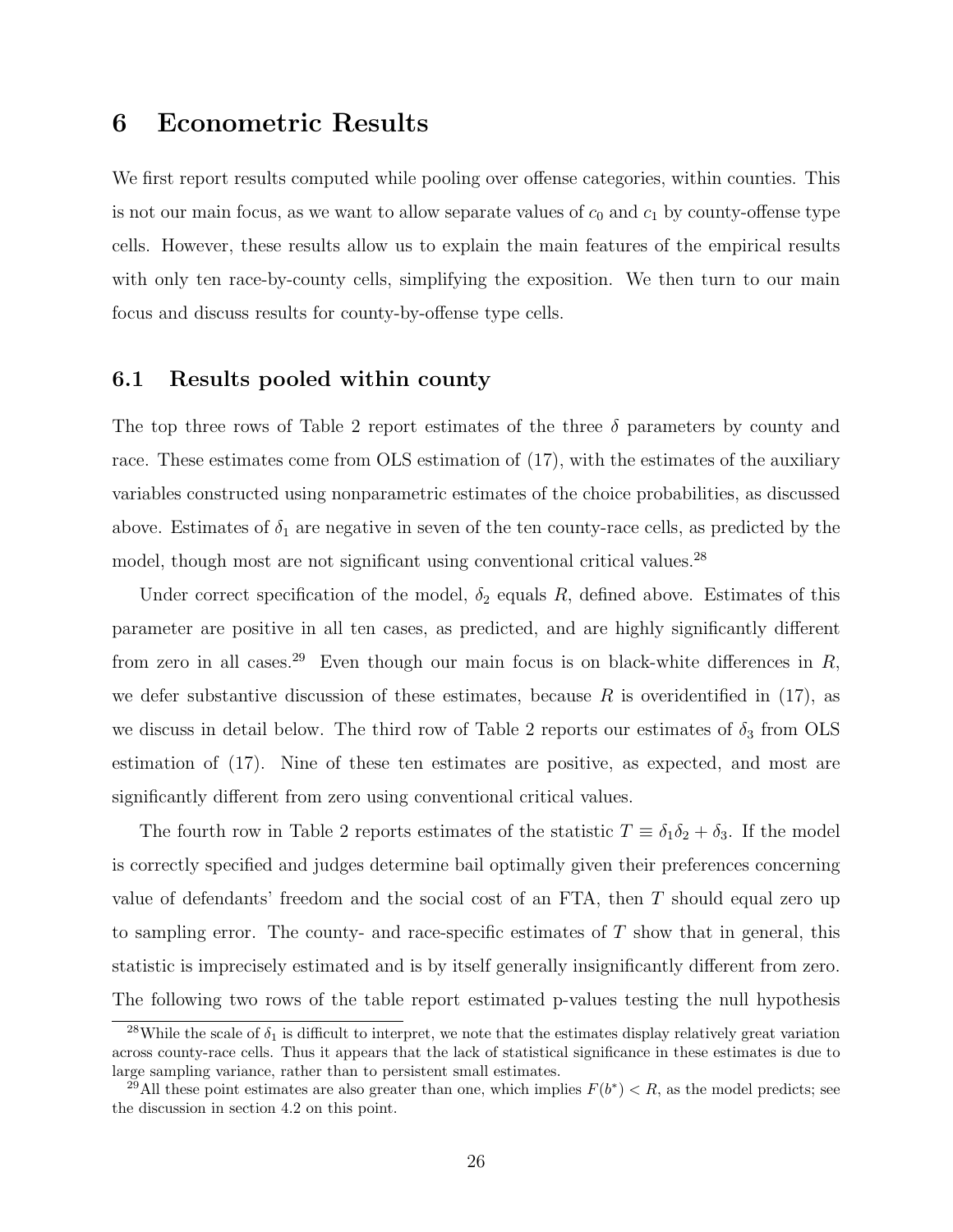### 6 Econometric Results

We first report results computed while pooling over offense categories, within counties. This is not our main focus, as we want to allow separate values of  $c_0$  and  $c_1$  by county-offense type cells. However, these results allow us to explain the main features of the empirical results with only ten race-by-county cells, simplifying the exposition. We then turn to our main focus and discuss results for county-by-offense type cells.

#### 6.1 Results pooled within county

The top three rows of Table 2 report estimates of the three  $\delta$  parameters by county and race. These estimates come from OLS estimation of (17), with the estimates of the auxiliary variables constructed using nonparametric estimates of the choice probabilities, as discussed above. Estimates of  $\delta_1$  are negative in seven of the ten county-race cells, as predicted by the model, though most are not significant using conventional critical values.<sup>28</sup>

Under correct specification of the model,  $\delta_2$  equals R, defined above. Estimates of this parameter are positive in all ten cases, as predicted, and are highly significantly different from zero in all cases.<sup>29</sup> Even though our main focus is on black-white differences in R, we defer substantive discussion of these estimates, because R is overidentified in  $(17)$ , as we discuss in detail below. The third row of Table 2 reports our estimates of  $\delta_3$  from OLS estimation of (17). Nine of these ten estimates are positive, as expected, and most are significantly different from zero using conventional critical values.

The fourth row in Table 2 reports estimates of the statistic  $T \equiv \delta_1 \delta_2 + \delta_3$ . If the model is correctly specified and judges determine bail optimally given their preferences concerning value of defendants' freedom and the social cost of an FTA, then T should equal zero up to sampling error. The county- and race-specific estimates of  $T$  show that in general, this statistic is imprecisely estimated and is by itself generally insignificantly different from zero. The following two rows of the table report estimated p-values testing the null hypothesis

<sup>&</sup>lt;sup>28</sup>While the scale of  $\delta_1$  is difficult to interpret, we note that the estimates display relatively great variation across county-race cells. Thus it appears that the lack of statistical significance in these estimates is due to large sampling variance, rather than to persistent small estimates.

<sup>&</sup>lt;sup>29</sup>All these point estimates are also greater than one, which implies  $F(b^*) < R$ , as the model predicts; see the discussion in section 4.2 on this point.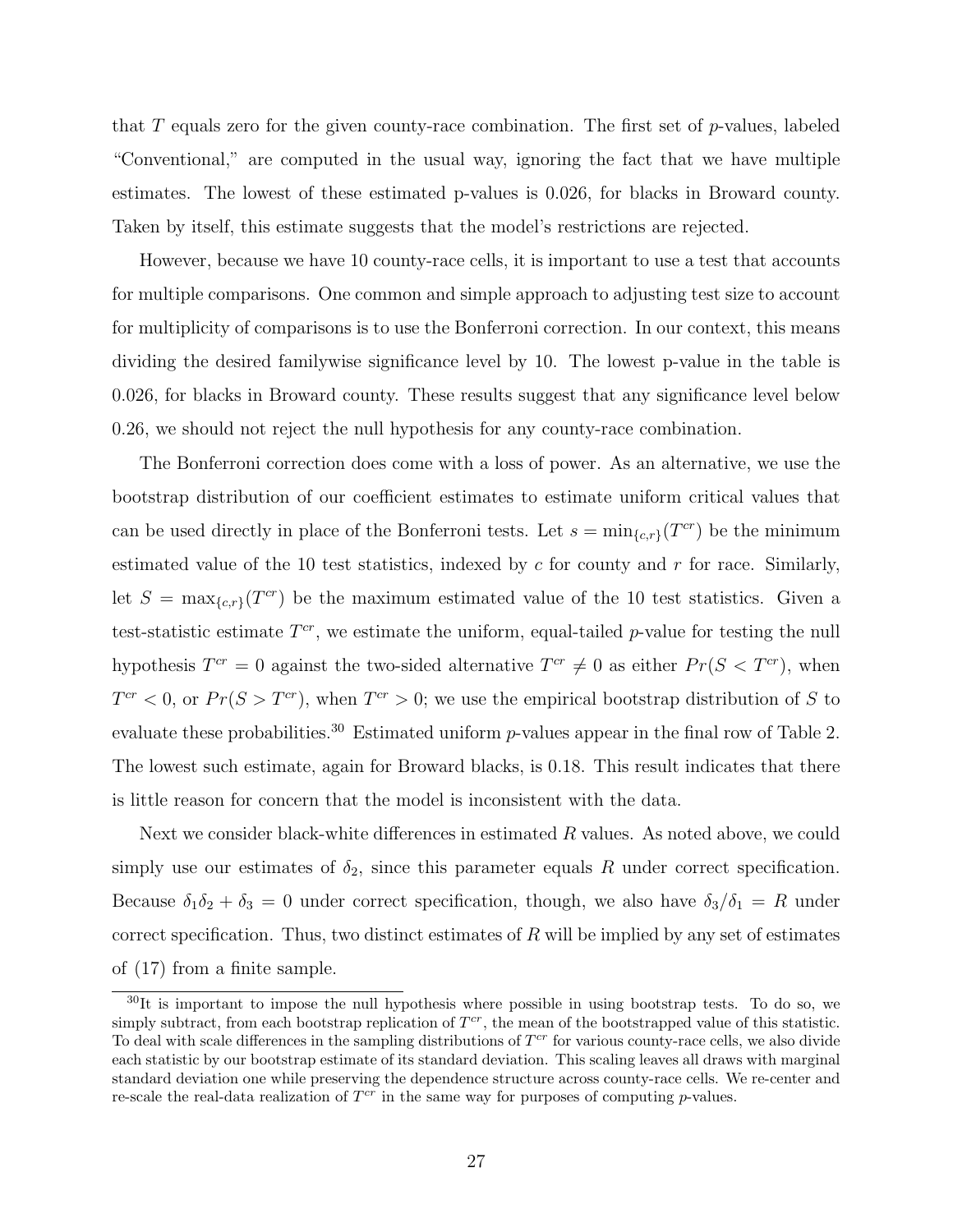that T equals zero for the given county-race combination. The first set of  $p$ -values, labeled "Conventional," are computed in the usual way, ignoring the fact that we have multiple estimates. The lowest of these estimated p-values is 0.026, for blacks in Broward county. Taken by itself, this estimate suggests that the model's restrictions are rejected.

However, because we have 10 county-race cells, it is important to use a test that accounts for multiple comparisons. One common and simple approach to adjusting test size to account for multiplicity of comparisons is to use the Bonferroni correction. In our context, this means dividing the desired familywise significance level by 10. The lowest p-value in the table is 0.026, for blacks in Broward county. These results suggest that any significance level below 0.26, we should not reject the null hypothesis for any county-race combination.

The Bonferroni correction does come with a loss of power. As an alternative, we use the bootstrap distribution of our coefficient estimates to estimate uniform critical values that can be used directly in place of the Bonferroni tests. Let  $s = \min_{\{c,r\}}(T^{cr})$  be the minimum estimated value of the 10 test statistics, indexed by  $c$  for county and  $r$  for race. Similarly, let  $S = \max_{\{c,r\}}(T^{cr})$  be the maximum estimated value of the 10 test statistics. Given a test-statistic estimate  $T^{cr}$ , we estimate the uniform, equal-tailed p-value for testing the null hypothesis  $T^{cr} = 0$  against the two-sided alternative  $T^{cr} \neq 0$  as either  $Pr(S < T^{cr})$ , when  $T^{cr} < 0$ , or  $Pr(S > T^{cr})$ , when  $T^{cr} > 0$ ; we use the empirical bootstrap distribution of S to evaluate these probabilities.<sup>30</sup> Estimated uniform  $p$ -values appear in the final row of Table 2. The lowest such estimate, again for Broward blacks, is 0.18. This result indicates that there is little reason for concern that the model is inconsistent with the data.

Next we consider black-white differences in estimated  $R$  values. As noted above, we could simply use our estimates of  $\delta_2$ , since this parameter equals R under correct specification. Because  $\delta_1 \delta_2 + \delta_3 = 0$  under correct specification, though, we also have  $\delta_3/\delta_1 = R$  under correct specification. Thus, two distinct estimates of  $R$  will be implied by any set of estimates of (17) from a finite sample.

 $30$ It is important to impose the null hypothesis where possible in using bootstrap tests. To do so, we simply subtract, from each bootstrap replication of  $T^{cr}$ , the mean of the bootstrapped value of this statistic. To deal with scale differences in the sampling distributions of  $T^{cr}$  for various county-race cells, we also divide each statistic by our bootstrap estimate of its standard deviation. This scaling leaves all draws with marginal standard deviation one while preserving the dependence structure across county-race cells. We re-center and re-scale the real-data realization of  $T^{cr}$  in the same way for purposes of computing p-values.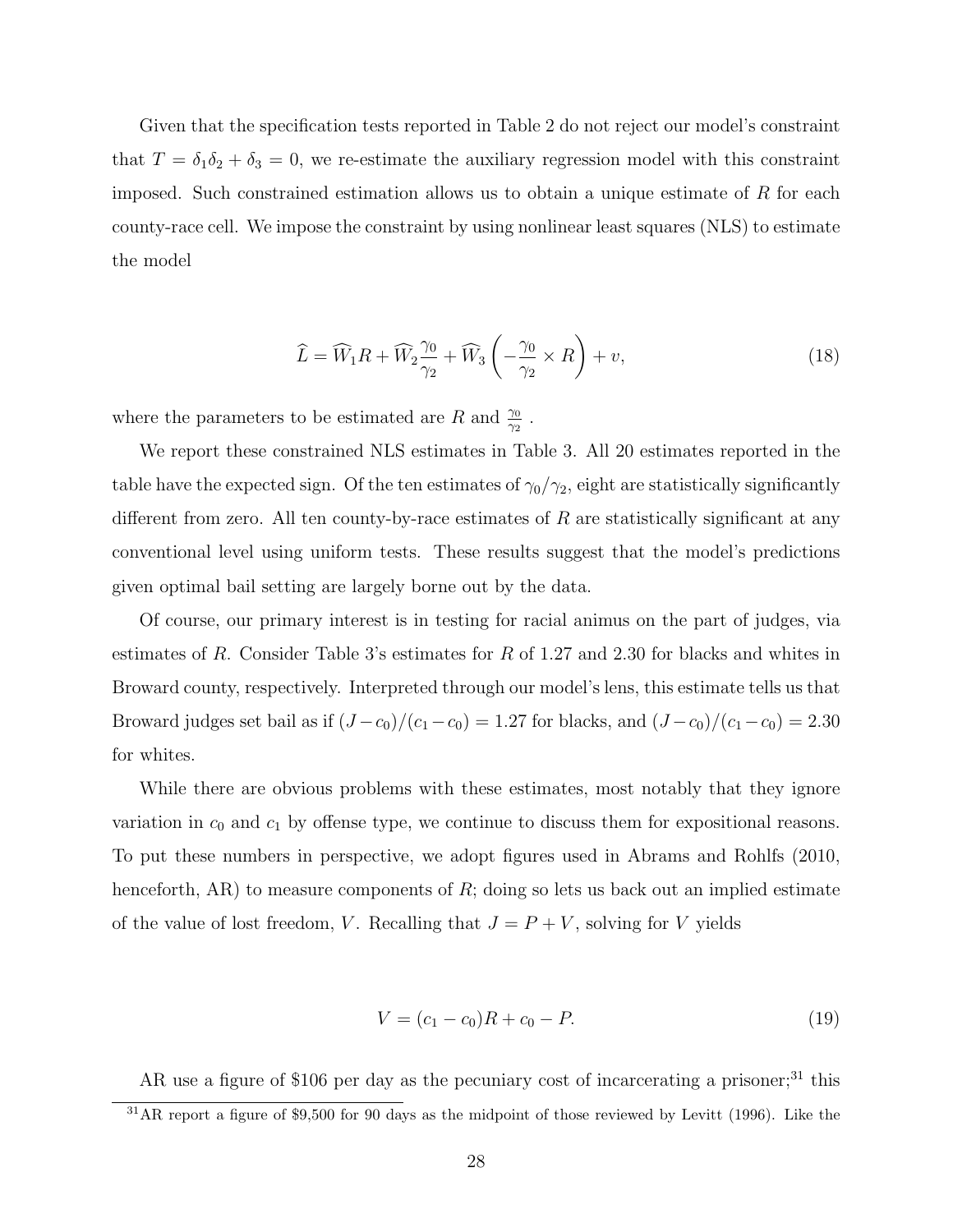Given that the specification tests reported in Table 2 do not reject our model's constraint that  $T = \delta_1 \delta_2 + \delta_3 = 0$ , we re-estimate the auxiliary regression model with this constraint imposed. Such constrained estimation allows us to obtain a unique estimate of  $R$  for each county-race cell. We impose the constraint by using nonlinear least squares (NLS) to estimate the model

$$
\widehat{L} = \widehat{W}_1 R + \widehat{W}_2 \frac{\gamma_0}{\gamma_2} + \widehat{W}_3 \left( -\frac{\gamma_0}{\gamma_2} \times R \right) + v,\tag{18}
$$

where the parameters to be estimated are R and  $\frac{\gamma_0}{\gamma_2}$ .

We report these constrained NLS estimates in Table 3. All 20 estimates reported in the table have the expected sign. Of the ten estimates of  $\gamma_0/\gamma_2$ , eight are statistically significantly different from zero. All ten county-by-race estimates of  $R$  are statistically significant at any conventional level using uniform tests. These results suggest that the model's predictions given optimal bail setting are largely borne out by the data.

Of course, our primary interest is in testing for racial animus on the part of judges, via estimates of R. Consider Table 3's estimates for R of 1.27 and 2.30 for blacks and whites in Broward county, respectively. Interpreted through our model's lens, this estimate tells us that Broward judges set bail as if  $(J - c_0)/(c_1 - c_0) = 1.27$  for blacks, and  $(J - c_0)/(c_1 - c_0) = 2.30$ for whites.

While there are obvious problems with these estimates, most notably that they ignore variation in  $c_0$  and  $c_1$  by offense type, we continue to discuss them for expositional reasons. To put these numbers in perspective, we adopt figures used in Abrams and Rohlfs (2010, henceforth, AR) to measure components of  $R$ ; doing so lets us back out an implied estimate of the value of lost freedom, V. Recalling that  $J = P + V$ , solving for V yields

$$
V = (c_1 - c_0)R + c_0 - P.
$$
\n(19)

AR use a figure of \$106 per day as the pecuniary cost of incarcerating a prisoner;<sup>31</sup> this

 $31AR$  report a figure of \$9,500 for 90 days as the midpoint of those reviewed by Levitt (1996). Like the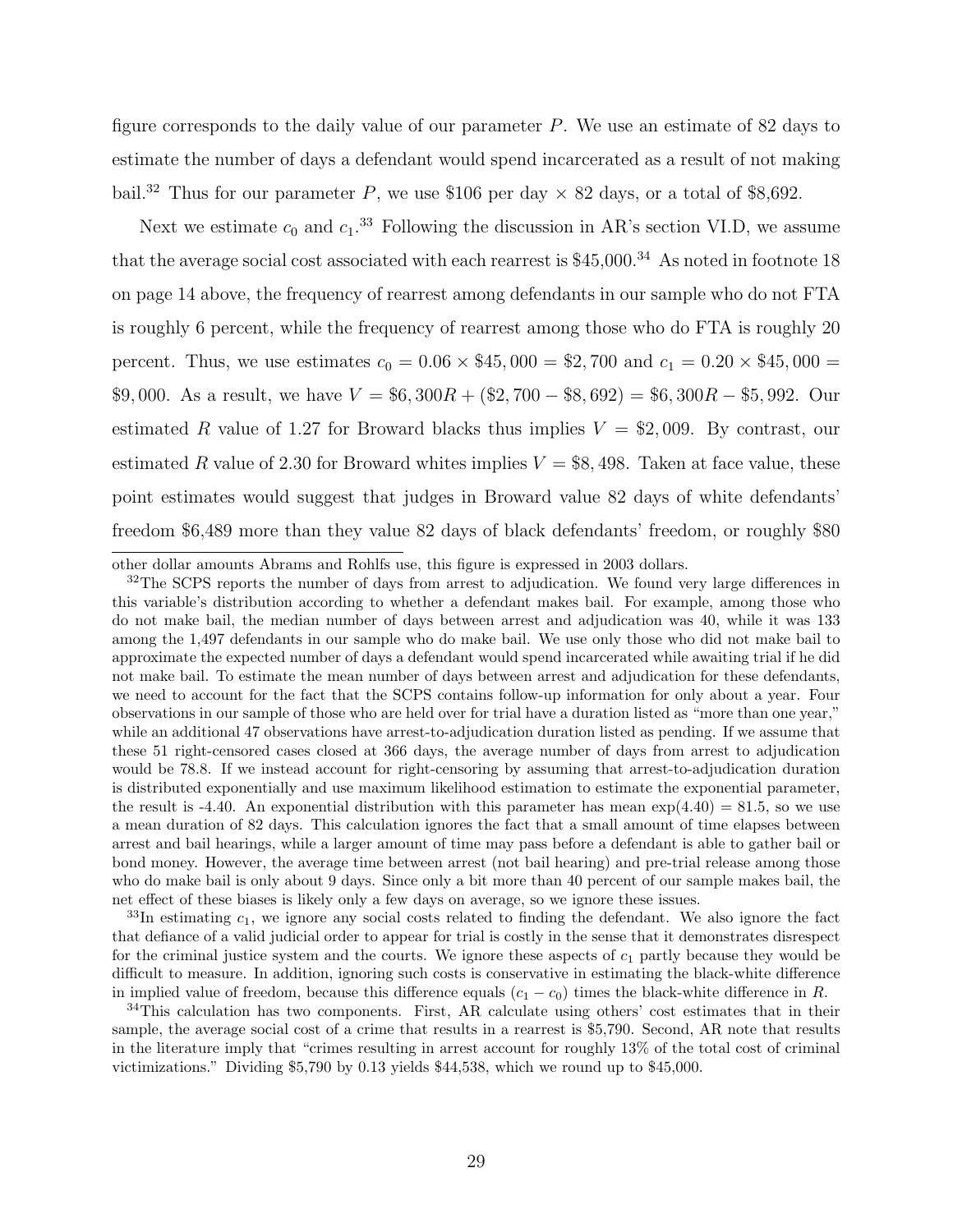figure corresponds to the daily value of our parameter  $P$ . We use an estimate of 82 days to estimate the number of days a defendant would spend incarcerated as a result of not making bail.<sup>32</sup> Thus for our parameter P, we use \$106 per day  $\times$  82 days, or a total of \$8,692.

Next we estimate  $c_0$  and  $c_1$ .<sup>33</sup> Following the discussion in AR's section VI.D, we assume that the average social cost associated with each rearrest is  $$45,000$ .<sup>34</sup> As noted in footnote 18 on page 14 above, the frequency of rearrest among defendants in our sample who do not FTA is roughly 6 percent, while the frequency of rearrest among those who do FTA is roughly 20 percent. Thus, we use estimates  $c_0 = 0.06 \times $45,000 = $2,700$  and  $c_1 = 0.20 \times $45,000 = $2,000$ \$9,000. As a result, we have  $V = $6,300R + ($2,700 - $8,692) = $6,300R - $5,992$ . Our estimated R value of 1.27 for Broward blacks thus implies  $V = $2,009$ . By contrast, our estimated R value of 2.30 for Broward whites implies  $V = $8,498$ . Taken at face value, these point estimates would suggest that judges in Broward value 82 days of white defendants' freedom \$6,489 more than they value 82 days of black defendants' freedom, or roughly \$80

 $33$ In estimating  $c_1$ , we ignore any social costs related to finding the defendant. We also ignore the fact that defiance of a valid judicial order to appear for trial is costly in the sense that it demonstrates disrespect for the criminal justice system and the courts. We ignore these aspects of  $c_1$  partly because they would be difficult to measure. In addition, ignoring such costs is conservative in estimating the black-white difference in implied value of freedom, because this difference equals  $(c_1 - c_0)$  times the black-white difference in R.

other dollar amounts Abrams and Rohlfs use, this figure is expressed in 2003 dollars.

 $32$ The SCPS reports the number of days from arrest to adjudication. We found very large differences in this variable's distribution according to whether a defendant makes bail. For example, among those who do not make bail, the median number of days between arrest and adjudication was 40, while it was 133 among the 1,497 defendants in our sample who do make bail. We use only those who did not make bail to approximate the expected number of days a defendant would spend incarcerated while awaiting trial if he did not make bail. To estimate the mean number of days between arrest and adjudication for these defendants, we need to account for the fact that the SCPS contains follow-up information for only about a year. Four observations in our sample of those who are held over for trial have a duration listed as "more than one year," while an additional 47 observations have arrest-to-adjudication duration listed as pending. If we assume that these 51 right-censored cases closed at 366 days, the average number of days from arrest to adjudication would be 78.8. If we instead account for right-censoring by assuming that arrest-to-adjudication duration is distributed exponentially and use maximum likelihood estimation to estimate the exponential parameter, the result is -4.40. An exponential distribution with this parameter has mean  $\exp(4.40) = 81.5$ , so we use a mean duration of 82 days. This calculation ignores the fact that a small amount of time elapses between arrest and bail hearings, while a larger amount of time may pass before a defendant is able to gather bail or bond money. However, the average time between arrest (not bail hearing) and pre-trial release among those who do make bail is only about 9 days. Since only a bit more than 40 percent of our sample makes bail, the net effect of these biases is likely only a few days on average, so we ignore these issues.

<sup>&</sup>lt;sup>34</sup>This calculation has two components. First, AR calculate using others' cost estimates that in their sample, the average social cost of a crime that results in a rearrest is \$5,790. Second, AR note that results in the literature imply that "crimes resulting in arrest account for roughly 13% of the total cost of criminal victimizations." Dividing \$5,790 by 0.13 yields \$44,538, which we round up to \$45,000.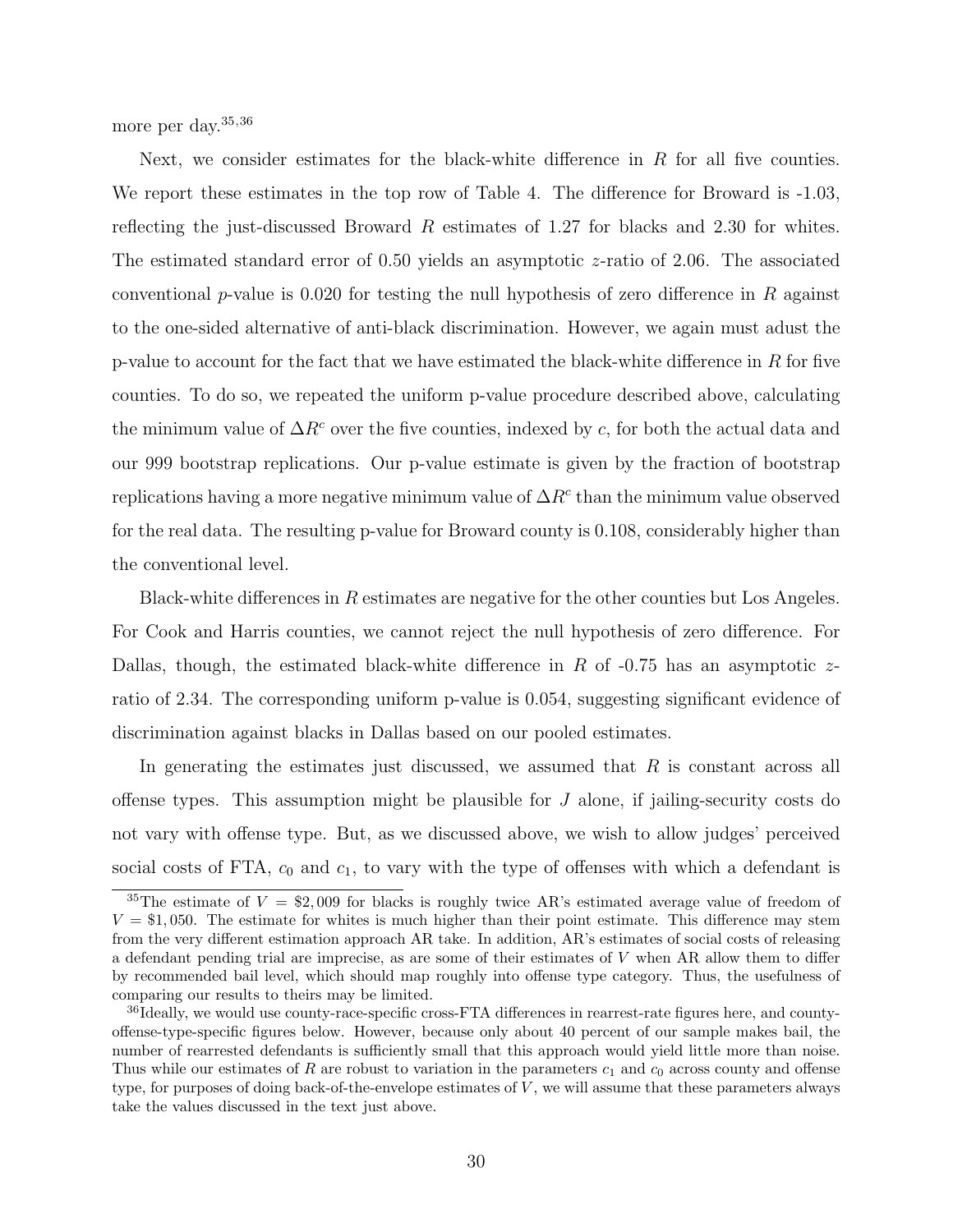more per day.<sup>35,36</sup>

Next, we consider estimates for the black-white difference in  $R$  for all five counties. We report these estimates in the top row of Table 4. The difference for Broward is  $-1.03$ , reflecting the just-discussed Broward  $R$  estimates of 1.27 for blacks and 2.30 for whites. The estimated standard error of 0.50 yields an asymptotic z-ratio of 2.06. The associated conventional p-value is 0.020 for testing the null hypothesis of zero difference in R against to the one-sided alternative of anti-black discrimination. However, we again must adust the p-value to account for the fact that we have estimated the black-white difference in R for five counties. To do so, we repeated the uniform p-value procedure described above, calculating the minimum value of  $\Delta R^c$  over the five counties, indexed by c, for both the actual data and our 999 bootstrap replications. Our p-value estimate is given by the fraction of bootstrap replications having a more negative minimum value of  $\Delta R^c$  than the minimum value observed for the real data. The resulting p-value for Broward county is 0.108, considerably higher than the conventional level.

Black-white differences in  $R$  estimates are negative for the other counties but Los Angeles. For Cook and Harris counties, we cannot reject the null hypothesis of zero difference. For Dallas, though, the estimated black-white difference in R of  $-0.75$  has an asymptotic zratio of 2.34. The corresponding uniform p-value is 0.054, suggesting significant evidence of discrimination against blacks in Dallas based on our pooled estimates.

In generating the estimates just discussed, we assumed that  $R$  is constant across all offense types. This assumption might be plausible for  $J$  alone, if jailing-security costs do not vary with offense type. But, as we discussed above, we wish to allow judges' perceived social costs of FTA,  $c_0$  and  $c_1$ , to vary with the type of offenses with which a defendant is

<sup>&</sup>lt;sup>35</sup>The estimate of  $V = $2,009$  for blacks is roughly twice AR's estimated average value of freedom of  $V = $1,050$ . The estimate for whites is much higher than their point estimate. This difference may stem from the very different estimation approach AR take. In addition, AR's estimates of social costs of releasing a defendant pending trial are imprecise, as are some of their estimates of V when AR allow them to differ by recommended bail level, which should map roughly into offense type category. Thus, the usefulness of comparing our results to theirs may be limited.

<sup>&</sup>lt;sup>36</sup>Ideally, we would use county-race-specific cross-FTA differences in rearrest-rate figures here, and countyoffense-type-specific figures below. However, because only about 40 percent of our sample makes bail, the number of rearrested defendants is sufficiently small that this approach would yield little more than noise. Thus while our estimates of R are robust to variation in the parameters  $c_1$  and  $c_0$  across county and offense type, for purposes of doing back-of-the-envelope estimates of V , we will assume that these parameters always take the values discussed in the text just above.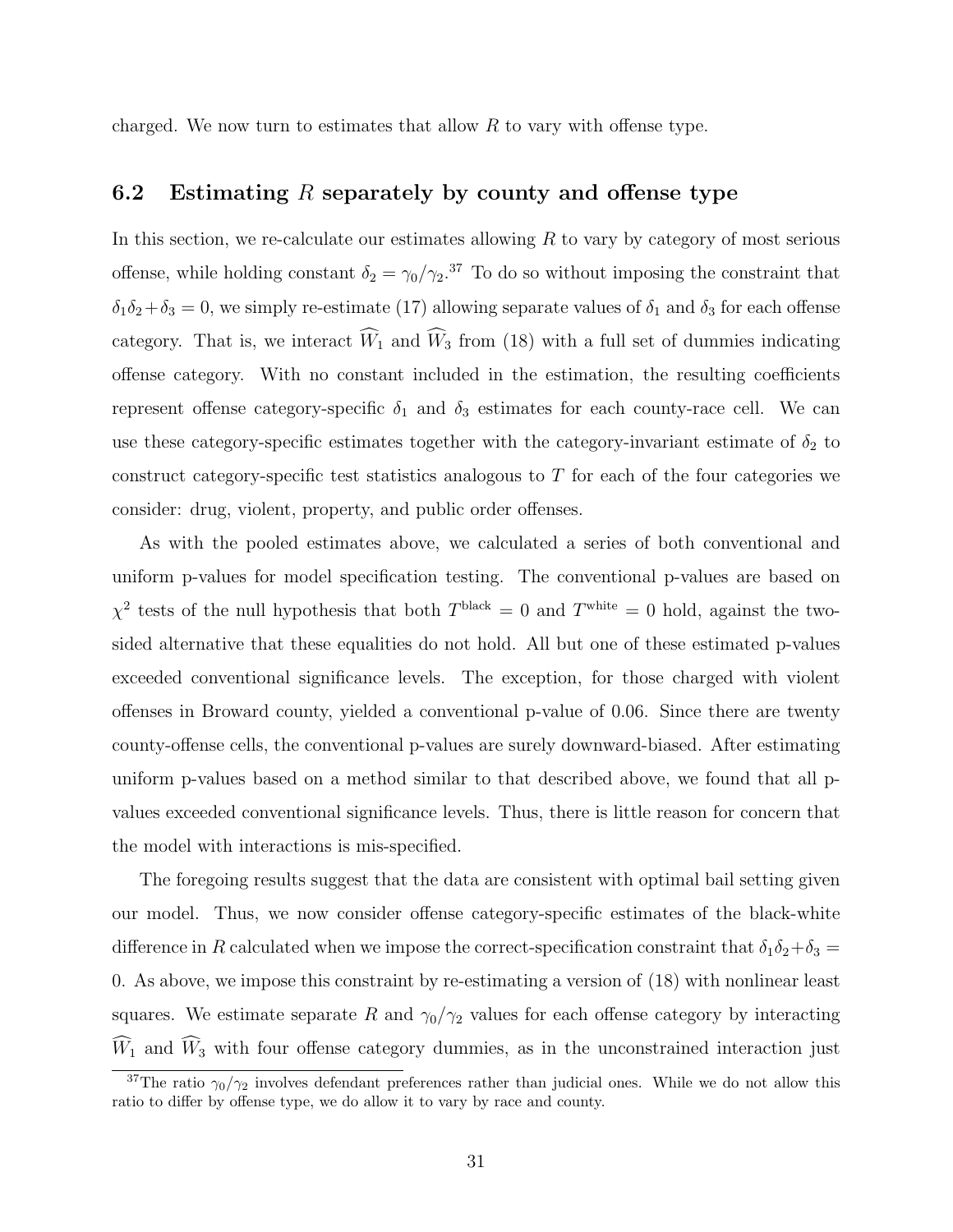charged. We now turn to estimates that allow  $R$  to vary with offense type.

### 6.2 Estimating R separately by county and offense type

In this section, we re-calculate our estimates allowing  $R$  to vary by category of most serious offense, while holding constant  $\delta_2 = \gamma_0/\gamma_2$ .<sup>37</sup> To do so without imposing the constraint that  $\delta_1\delta_2+\delta_3=0$ , we simply re-estimate (17) allowing separate values of  $\delta_1$  and  $\delta_3$  for each offense category. That is, we interact  $\widehat{W}_1$  and  $\widehat{W}_3$  from (18) with a full set of dummies indicating offense category. With no constant included in the estimation, the resulting coefficients represent offense category-specific  $\delta_1$  and  $\delta_3$  estimates for each county-race cell. We can use these category-specific estimates together with the category-invariant estimate of  $\delta_2$  to construct category-specific test statistics analogous to  $T$  for each of the four categories we consider: drug, violent, property, and public order offenses.

As with the pooled estimates above, we calculated a series of both conventional and uniform p-values for model specification testing. The conventional p-values are based on  $\chi^2$  tests of the null hypothesis that both  $T^{\text{black}} = 0$  and  $T^{\text{white}} = 0$  hold, against the twosided alternative that these equalities do not hold. All but one of these estimated p-values exceeded conventional significance levels. The exception, for those charged with violent offenses in Broward county, yielded a conventional p-value of 0.06. Since there are twenty county-offense cells, the conventional p-values are surely downward-biased. After estimating uniform p-values based on a method similar to that described above, we found that all pvalues exceeded conventional significance levels. Thus, there is little reason for concern that the model with interactions is mis-specified.

The foregoing results suggest that the data are consistent with optimal bail setting given our model. Thus, we now consider offense category-specific estimates of the black-white difference in R calculated when we impose the correct-specification constraint that  $\delta_1\delta_2+\delta_3=$ 0. As above, we impose this constraint by re-estimating a version of (18) with nonlinear least squares. We estimate separate R and  $\gamma_0/\gamma_2$  values for each offense category by interacting  $\widehat{W}_1$  and  $\widehat{W}_3$  with four offense category dummies, as in the unconstrained interaction just

<sup>&</sup>lt;sup>37</sup>The ratio  $\gamma_0/\gamma_2$  involves defendant preferences rather than judicial ones. While we do not allow this ratio to differ by offense type, we do allow it to vary by race and county.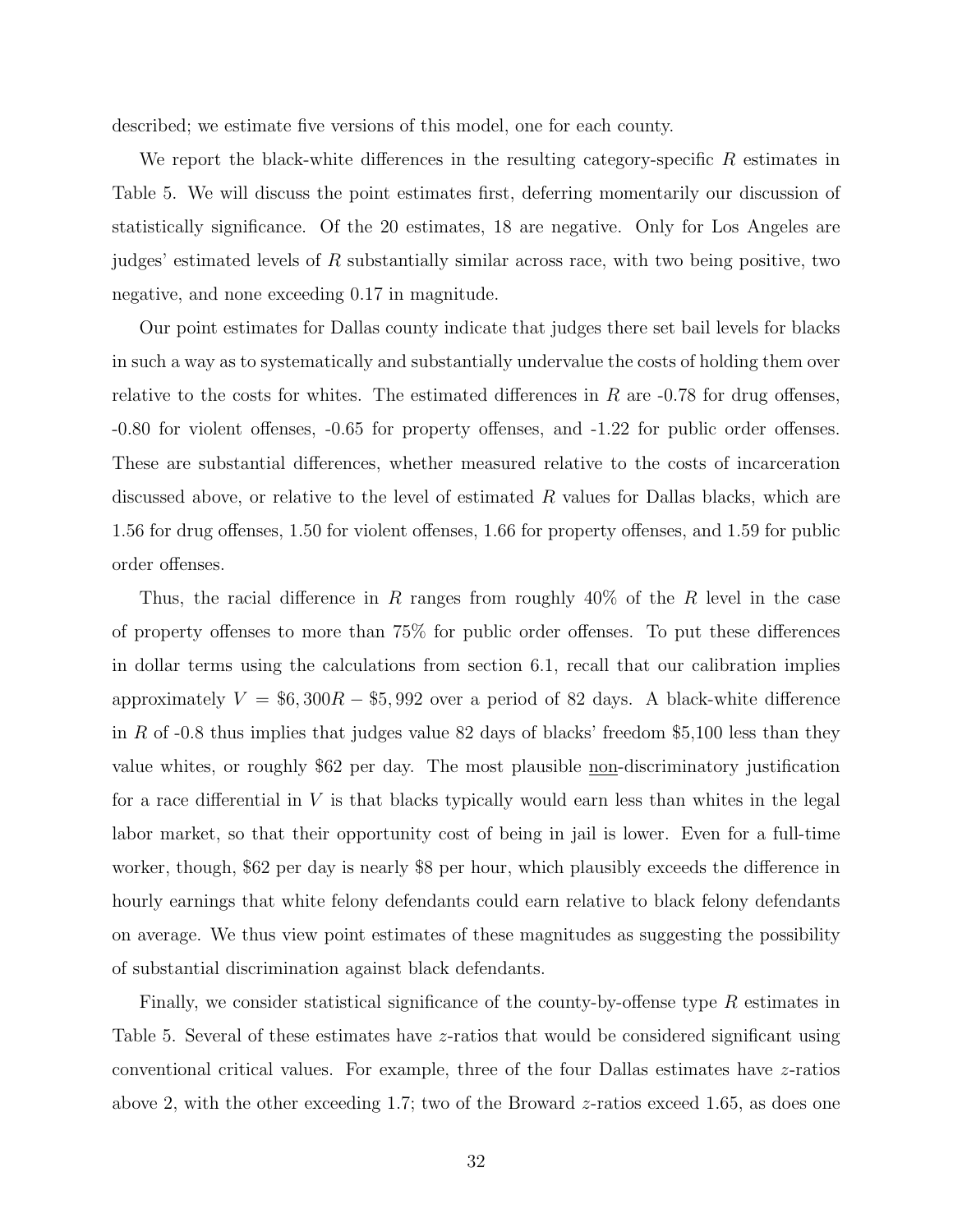described; we estimate five versions of this model, one for each county.

We report the black-white differences in the resulting category-specific  $R$  estimates in Table 5. We will discuss the point estimates first, deferring momentarily our discussion of statistically significance. Of the 20 estimates, 18 are negative. Only for Los Angeles are judges' estimated levels of R substantially similar across race, with two being positive, two negative, and none exceeding 0.17 in magnitude.

Our point estimates for Dallas county indicate that judges there set bail levels for blacks in such a way as to systematically and substantially undervalue the costs of holding them over relative to the costs for whites. The estimated differences in  $R$  are  $-0.78$  for drug offenses, -0.80 for violent offenses, -0.65 for property offenses, and -1.22 for public order offenses. These are substantial differences, whether measured relative to the costs of incarceration discussed above, or relative to the level of estimated R values for Dallas blacks, which are 1.56 for drug offenses, 1.50 for violent offenses, 1.66 for property offenses, and 1.59 for public order offenses.

Thus, the racial difference in R ranges from roughly  $40\%$  of the R level in the case of property offenses to more than 75% for public order offenses. To put these differences in dollar terms using the calculations from section 6.1, recall that our calibration implies approximately  $V = $6,300R - $5,992$  over a period of 82 days. A black-white difference in R of  $-0.8$  thus implies that judges value 82 days of blacks' freedom \$5,100 less than they value whites, or roughly \$62 per day. The most plausible non-discriminatory justification for a race differential in  $V$  is that blacks typically would earn less than whites in the legal labor market, so that their opportunity cost of being in jail is lower. Even for a full-time worker, though, \$62 per day is nearly \$8 per hour, which plausibly exceeds the difference in hourly earnings that white felony defendants could earn relative to black felony defendants on average. We thus view point estimates of these magnitudes as suggesting the possibility of substantial discrimination against black defendants.

Finally, we consider statistical significance of the county-by-offense type  $R$  estimates in Table 5. Several of these estimates have z-ratios that would be considered significant using conventional critical values. For example, three of the four Dallas estimates have z-ratios above 2, with the other exceeding 1.7; two of the Broward z-ratios exceed 1.65, as does one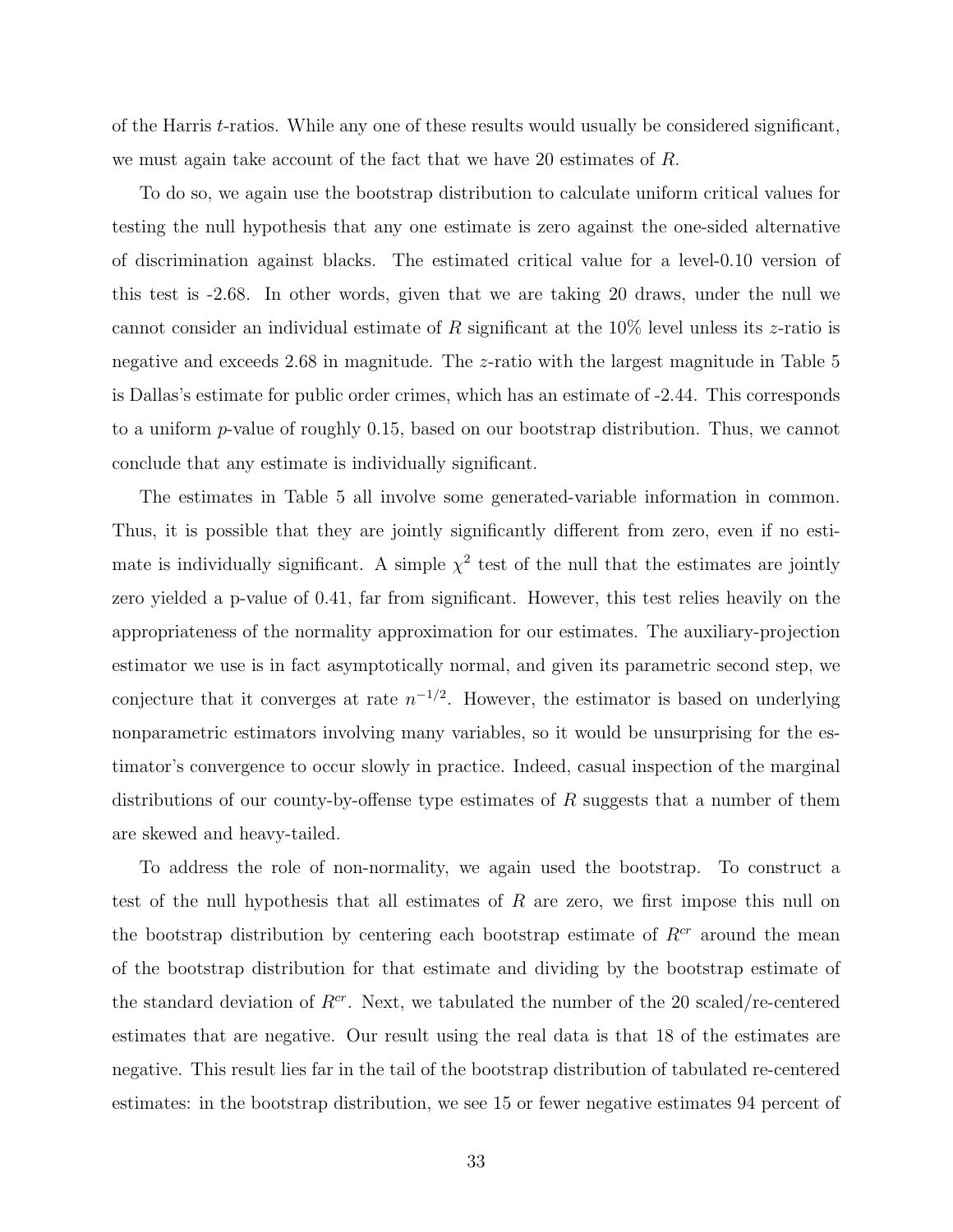of the Harris t-ratios. While any one of these results would usually be considered significant, we must again take account of the fact that we have 20 estimates of R.

To do so, we again use the bootstrap distribution to calculate uniform critical values for testing the null hypothesis that any one estimate is zero against the one-sided alternative of discrimination against blacks. The estimated critical value for a level-0.10 version of this test is -2.68. In other words, given that we are taking 20 draws, under the null we cannot consider an individual estimate of R significant at the  $10\%$  level unless its z-ratio is negative and exceeds 2.68 in magnitude. The z-ratio with the largest magnitude in Table 5 is Dallas's estimate for public order crimes, which has an estimate of -2.44. This corresponds to a uniform p-value of roughly 0.15, based on our bootstrap distribution. Thus, we cannot conclude that any estimate is individually significant.

The estimates in Table 5 all involve some generated-variable information in common. Thus, it is possible that they are jointly significantly different from zero, even if no estimate is individually significant. A simple  $\chi^2$  test of the null that the estimates are jointly zero yielded a p-value of 0.41, far from significant. However, this test relies heavily on the appropriateness of the normality approximation for our estimates. The auxiliary-projection estimator we use is in fact asymptotically normal, and given its parametric second step, we conjecture that it converges at rate  $n^{-1/2}$ . However, the estimator is based on underlying nonparametric estimators involving many variables, so it would be unsurprising for the estimator's convergence to occur slowly in practice. Indeed, casual inspection of the marginal distributions of our county-by-offense type estimates of  $R$  suggests that a number of them are skewed and heavy-tailed.

To address the role of non-normality, we again used the bootstrap. To construct a test of the null hypothesis that all estimates of  $R$  are zero, we first impose this null on the bootstrap distribution by centering each bootstrap estimate of  $R<sup>cr</sup>$  around the mean of the bootstrap distribution for that estimate and dividing by the bootstrap estimate of the standard deviation of  $R^{cr}$ . Next, we tabulated the number of the 20 scaled/re-centered estimates that are negative. Our result using the real data is that 18 of the estimates are negative. This result lies far in the tail of the bootstrap distribution of tabulated re-centered estimates: in the bootstrap distribution, we see 15 or fewer negative estimates 94 percent of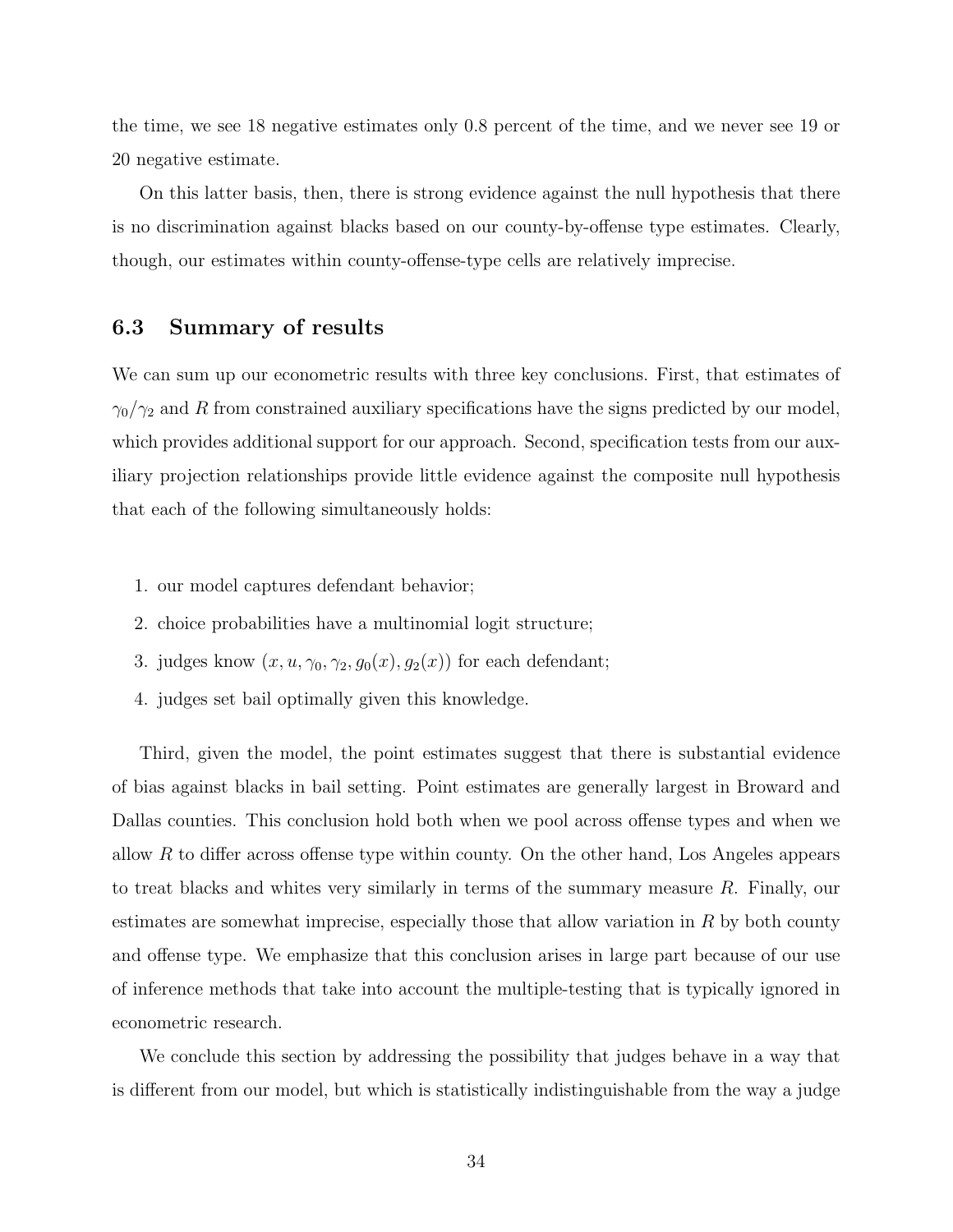the time, we see 18 negative estimates only 0.8 percent of the time, and we never see 19 or 20 negative estimate.

On this latter basis, then, there is strong evidence against the null hypothesis that there is no discrimination against blacks based on our county-by-offense type estimates. Clearly, though, our estimates within county-offense-type cells are relatively imprecise.

#### 6.3 Summary of results

We can sum up our econometric results with three key conclusions. First, that estimates of  $\gamma_0/\gamma_2$  and R from constrained auxiliary specifications have the signs predicted by our model, which provides additional support for our approach. Second, specification tests from our auxiliary projection relationships provide little evidence against the composite null hypothesis that each of the following simultaneously holds:

- 1. our model captures defendant behavior;
- 2. choice probabilities have a multinomial logit structure;
- 3. judges know  $(x, u, \gamma_0, \gamma_2, g_0(x), g_2(x))$  for each defendant;
- 4. judges set bail optimally given this knowledge.

Third, given the model, the point estimates suggest that there is substantial evidence of bias against blacks in bail setting. Point estimates are generally largest in Broward and Dallas counties. This conclusion hold both when we pool across offense types and when we allow  $R$  to differ across offense type within county. On the other hand, Los Angeles appears to treat blacks and whites very similarly in terms of the summary measure R. Finally, our estimates are somewhat imprecise, especially those that allow variation in  $R$  by both county and offense type. We emphasize that this conclusion arises in large part because of our use of inference methods that take into account the multiple-testing that is typically ignored in econometric research.

We conclude this section by addressing the possibility that judges behave in a way that is different from our model, but which is statistically indistinguishable from the way a judge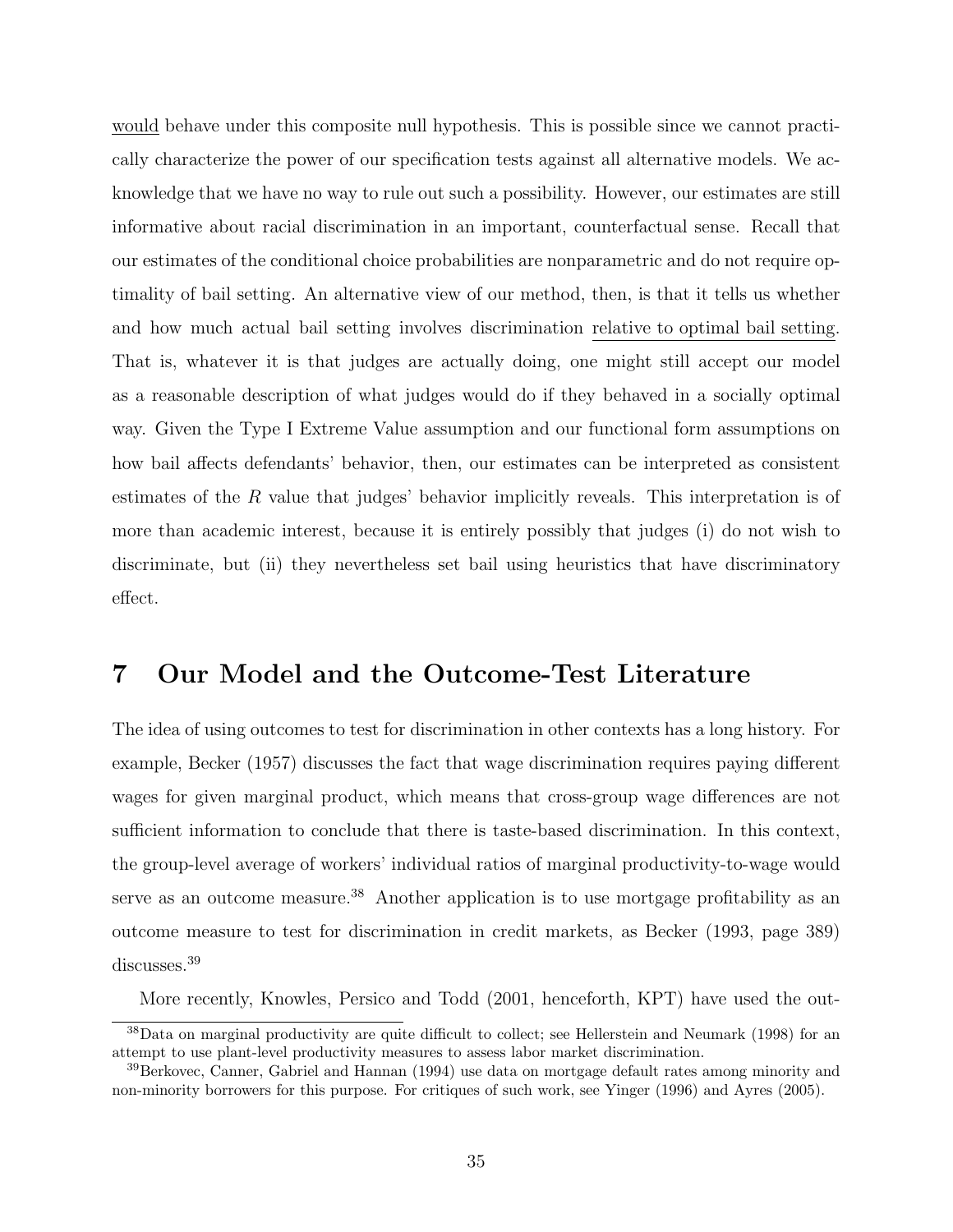would behave under this composite null hypothesis. This is possible since we cannot practically characterize the power of our specification tests against all alternative models. We acknowledge that we have no way to rule out such a possibility. However, our estimates are still informative about racial discrimination in an important, counterfactual sense. Recall that our estimates of the conditional choice probabilities are nonparametric and do not require optimality of bail setting. An alternative view of our method, then, is that it tells us whether and how much actual bail setting involves discrimination relative to optimal bail setting. That is, whatever it is that judges are actually doing, one might still accept our model as a reasonable description of what judges would do if they behaved in a socially optimal way. Given the Type I Extreme Value assumption and our functional form assumptions on how bail affects defendants' behavior, then, our estimates can be interpreted as consistent estimates of the R value that judges' behavior implicitly reveals. This interpretation is of more than academic interest, because it is entirely possibly that judges (i) do not wish to discriminate, but (ii) they nevertheless set bail using heuristics that have discriminatory effect.

### 7 Our Model and the Outcome-Test Literature

The idea of using outcomes to test for discrimination in other contexts has a long history. For example, Becker (1957) discusses the fact that wage discrimination requires paying different wages for given marginal product, which means that cross-group wage differences are not sufficient information to conclude that there is taste-based discrimination. In this context, the group-level average of workers' individual ratios of marginal productivity-to-wage would serve as an outcome measure.<sup>38</sup> Another application is to use mortgage profitability as an outcome measure to test for discrimination in credit markets, as Becker (1993, page 389) discusses.<sup>39</sup>

More recently, Knowles, Persico and Todd (2001, henceforth, KPT) have used the out-

<sup>38</sup>Data on marginal productivity are quite difficult to collect; see Hellerstein and Neumark (1998) for an attempt to use plant-level productivity measures to assess labor market discrimination.

<sup>&</sup>lt;sup>39</sup>Berkovec, Canner, Gabriel and Hannan (1994) use data on mortgage default rates among minority and non-minority borrowers for this purpose. For critiques of such work, see Yinger (1996) and Ayres (2005).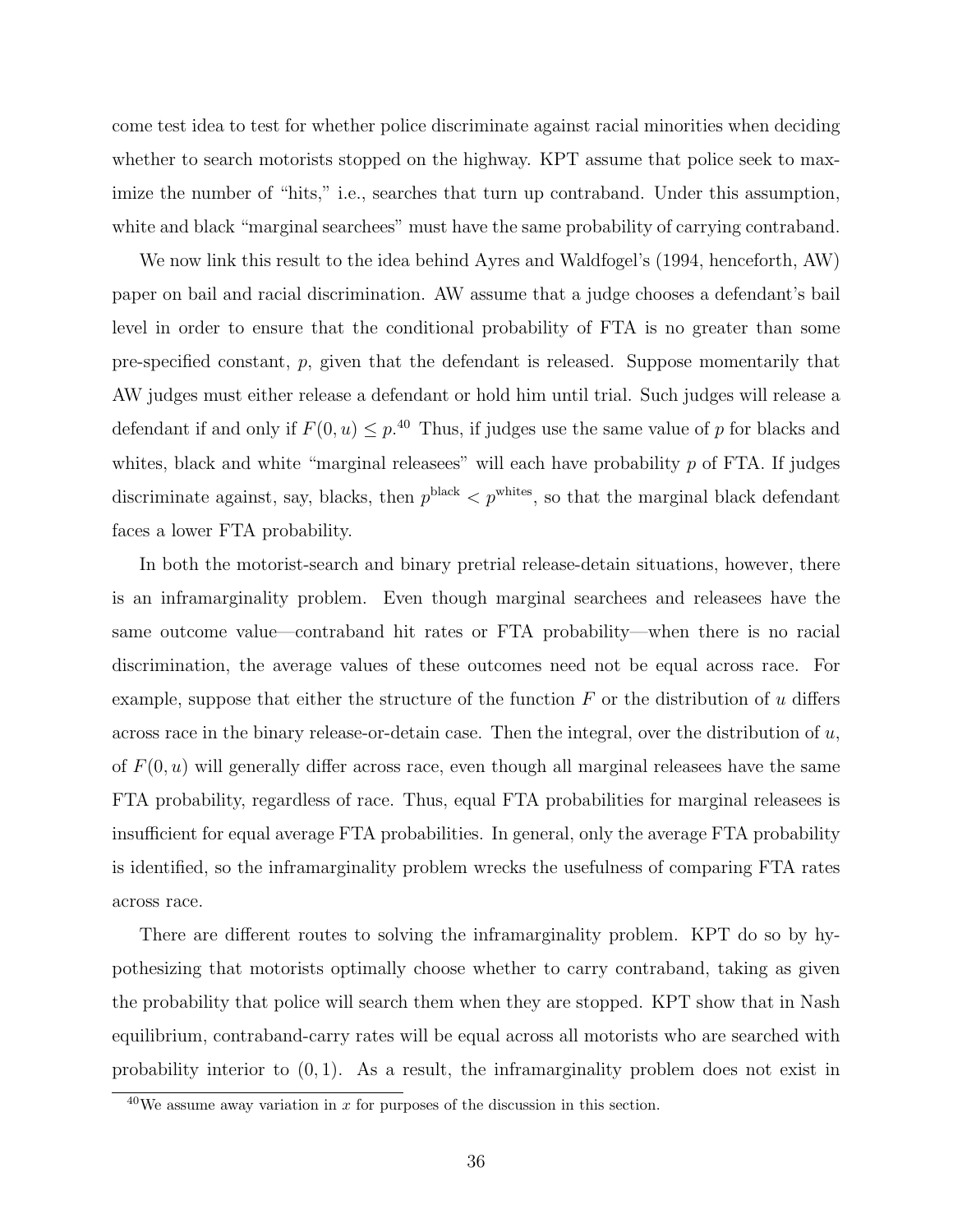come test idea to test for whether police discriminate against racial minorities when deciding whether to search motorists stopped on the highway. KPT assume that police seek to maximize the number of "hits," i.e., searches that turn up contraband. Under this assumption, white and black "marginal searchees" must have the same probability of carrying contraband.

We now link this result to the idea behind Ayres and Waldfogel's (1994, henceforth, AW) paper on bail and racial discrimination. AW assume that a judge chooses a defendant's bail level in order to ensure that the conditional probability of FTA is no greater than some pre-specified constant, p, given that the defendant is released. Suppose momentarily that AW judges must either release a defendant or hold him until trial. Such judges will release a defendant if and only if  $F(0, u) \leq p^{40}$  Thus, if judges use the same value of p for blacks and whites, black and white "marginal releasees" will each have probability  $p$  of FTA. If judges discriminate against, say, blacks, then  $p^{\text{black}} < p^{\text{whites}}$ , so that the marginal black defendant faces a lower FTA probability.

In both the motorist-search and binary pretrial release-detain situations, however, there is an inframarginality problem. Even though marginal searchees and releasees have the same outcome value—contraband hit rates or FTA probability—when there is no racial discrimination, the average values of these outcomes need not be equal across race. For example, suppose that either the structure of the function  $F$  or the distribution of u differs across race in the binary release-or-detain case. Then the integral, over the distribution of  $u$ , of  $F(0, u)$  will generally differ across race, even though all marginal releasees have the same FTA probability, regardless of race. Thus, equal FTA probabilities for marginal releasees is insufficient for equal average FTA probabilities. In general, only the average FTA probability is identified, so the inframarginality problem wrecks the usefulness of comparing FTA rates across race.

There are different routes to solving the inframarginality problem. KPT do so by hypothesizing that motorists optimally choose whether to carry contraband, taking as given the probability that police will search them when they are stopped. KPT show that in Nash equilibrium, contraband-carry rates will be equal across all motorists who are searched with probability interior to  $(0, 1)$ . As a result, the inframarginality problem does not exist in

 $^{40}$ We assume away variation in x for purposes of the discussion in this section.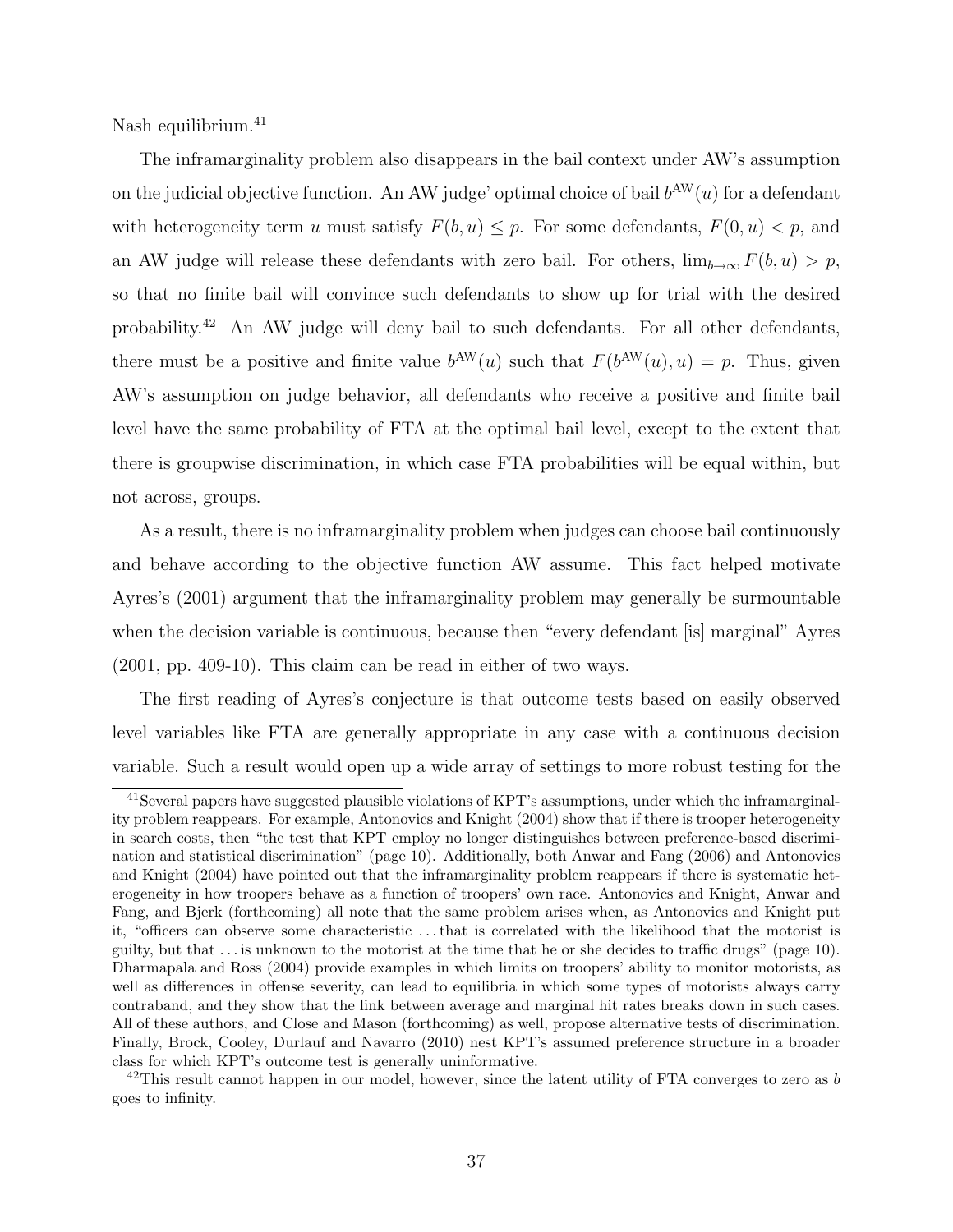Nash equilibrium.<sup>41</sup>

The inframarginality problem also disappears in the bail context under AW's assumption on the judicial objective function. An AW judge' optimal choice of bail  $b^{AW}(u)$  for a defendant with heterogeneity term u must satisfy  $F(b, u) \leq p$ . For some defendants,  $F(0, u) < p$ , and an AW judge will release these defendants with zero bail. For others,  $\lim_{b\to\infty} F(b, u) > p$ , so that no finite bail will convince such defendants to show up for trial with the desired probability.<sup>42</sup> An AW judge will deny bail to such defendants. For all other defendants, there must be a positive and finite value  $b^{\text{AW}}(u)$  such that  $F(b^{\text{AW}}(u), u) = p$ . Thus, given AW's assumption on judge behavior, all defendants who receive a positive and finite bail level have the same probability of FTA at the optimal bail level, except to the extent that there is groupwise discrimination, in which case FTA probabilities will be equal within, but not across, groups.

As a result, there is no inframarginality problem when judges can choose bail continuously and behave according to the objective function AW assume. This fact helped motivate Ayres's (2001) argument that the inframarginality problem may generally be surmountable when the decision variable is continuous, because then "every defendant [is] marginal" Ayres (2001, pp. 409-10). This claim can be read in either of two ways.

The first reading of Ayres's conjecture is that outcome tests based on easily observed level variables like FTA are generally appropriate in any case with a continuous decision variable. Such a result would open up a wide array of settings to more robust testing for the

<sup>41</sup>Several papers have suggested plausible violations of KPT's assumptions, under which the inframarginality problem reappears. For example, Antonovics and Knight (2004) show that if there is trooper heterogeneity in search costs, then "the test that KPT employ no longer distinguishes between preference-based discrimination and statistical discrimination" (page 10). Additionally, both Anwar and Fang (2006) and Antonovics and Knight (2004) have pointed out that the inframarginality problem reappears if there is systematic heterogeneity in how troopers behave as a function of troopers' own race. Antonovics and Knight, Anwar and Fang, and Bjerk (forthcoming) all note that the same problem arises when, as Antonovics and Knight put it, "officers can observe some characteristic . . . that is correlated with the likelihood that the motorist is guilty, but that . . . is unknown to the motorist at the time that he or she decides to traffic drugs" (page 10). Dharmapala and Ross (2004) provide examples in which limits on troopers' ability to monitor motorists, as well as differences in offense severity, can lead to equilibria in which some types of motorists always carry contraband, and they show that the link between average and marginal hit rates breaks down in such cases. All of these authors, and Close and Mason (forthcoming) as well, propose alternative tests of discrimination. Finally, Brock, Cooley, Durlauf and Navarro (2010) nest KPT's assumed preference structure in a broader class for which KPT's outcome test is generally uninformative.

<sup>&</sup>lt;sup>42</sup>This result cannot happen in our model, however, since the latent utility of FTA converges to zero as b goes to infinity.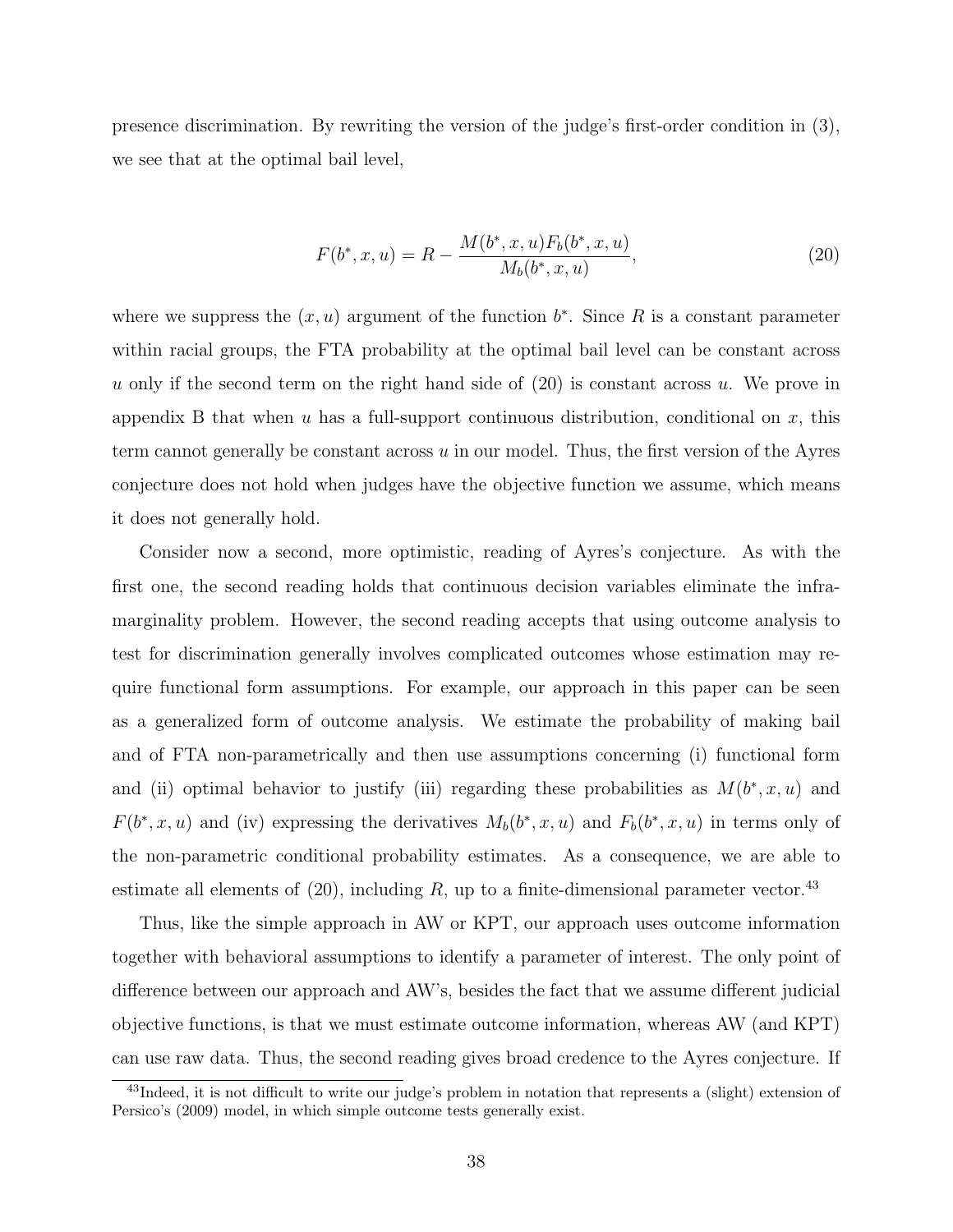presence discrimination. By rewriting the version of the judge's first-order condition in (3), we see that at the optimal bail level,

$$
F(b^*, x, u) = R - \frac{M(b^*, x, u) F_b(b^*, x, u)}{M_b(b^*, x, u)},
$$
\n(20)

where we suppress the  $(x, u)$  argument of the function  $b^*$ . Since R is a constant parameter within racial groups, the FTA probability at the optimal bail level can be constant across u only if the second term on the right hand side of  $(20)$  is constant across u. We prove in appendix B that when u has a full-support continuous distribution, conditional on x, this term cannot generally be constant across  $u$  in our model. Thus, the first version of the Ayres conjecture does not hold when judges have the objective function we assume, which means it does not generally hold.

Consider now a second, more optimistic, reading of Ayres's conjecture. As with the first one, the second reading holds that continuous decision variables eliminate the inframarginality problem. However, the second reading accepts that using outcome analysis to test for discrimination generally involves complicated outcomes whose estimation may require functional form assumptions. For example, our approach in this paper can be seen as a generalized form of outcome analysis. We estimate the probability of making bail and of FTA non-parametrically and then use assumptions concerning (i) functional form and (ii) optimal behavior to justify (iii) regarding these probabilities as  $M(b^*, x, u)$  and  $F(b^*, x, u)$  and (iv) expressing the derivatives  $M_b(b^*, x, u)$  and  $F_b(b^*, x, u)$  in terms only of the non-parametric conditional probability estimates. As a consequence, we are able to estimate all elements of  $(20)$ , including R, up to a finite-dimensional parameter vector.<sup>43</sup>

Thus, like the simple approach in AW or KPT, our approach uses outcome information together with behavioral assumptions to identify a parameter of interest. The only point of difference between our approach and AW's, besides the fact that we assume different judicial objective functions, is that we must estimate outcome information, whereas AW (and KPT) can use raw data. Thus, the second reading gives broad credence to the Ayres conjecture. If

<sup>&</sup>lt;sup>43</sup>Indeed, it is not difficult to write our judge's problem in notation that represents a (slight) extension of Persico's (2009) model, in which simple outcome tests generally exist.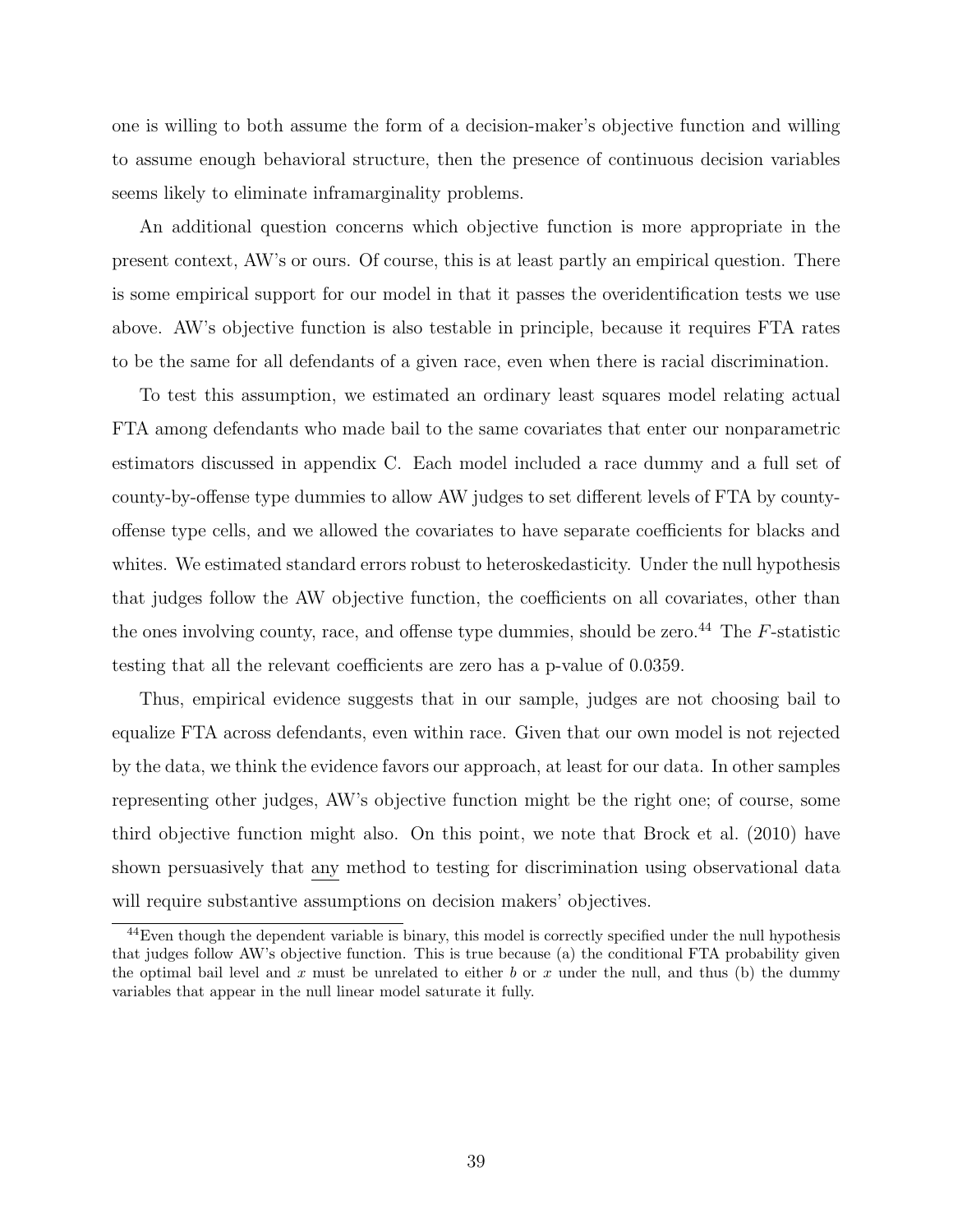one is willing to both assume the form of a decision-maker's objective function and willing to assume enough behavioral structure, then the presence of continuous decision variables seems likely to eliminate inframarginality problems.

An additional question concerns which objective function is more appropriate in the present context, AW's or ours. Of course, this is at least partly an empirical question. There is some empirical support for our model in that it passes the overidentification tests we use above. AW's objective function is also testable in principle, because it requires FTA rates to be the same for all defendants of a given race, even when there is racial discrimination.

To test this assumption, we estimated an ordinary least squares model relating actual FTA among defendants who made bail to the same covariates that enter our nonparametric estimators discussed in appendix C. Each model included a race dummy and a full set of county-by-offense type dummies to allow AW judges to set different levels of FTA by countyoffense type cells, and we allowed the covariates to have separate coefficients for blacks and whites. We estimated standard errors robust to heteroskedasticity. Under the null hypothesis that judges follow the AW objective function, the coefficients on all covariates, other than the ones involving county, race, and offense type dummies, should be zero.<sup>44</sup> The  $F$ -statistic testing that all the relevant coefficients are zero has a p-value of 0.0359.

Thus, empirical evidence suggests that in our sample, judges are not choosing bail to equalize FTA across defendants, even within race. Given that our own model is not rejected by the data, we think the evidence favors our approach, at least for our data. In other samples representing other judges, AW's objective function might be the right one; of course, some third objective function might also. On this point, we note that Brock et al. (2010) have shown persuasively that any method to testing for discrimination using observational data will require substantive assumptions on decision makers' objectives.

<sup>&</sup>lt;sup>44</sup>Even though the dependent variable is binary, this model is correctly specified under the null hypothesis that judges follow AW's objective function. This is true because (a) the conditional FTA probability given the optimal bail level and x must be unrelated to either b or x under the null, and thus (b) the dummy variables that appear in the null linear model saturate it fully.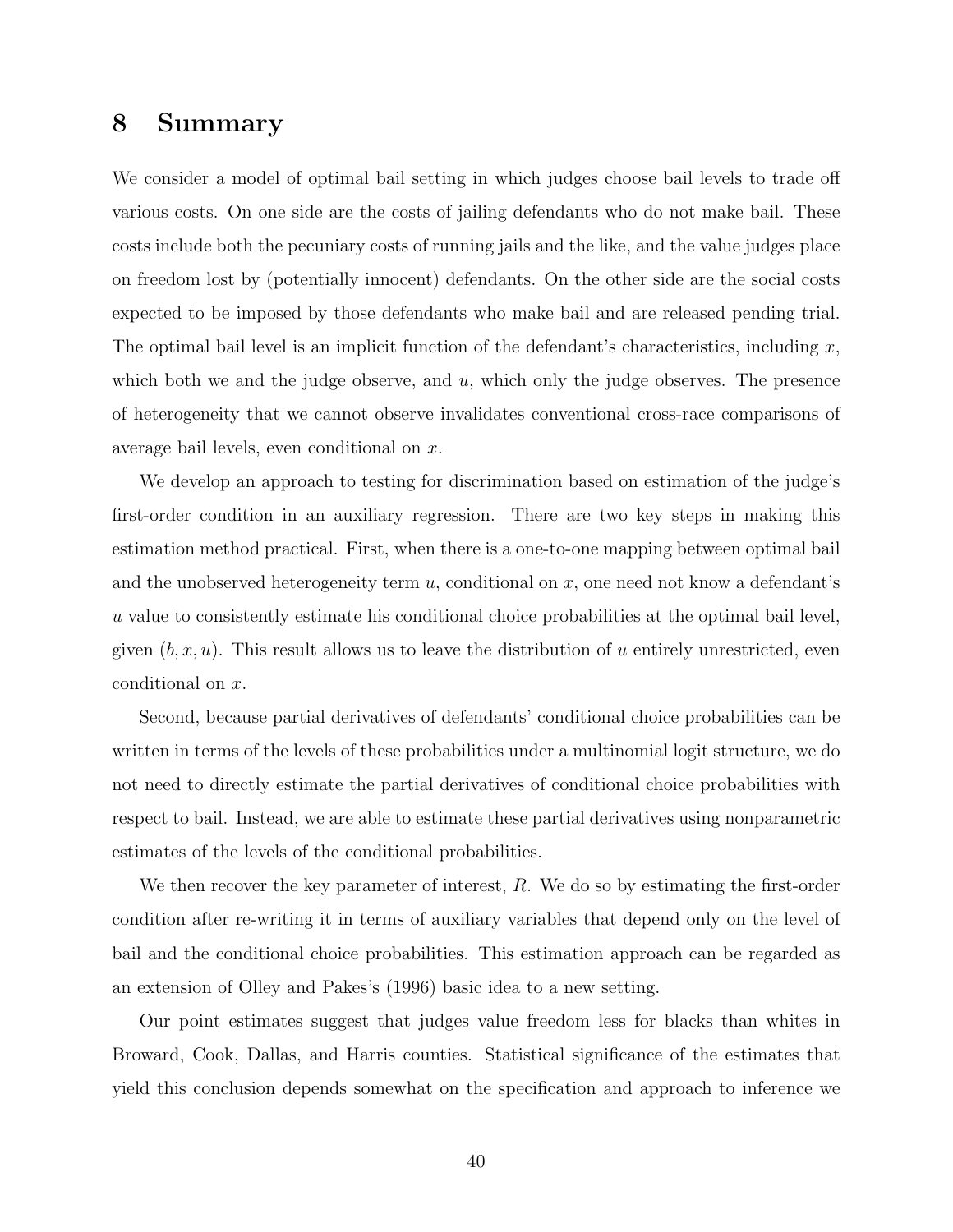### 8 Summary

We consider a model of optimal bail setting in which judges choose bail levels to trade off various costs. On one side are the costs of jailing defendants who do not make bail. These costs include both the pecuniary costs of running jails and the like, and the value judges place on freedom lost by (potentially innocent) defendants. On the other side are the social costs expected to be imposed by those defendants who make bail and are released pending trial. The optimal bail level is an implicit function of the defendant's characteristics, including  $x$ , which both we and the judge observe, and  $u$ , which only the judge observes. The presence of heterogeneity that we cannot observe invalidates conventional cross-race comparisons of average bail levels, even conditional on x.

We develop an approach to testing for discrimination based on estimation of the judge's first-order condition in an auxiliary regression. There are two key steps in making this estimation method practical. First, when there is a one-to-one mapping between optimal bail and the unobserved heterogeneity term  $u$ , conditional on  $x$ , one need not know a defendant's u value to consistently estimate his conditional choice probabilities at the optimal bail level, given  $(b, x, u)$ . This result allows us to leave the distribution of u entirely unrestricted, even conditional on x.

Second, because partial derivatives of defendants' conditional choice probabilities can be written in terms of the levels of these probabilities under a multinomial logit structure, we do not need to directly estimate the partial derivatives of conditional choice probabilities with respect to bail. Instead, we are able to estimate these partial derivatives using nonparametric estimates of the levels of the conditional probabilities.

We then recover the key parameter of interest,  $R$ . We do so by estimating the first-order condition after re-writing it in terms of auxiliary variables that depend only on the level of bail and the conditional choice probabilities. This estimation approach can be regarded as an extension of Olley and Pakes's (1996) basic idea to a new setting.

Our point estimates suggest that judges value freedom less for blacks than whites in Broward, Cook, Dallas, and Harris counties. Statistical significance of the estimates that yield this conclusion depends somewhat on the specification and approach to inference we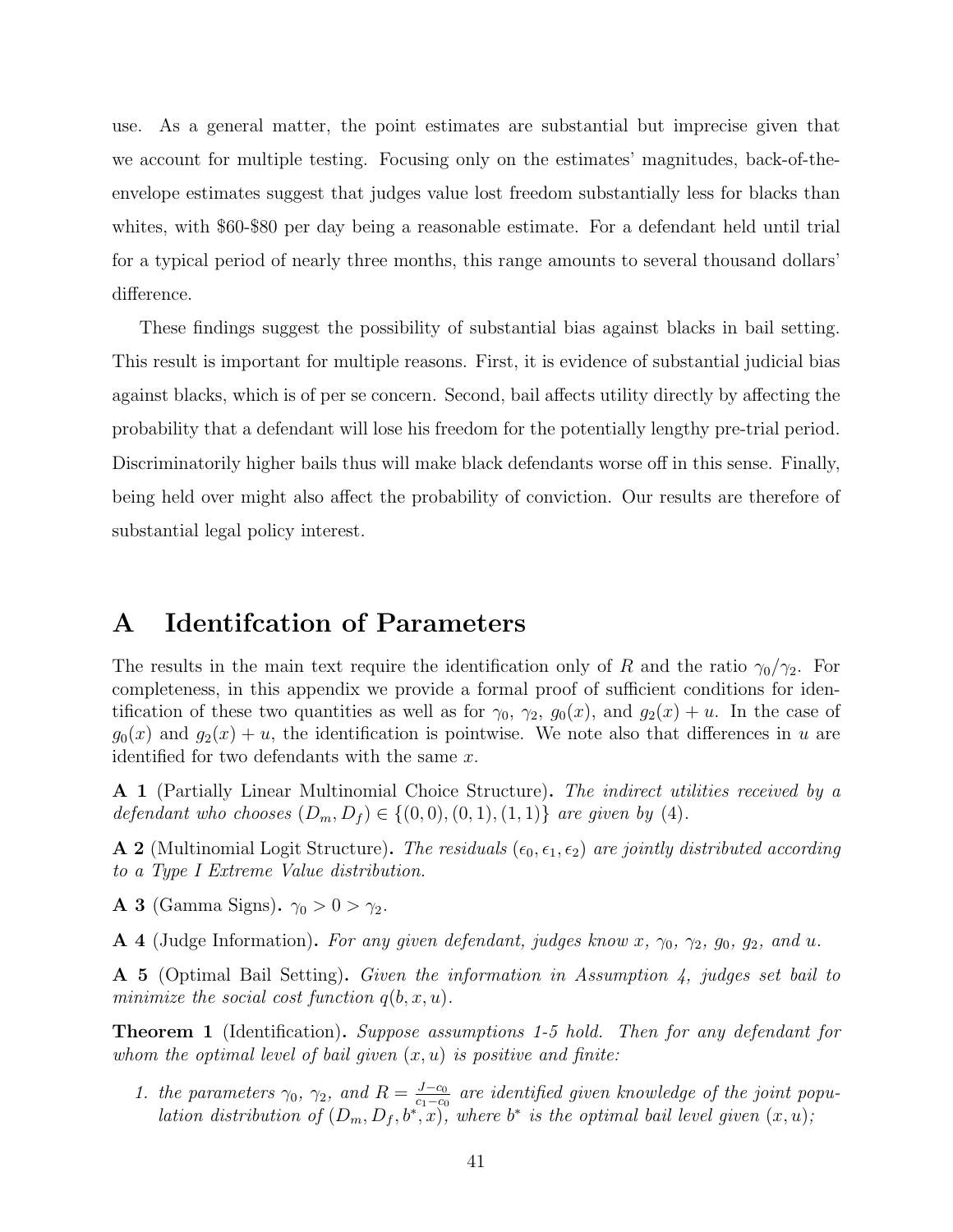use. As a general matter, the point estimates are substantial but imprecise given that we account for multiple testing. Focusing only on the estimates' magnitudes, back-of-theenvelope estimates suggest that judges value lost freedom substantially less for blacks than whites, with \$60-\$80 per day being a reasonable estimate. For a defendant held until trial for a typical period of nearly three months, this range amounts to several thousand dollars' difference.

These findings suggest the possibility of substantial bias against blacks in bail setting. This result is important for multiple reasons. First, it is evidence of substantial judicial bias against blacks, which is of per se concern. Second, bail affects utility directly by affecting the probability that a defendant will lose his freedom for the potentially lengthy pre-trial period. Discriminatorily higher bails thus will make black defendants worse off in this sense. Finally, being held over might also affect the probability of conviction. Our results are therefore of substantial legal policy interest.

### A Identifcation of Parameters

The results in the main text require the identification only of R and the ratio  $\gamma_0/\gamma_2$ . For completeness, in this appendix we provide a formal proof of sufficient conditions for identification of these two quantities as well as for  $\gamma_0$ ,  $\gamma_2$ ,  $g_0(x)$ , and  $g_2(x) + u$ . In the case of  $g_0(x)$  and  $g_2(x) + u$ , the identification is pointwise. We note also that differences in u are identified for two defendants with the same  $x$ .

A 1 (Partially Linear Multinomial Choice Structure). The indirect utilities received by a defendant who chooses  $(D_m, D_f) \in \{(0, 0), (0, 1), (1, 1)\}$  are given by (4).

**A 2** (Multinomial Logit Structure). The residuals  $(\epsilon_0, \epsilon_1, \epsilon_2)$  are jointly distributed according to a Type I Extreme Value distribution.

A 3 (Gamma Signs).  $\gamma_0 > 0 > \gamma_2$ .

**A 4** (Judge Information). For any given defendant, judges know x,  $\gamma_0$ ,  $\gamma_2$ ,  $g_0$ ,  $g_2$ , and u.

A 5 (Optimal Bail Setting). Given the information in Assumption 4, judges set bail to minimize the social cost function  $q(b, x, u)$ .

**Theorem 1** (Identification). Suppose assumptions 1-5 hold. Then for any defendant for whom the optimal level of bail given  $(x, u)$  is positive and finite:

1. the parameters  $\gamma_0$ ,  $\gamma_2$ , and  $R = \frac{J-c_0}{c_1-c_0}$  $\frac{J-c_0}{c_1-c_0}$  are identified given knowledge of the joint population distribution of  $(D_m, D_f, b^*, x)$ , where  $b^*$  is the optimal bail level given  $(x, u)$ ;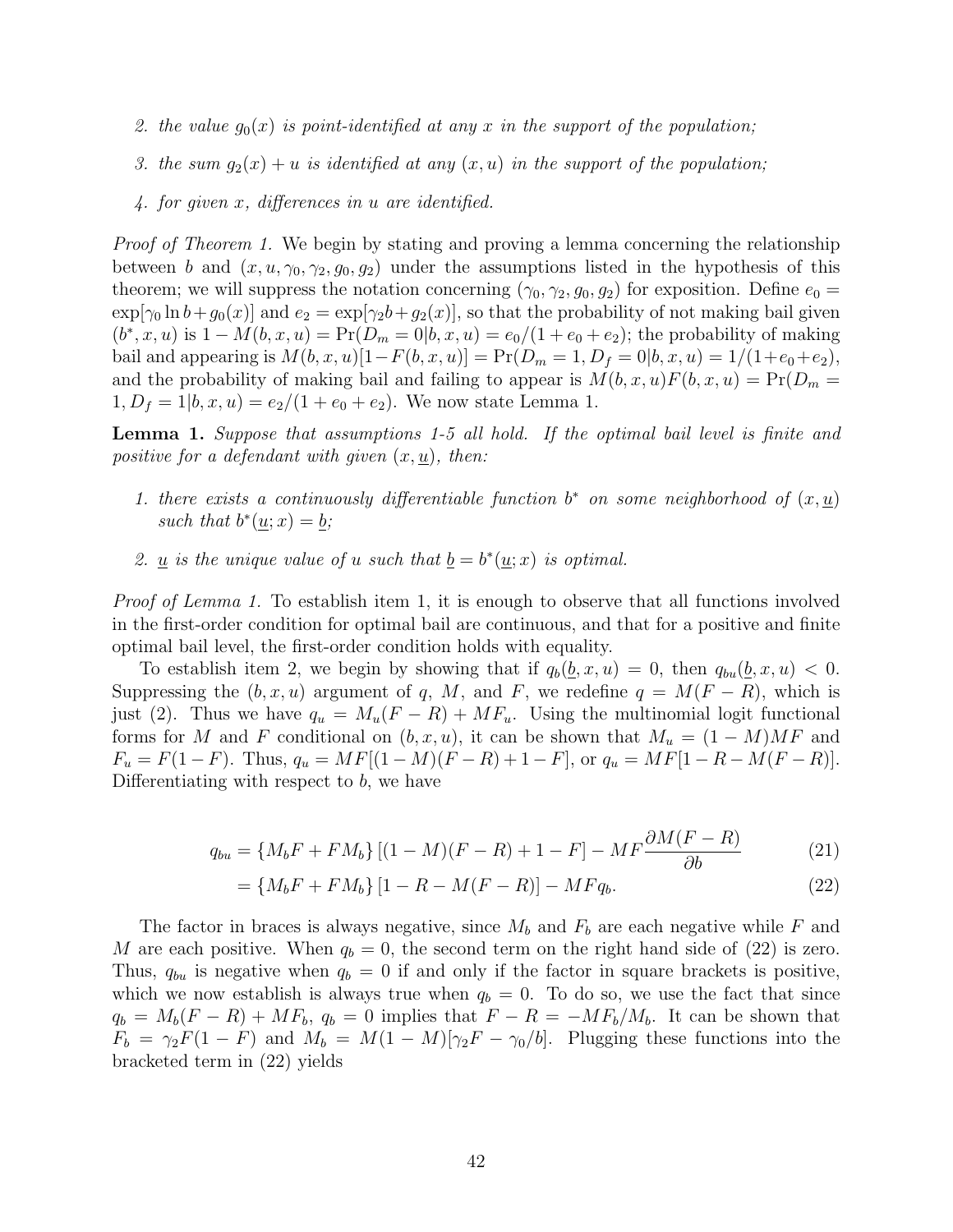- 2. the value  $g_0(x)$  is point-identified at any x in the support of the population;
- 3. the sum  $g_2(x) + u$  is identified at any  $(x, u)$  in the support of the population;
- 4. for given x, differences in u are identified.

*Proof of Theorem 1.* We begin by stating and proving a lemma concerning the relationship between b and  $(x, u, \gamma_0, \gamma_2, g_0, g_2)$  under the assumptions listed in the hypothesis of this theorem; we will suppress the notation concerning  $(\gamma_0, \gamma_2, g_0, g_2)$  for exposition. Define  $e_0 =$  $\exp[\gamma_0 \ln b + g_0(x)]$  and  $e_2 = \exp[\gamma_2 b + g_2(x)]$ , so that the probability of not making bail given  $(b^*, x, u)$  is  $1 - M(b, x, u) = Pr(D_m = 0|b, x, u) = e_0/(1 + e_0 + e_2)$ ; the probability of making bail and appearing is  $M(b, x, u)[1 - F(b, x, u)] = Pr(D_m = 1, D_f = 0|b, x, u) = 1/(1 + e_0 + e_2),$ and the probability of making bail and failing to appear is  $M(b, x, u)F(b, x, u) = Pr(D_m =$  $1, D_f = 1|b, x, u) = e_2/(1 + e_0 + e_2)$ . We now state Lemma 1.

**Lemma 1.** Suppose that assumptions 1-5 all hold. If the optimal bail level is finite and positive for a defendant with given  $(x, u)$ , then:

- 1. there exists a continuously differentiable function  $b^*$  on some neighborhood of  $(x, \underline{u})$ such that  $b^*(\underline{u};x) = \underline{b};$
- 2. <u>u</u> is the unique value of u such that  $\underline{b} = b^*(\underline{u};x)$  is optimal.

Proof of Lemma 1. To establish item 1, it is enough to observe that all functions involved in the first-order condition for optimal bail are continuous, and that for a positive and finite optimal bail level, the first-order condition holds with equality.

To establish item 2, we begin by showing that if  $q_b(b, x, u) = 0$ , then  $q_{bu}(b, x, u) < 0$ . Suppressing the  $(b, x, u)$  argument of q, M, and F, we redefine  $q = M(F - R)$ , which is just (2). Thus we have  $q_u = M_u(F - R) + MF_u$ . Using the multinomial logit functional forms for M and F conditional on  $(b, x, u)$ , it can be shown that  $M_u = (1 - M)MF$  and  $F_u = F(1 - F)$ . Thus,  $q_u = MF[(1 - M)(F - R) + 1 - F]$ , or  $q_u = MF[1 - R - M(F - R)]$ . Differentiating with respect to  $b$ , we have

$$
q_{bu} = \{M_b F + F M_b\} [(1 - M)(F - R) + 1 - F] - M F \frac{\partial M (F - R)}{\partial b}
$$
 (21)

$$
= \{M_b F + F M_b\} [1 - R - M(F - R)] - M F q_b.
$$
\n(22)

The factor in braces is always negative, since  $M_b$  and  $F_b$  are each negative while F and M are each positive. When  $q_b = 0$ , the second term on the right hand side of (22) is zero. Thus,  $q_{bu}$  is negative when  $q_b = 0$  if and only if the factor in square brackets is positive, which we now establish is always true when  $q_b = 0$ . To do so, we use the fact that since  $q_b = M_b(F - R) + M F_b$ ,  $q_b = 0$  implies that  $F - R = -M F_b/M_b$ . It can be shown that  $F_b = \gamma_2 F(1 - F)$  and  $M_b = M(1 - M)[\gamma_2 F - \gamma_0/b]$ . Plugging these functions into the bracketed term in (22) yields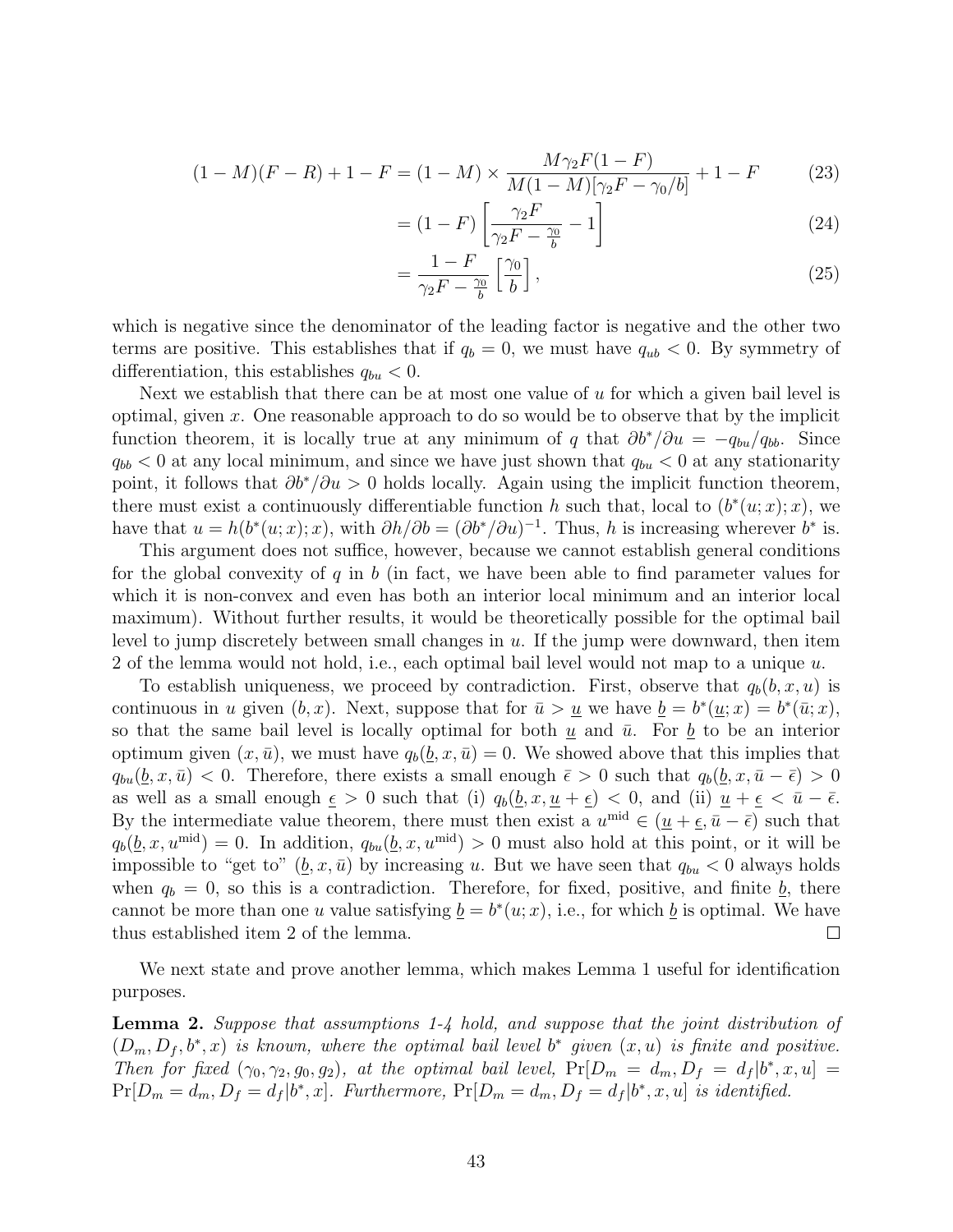$$
(1 - M)(F - R) + 1 - F = (1 - M) \times \frac{M\gamma_2 F (1 - F)}{M(1 - M)[\gamma_2 F - \gamma_0/b]} + 1 - F \tag{23}
$$

$$
= (1 - F) \left[ \frac{\gamma_2 F}{\gamma_2 F - \frac{\gamma_0}{b}} - 1 \right]
$$
 (24)

$$
=\frac{1-F}{\gamma_2F-\frac{\gamma_0}{b}}\left[\frac{\gamma_0}{b}\right],\tag{25}
$$

which is negative since the denominator of the leading factor is negative and the other two terms are positive. This establishes that if  $q_b = 0$ , we must have  $q_{ub} < 0$ . By symmetry of differentiation, this establishes  $q_{bu} < 0$ .

Next we establish that there can be at most one value of  $u$  for which a given bail level is optimal, given x. One reasonable approach to do so would be to observe that by the implicit function theorem, it is locally true at any minimum of q that  $\partial b^*/\partial u = -q_{bu}/q_{bb}$ . Since  $q_{bb}$  < 0 at any local minimum, and since we have just shown that  $q_{bu}$  < 0 at any stationarity point, it follows that  $\partial b^*/\partial u > 0$  holds locally. Again using the implicit function theorem, there must exist a continuously differentiable function h such that, local to  $(b^*(u; x); x)$ , we have that  $u = h(b^*(u; x); x)$ , with  $\partial h/\partial b = (\partial b^*/\partial u)^{-1}$ . Thus, h is increasing wherever  $b^*$  is.

This argument does not suffice, however, because we cannot establish general conditions for the global convexity of q in b (in fact, we have been able to find parameter values for which it is non-convex and even has both an interior local minimum and an interior local maximum). Without further results, it would be theoretically possible for the optimal bail level to jump discretely between small changes in  $u$ . If the jump were downward, then item 2 of the lemma would not hold, i.e., each optimal bail level would not map to a unique  $u$ .

To establish uniqueness, we proceed by contradiction. First, observe that  $q_b(b, x, u)$  is continuous in u given  $(b, x)$ . Next, suppose that for  $\bar{u} > \underline{u}$  we have  $\underline{b} = b^*(\underline{u}; x) = b^*(\bar{u}; x)$ , so that the same bail level is locally optimal for both  $\underline{u}$  and  $\overline{u}$ . For  $\underline{b}$  to be an interior optimum given  $(x, \bar{u})$ , we must have  $q_b(b, x, \bar{u}) = 0$ . We showed above that this implies that  $q_{bu}(\underline{b}, x, \overline{u}) < 0$ . Therefore, there exists a small enough  $\overline{\epsilon} > 0$  such that  $q_b(\underline{b}, x, \overline{u} - \overline{\epsilon}) > 0$ as well as a small enough  $\underline{\epsilon} > 0$  such that (i)  $q_b(\underline{b}, x, \underline{u} + \underline{\epsilon}) < 0$ , and (ii)  $\underline{u} + \underline{\epsilon} < \overline{u} - \overline{\epsilon}$ . By the intermediate value theorem, there must then exist a  $u^{\text{mid}} \in (\underline{u} + \underline{\epsilon}, \overline{u} - \overline{\epsilon})$  such that  $q_b(\underline{b}, x, u^{\text{mid}}) = 0$ . In addition,  $q_{bu}(\underline{b}, x, u^{\text{mid}}) > 0$  must also hold at this point, or it will be impossible to "get to"  $(\underline{b}, x, \overline{u})$  by increasing u. But we have seen that  $q_{bu} < 0$  always holds when  $q_b = 0$ , so this is a contradiction. Therefore, for fixed, positive, and finite  $\underline{b}$ , there cannot be more than one u value satisfying  $\underline{b} = b^*(u; x)$ , i.e., for which  $\underline{b}$  is optimal. We have thus established item 2 of the lemma.  $\Box$ 

We next state and prove another lemma, which makes Lemma 1 useful for identification purposes.

Lemma 2. Suppose that assumptions 1-4 hold, and suppose that the joint distribution of  $(D_m, D_f, b^*, x)$  is known, where the optimal bail level  $b^*$  given  $(x, u)$  is finite and positive. Then for fixed  $(\gamma_0, \gamma_2, g_0, g_2)$ , at the optimal bail level,  $Pr[D_m = d_m, D_f = d_f | b^*, x, u] =$  $Pr[D_m = d_m, D_f = d_f | b^*, x].$  Furthermore,  $Pr[D_m = d_m, D_f = d_f | b^*, x, u]$  is identified.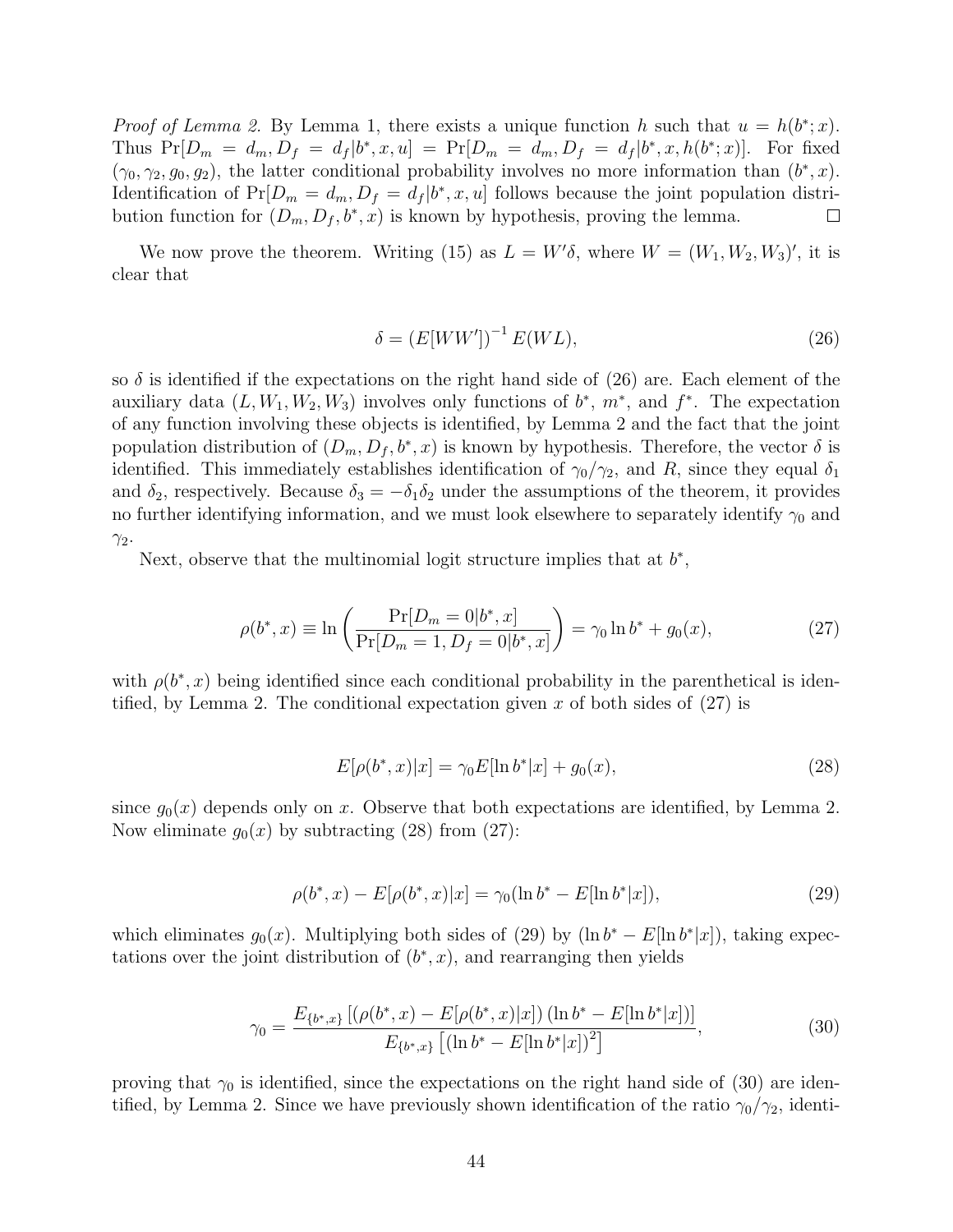*Proof of Lemma 2.* By Lemma 1, there exists a unique function h such that  $u = h(b^*; x)$ . Thus  $Pr[D_m = d_m, D_f = d_f | b^*, x, u] = Pr[D_m = d_m, D_f = d_f | b^*, x, h(b^*; x)]$ . For fixed  $(\gamma_0, \gamma_2, g_0, g_2)$ , the latter conditional probability involves no more information than  $(b^*, x)$ . Identification of  $Pr[D_m = d_m, D_f = d_f | b^*, x, u]$  follows because the joint population distribution function for  $(D_m, D_f, b^*, x)$  is known by hypothesis, proving the lemma.  $\Box$ 

We now prove the theorem. Writing (15) as  $L = W' \delta$ , where  $W = (W_1, W_2, W_3)'$ , it is clear that

$$
\delta = \left( E[WW'] \right)^{-1} E(WL),\tag{26}
$$

so  $\delta$  is identified if the expectations on the right hand side of (26) are. Each element of the auxiliary data  $(L, W_1, W_2, W_3)$  involves only functions of  $b^*$ ,  $m^*$ , and  $f^*$ . The expectation of any function involving these objects is identified, by Lemma 2 and the fact that the joint population distribution of  $(D_m, D_f, b^*, x)$  is known by hypothesis. Therefore, the vector  $\delta$  is identified. This immediately establishes identification of  $\gamma_0/\gamma_2$ , and R, since they equal  $\delta_1$ and  $\delta_2$ , respectively. Because  $\delta_3 = -\delta_1 \delta_2$  under the assumptions of the theorem, it provides no further identifying information, and we must look elsewhere to separately identify  $\gamma_0$  and  $\gamma_2$ .

Next, observe that the multinomial logit structure implies that at  $b^*$ ,

$$
\rho(b^*, x) \equiv \ln\left(\frac{\Pr[D_m = 0|b^*, x]}{\Pr[D_m = 1, D_f = 0|b^*, x]}\right) = \gamma_0 \ln b^* + g_0(x),\tag{27}
$$

with  $\rho(b^*,x)$  being identified since each conditional probability in the parenthetical is identified, by Lemma 2. The conditional expectation given x of both sides of  $(27)$  is

$$
E[\rho(b^*, x)|x] = \gamma_0 E[\ln b^*|x] + g_0(x), \qquad (28)
$$

since  $g_0(x)$  depends only on x. Observe that both expectations are identified, by Lemma 2. Now eliminate  $g_0(x)$  by subtracting (28) from (27):

$$
\rho(b^*, x) - E[\rho(b^*, x)|x] = \gamma_0(\ln b^* - E[\ln b^*|x]),\tag{29}
$$

which eliminates  $g_0(x)$ . Multiplying both sides of (29) by  $(\ln b^* - E[\ln b^*|x])$ , taking expectations over the joint distribution of  $(b^*, x)$ , and rearranging then yields

$$
\gamma_0 = \frac{E_{\{b^*,x\}}\left[ (\rho(b^*,x) - E[\rho(b^*,x)|x]) \left(\ln b^* - E[\ln b^*|x]\right) \right]}{E_{\{b^*,x\}}\left[ (\ln b^* - E[\ln b^*|x])^2 \right]},\tag{30}
$$

proving that  $\gamma_0$  is identified, since the expectations on the right hand side of (30) are identified, by Lemma 2. Since we have previously shown identification of the ratio  $\gamma_0/\gamma_2$ , identi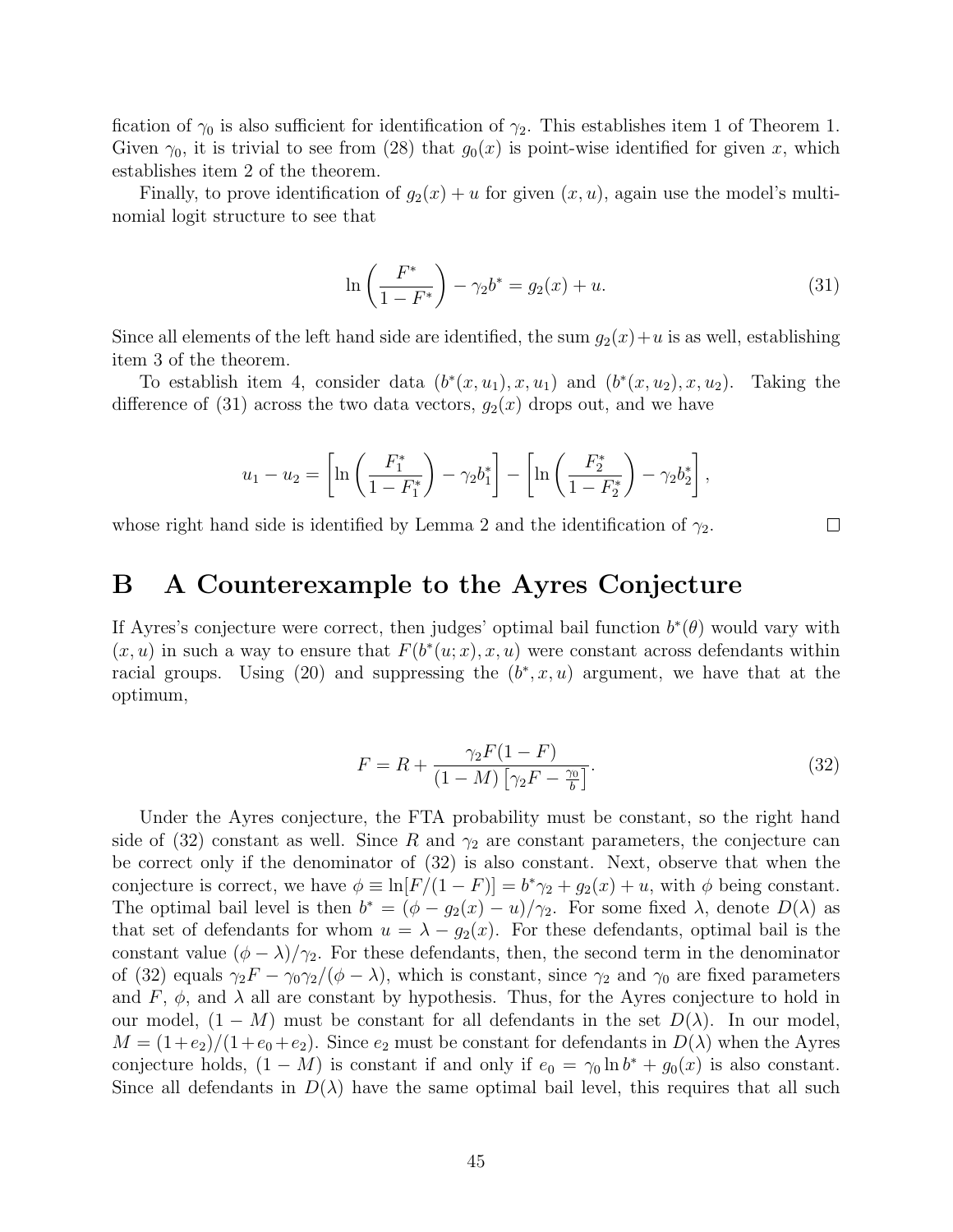fication of  $\gamma_0$  is also sufficient for identification of  $\gamma_2$ . This establishes item 1 of Theorem 1. Given  $\gamma_0$ , it is trivial to see from (28) that  $g_0(x)$  is point-wise identified for given x, which establishes item 2 of the theorem.

Finally, to prove identification of  $g_2(x) + u$  for given  $(x, u)$ , again use the model's multinomial logit structure to see that

$$
\ln\left(\frac{F^*}{1 - F^*}\right) - \gamma_2 b^* = g_2(x) + u. \tag{31}
$$

Since all elements of the left hand side are identified, the sum  $g_2(x)+u$  is as well, establishing item 3 of the theorem.

To establish item 4, consider data  $(b^*(x, u_1), x, u_1)$  and  $(b^*(x, u_2), x, u_2)$ . Taking the difference of (31) across the two data vectors,  $g_2(x)$  drops out, and we have

$$
u_1 - u_2 = \left[ \ln \left( \frac{F_1^*}{1 - F_1^*} \right) - \gamma_2 b_1^* \right] - \left[ \ln \left( \frac{F_2^*}{1 - F_2^*} \right) - \gamma_2 b_2^* \right],
$$

whose right hand side is identified by Lemma 2 and the identification of  $\gamma_2$ .

#### $\Box$

### B A Counterexample to the Ayres Conjecture

If Ayres's conjecture were correct, then judges' optimal bail function  $b^*(\theta)$  would vary with  $(x, u)$  in such a way to ensure that  $F(b^*(u; x), x, u)$  were constant across defendants within racial groups. Using (20) and suppressing the  $(b^*, x, u)$  argument, we have that at the optimum,

$$
F = R + \frac{\gamma_2 F (1 - F)}{(1 - M) \left[ \gamma_2 F - \frac{\gamma_0}{b} \right]}.
$$
\n
$$
(32)
$$

Under the Ayres conjecture, the FTA probability must be constant, so the right hand side of (32) constant as well. Since R and  $\gamma_2$  are constant parameters, the conjecture can be correct only if the denominator of (32) is also constant. Next, observe that when the conjecture is correct, we have  $\phi \equiv \ln[F/(1 - F)] = b^*\gamma_2 + g_2(x) + u$ , with  $\phi$  being constant. The optimal bail level is then  $b^* = (\phi - g_2(x) - u)/\gamma_2$ . For some fixed  $\lambda$ , denote  $D(\lambda)$  as that set of defendants for whom  $u = \lambda - g_2(x)$ . For these defendants, optimal bail is the constant value  $(\phi - \lambda)/\gamma_2$ . For these defendants, then, the second term in the denominator of (32) equals  $\gamma_2 F - \gamma_0 \gamma_2/(\phi - \lambda)$ , which is constant, since  $\gamma_2$  and  $\gamma_0$  are fixed parameters and F,  $\phi$ , and  $\lambda$  all are constant by hypothesis. Thus, for the Ayres conjecture to hold in our model,  $(1 - M)$  must be constant for all defendants in the set  $D(\lambda)$ . In our model,  $M = (1+e_2)/(1+e_0+e_2)$ . Since  $e_2$  must be constant for defendants in  $D(\lambda)$  when the Ayres conjecture holds,  $(1 - M)$  is constant if and only if  $e_0 = \gamma_0 \ln b^* + g_0(x)$  is also constant. Since all defendants in  $D(\lambda)$  have the same optimal bail level, this requires that all such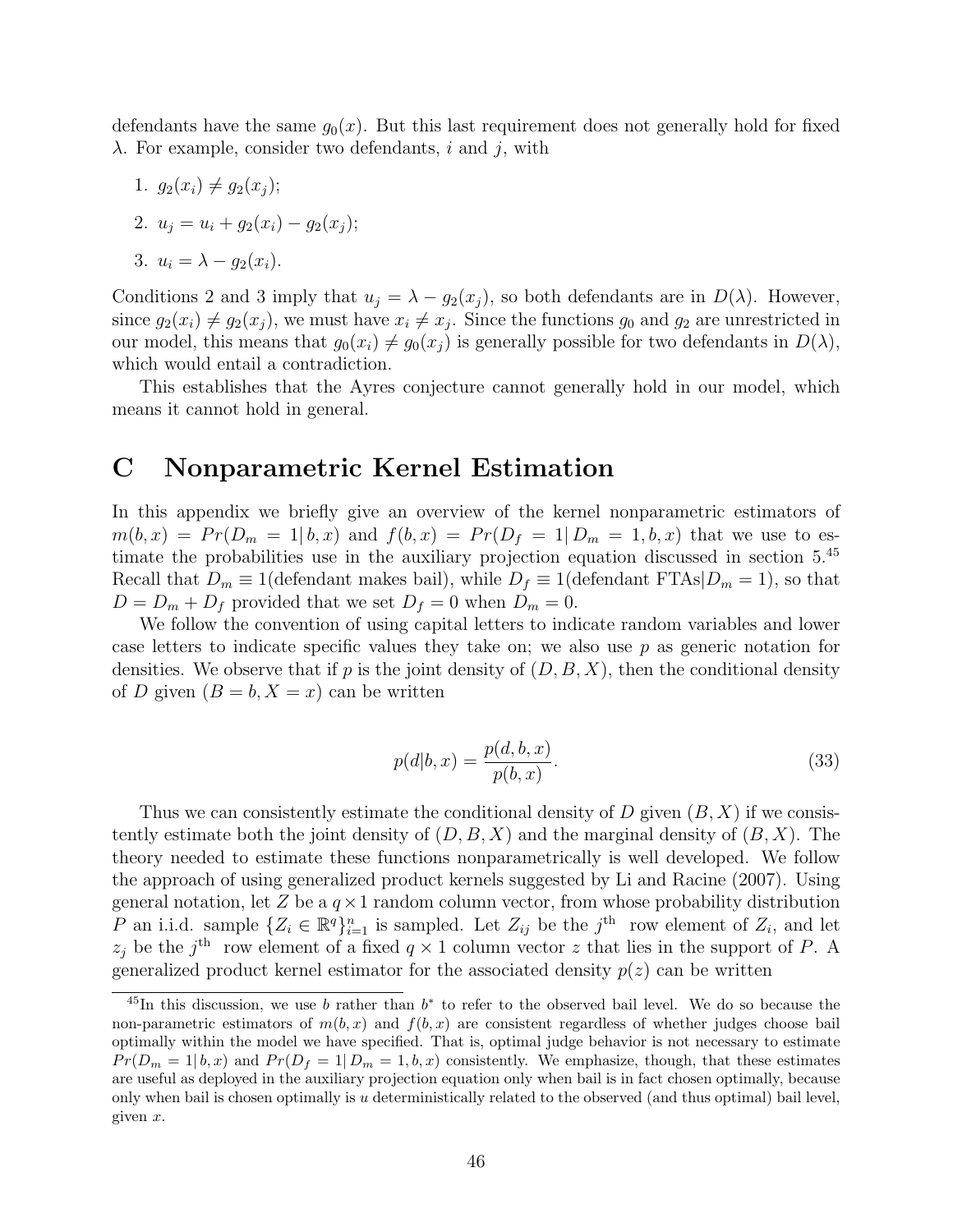defendants have the same  $g_0(x)$ . But this last requirement does not generally hold for fixed  $\lambda$ . For example, consider two defendants, i and j, with

1. 
$$
g_2(x_i) \neq g_2(x_j);
$$
  
\n2.  $u_j = u_i + g_2(x_i) - g_2(x_j);$   
\n3.  $u_i = \lambda - g_2(x_i).$ 

Conditions 2 and 3 imply that  $u_j = \lambda - g_2(x_j)$ , so both defendants are in  $D(\lambda)$ . However, since  $g_2(x_i) \neq g_2(x_j)$ , we must have  $x_i \neq x_j$ . Since the functions  $g_0$  and  $g_2$  are unrestricted in our model, this means that  $g_0(x_i) \neq g_0(x_i)$  is generally possible for two defendants in  $D(\lambda)$ , which would entail a contradiction.

This establishes that the Ayres conjecture cannot generally hold in our model, which means it cannot hold in general.

### C Nonparametric Kernel Estimation

In this appendix we briefly give an overview of the kernel nonparametric estimators of  $m(b, x) = Pr(D_m = 1 | b, x)$  and  $f(b, x) = Pr(D_f = 1 | D_m = 1, b, x)$  that we use to estimate the probabilities use in the auxiliary projection equation discussed in section 5.<sup>45</sup> Recall that  $D_m \equiv 1$ (defendant makes bail), while  $D_f \equiv 1$ (defendant FTAs $|D_m = 1|$ , so that  $D = D_m + D_f$  provided that we set  $D_f = 0$  when  $D_m = 0$ .

We follow the convention of using capital letters to indicate random variables and lower case letters to indicate specific values they take on; we also use  $p$  as generic notation for densities. We observe that if p is the joint density of  $(D, B, X)$ , then the conditional density of D given  $(B = b, X = x)$  can be written

$$
p(d|b,x) = \frac{p(d,b,x)}{p(b,x)}.
$$
\n(33)

Thus we can consistently estimate the conditional density of  $D$  given  $(B, X)$  if we consistently estimate both the joint density of  $(D, B, X)$  and the marginal density of  $(B, X)$ . The theory needed to estimate these functions nonparametrically is well developed. We follow the approach of using generalized product kernels suggested by Li and Racine (2007). Using general notation, let Z be a  $q \times 1$  random column vector, from whose probability distribution P an i.i.d. sample  $\{Z_i \in \mathbb{R}^q\}_{i=1}^n$  is sampled. Let  $Z_{ij}$  be the  $j^{\text{th}}$  row element of  $Z_i$ , and let  $z_j$  be the j<sup>th</sup> row element of a fixed  $q \times 1$  column vector z that lies in the support of P. A generalized product kernel estimator for the associated density  $p(z)$  can be written

<sup>&</sup>lt;sup>45</sup>In this discussion, we use b rather than  $b^*$  to refer to the observed bail level. We do so because the non-parametric estimators of  $m(b, x)$  and  $f(b, x)$  are consistent regardless of whether judges choose bail optimally within the model we have specified. That is, optimal judge behavior is not necessary to estimate  $Pr(D_m = 1 | b, x)$  and  $Pr(D_f = 1 | D_m = 1, b, x)$  consistently. We emphasize, though, that these estimates are useful as deployed in the auxiliary projection equation only when bail is in fact chosen optimally, because only when bail is chosen optimally is u deterministically related to the observed (and thus optimal) bail level, given  $x$ .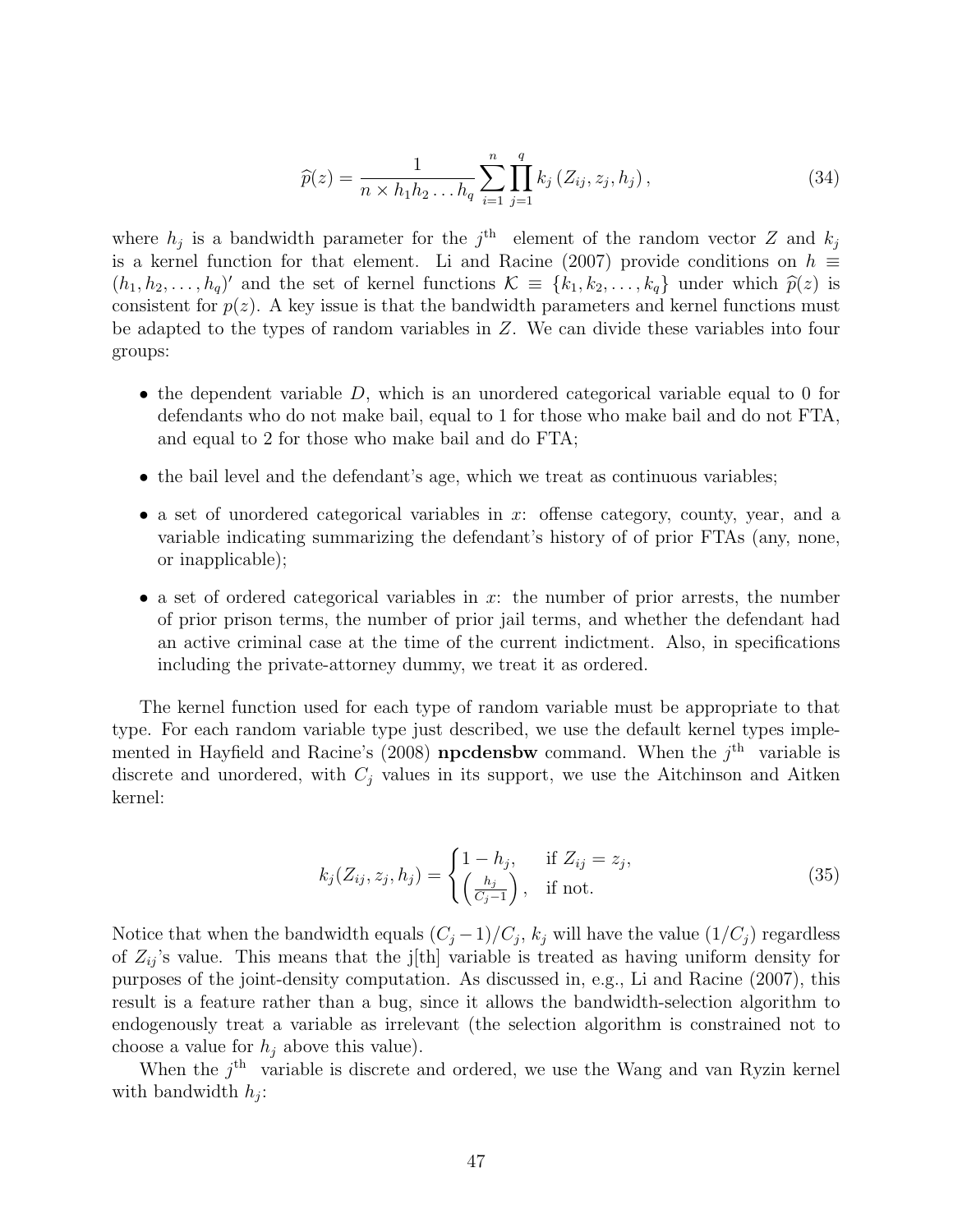$$
\widehat{p}(z) = \frac{1}{n \times h_1 h_2 \dots h_q} \sum_{i=1}^n \prod_{j=1}^q k_j (Z_{ij}, z_j, h_j), \qquad (34)
$$

where  $h_j$  is a bandwidth parameter for the j<sup>th</sup> element of the random vector Z and  $k_j$ is a kernel function for that element. Li and Racine (2007) provide conditions on  $h \equiv$  $(h_1, h_2, \ldots, h_q)$  and the set of kernel functions  $\mathcal{K} \equiv \{k_1, k_2, \ldots, k_q\}$  under which  $\hat{p}(z)$  is<br>consistent for  $p(z)$ . A key issue is that the bandwidth parameters and kernel functions must consistent for  $p(z)$ . A key issue is that the bandwidth parameters and kernel functions must be adapted to the types of random variables in Z. We can divide these variables into four groups:

- the dependent variable  $D$ , which is an unordered categorical variable equal to 0 for defendants who do not make bail, equal to 1 for those who make bail and do not FTA, and equal to 2 for those who make bail and do FTA;
- the bail level and the defendant's age, which we treat as continuous variables;
- a set of unordered categorical variables in  $x$ : offense category, county, year, and a variable indicating summarizing the defendant's history of of prior FTAs (any, none, or inapplicable);
- a set of ordered categorical variables in  $x$ : the number of prior arrests, the number of prior prison terms, the number of prior jail terms, and whether the defendant had an active criminal case at the time of the current indictment. Also, in specifications including the private-attorney dummy, we treat it as ordered.

The kernel function used for each type of random variable must be appropriate to that type. For each random variable type just described, we use the default kernel types implemented in Hayfield and Racine's (2008) **npcdensbw** command. When the  $j<sup>th</sup>$  variable is discrete and unordered, with  $C_j$  values in its support, we use the Aitchinson and Aitken kernel:

$$
k_j(Z_{ij}, z_j, h_j) = \begin{cases} 1 - h_j, & \text{if } Z_{ij} = z_j, \\ \left(\frac{h_j}{C_j - 1}\right), & \text{if not.} \end{cases} \tag{35}
$$

Notice that when the bandwidth equals  $(C_j-1)/C_j$ ,  $k_j$  will have the value  $(1/C_j)$  regardless of  $Z_{ij}$ 's value. This means that the j[th] variable is treated as having uniform density for purposes of the joint-density computation. As discussed in, e.g., Li and Racine (2007), this result is a feature rather than a bug, since it allows the bandwidth-selection algorithm to endogenously treat a variable as irrelevant (the selection algorithm is constrained not to choose a value for  $h_i$  above this value).

When the  $j<sup>th</sup>$  variable is discrete and ordered, we use the Wang and van Ryzin kernel with bandwidth  $h_j$ :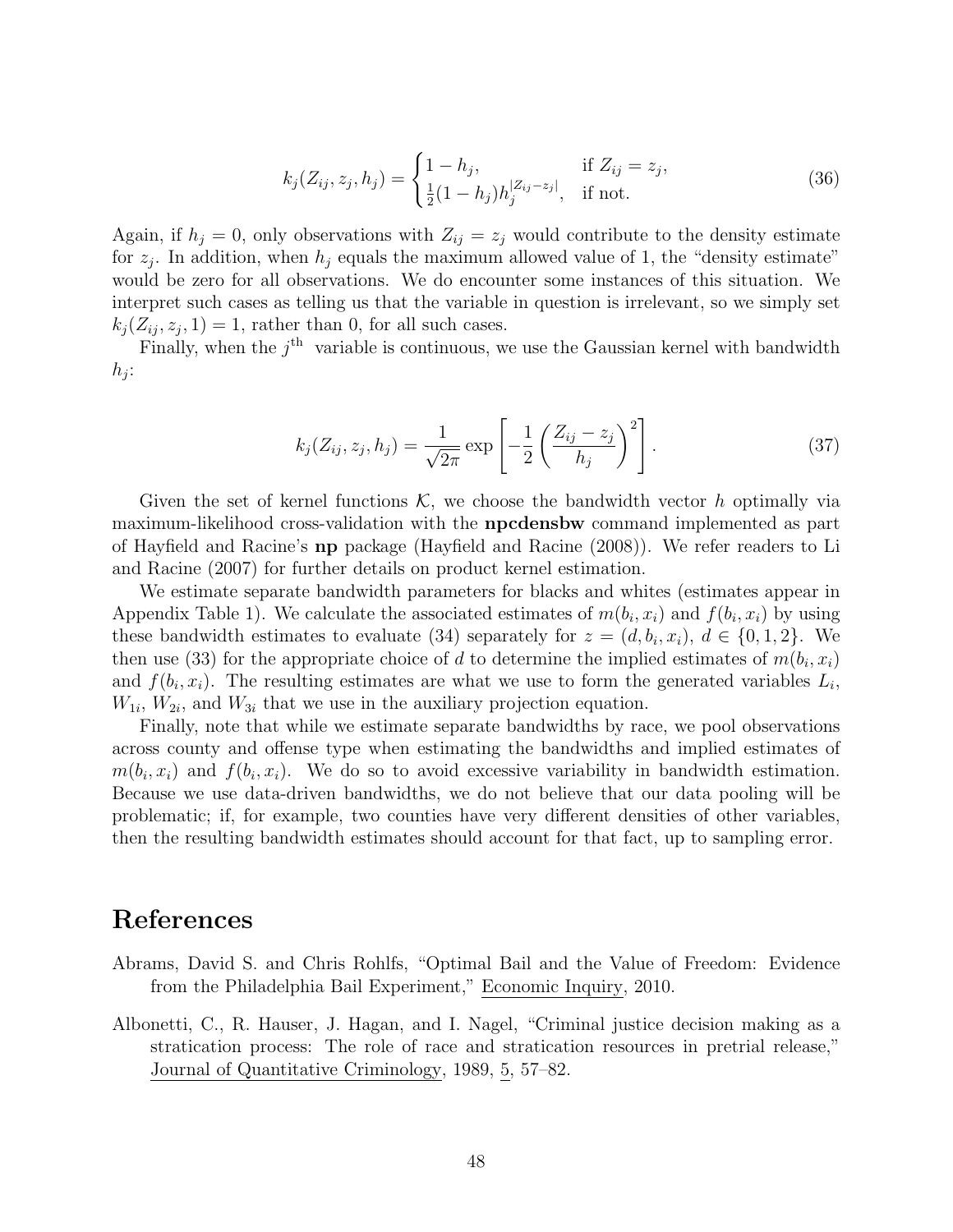$$
k_j(Z_{ij}, z_j, h_j) = \begin{cases} 1 - h_j, & \text{if } Z_{ij} = z_j, \\ \frac{1}{2}(1 - h_j)h_j^{|Z_{ij} - z_j|}, & \text{if not.} \end{cases}
$$
(36)

Again, if  $h_j = 0$ , only observations with  $Z_{ij} = z_j$  would contribute to the density estimate for  $z_j$ . In addition, when  $h_j$  equals the maximum allowed value of 1, the "density estimate" would be zero for all observations. We do encounter some instances of this situation. We interpret such cases as telling us that the variable in question is irrelevant, so we simply set  $k_j(Z_{ij}, z_j, 1) = 1$ , rather than 0, for all such cases.

Finally, when the  $j<sup>th</sup>$  variable is continuous, we use the Gaussian kernel with bandwidth  $h_j$ :

$$
k_j(Z_{ij}, z_j, h_j) = \frac{1}{\sqrt{2\pi}} \exp\left[ -\frac{1}{2} \left( \frac{Z_{ij} - z_j}{h_j} \right)^2 \right].
$$
 (37)

Given the set of kernel functions  $\mathcal{K}$ , we choose the bandwidth vector h optimally via maximum-likelihood cross-validation with the npcdensbw command implemented as part of Hayfield and Racine's np package (Hayfield and Racine (2008)). We refer readers to Li and Racine (2007) for further details on product kernel estimation.

We estimate separate bandwidth parameters for blacks and whites (estimates appear in Appendix Table 1). We calculate the associated estimates of  $m(b_i, x_i)$  and  $f(b_i, x_i)$  by using these bandwidth estimates to evaluate (34) separately for  $z = (d, b_i, x_i), d \in \{0, 1, 2\}$ . We then use (33) for the appropriate choice of d to determine the implied estimates of  $m(b_i, x_i)$ and  $f(b_i, x_i)$ . The resulting estimates are what we use to form the generated variables  $L_i$ ,  $W_{1i}$ ,  $W_{2i}$ , and  $W_{3i}$  that we use in the auxiliary projection equation.

Finally, note that while we estimate separate bandwidths by race, we pool observations across county and offense type when estimating the bandwidths and implied estimates of  $m(b_i, x_i)$  and  $f(b_i, x_i)$ . We do so to avoid excessive variability in bandwidth estimation. Because we use data-driven bandwidths, we do not believe that our data pooling will be problematic; if, for example, two counties have very different densities of other variables, then the resulting bandwidth estimates should account for that fact, up to sampling error.

### References

- Abrams, David S. and Chris Rohlfs, "Optimal Bail and the Value of Freedom: Evidence from the Philadelphia Bail Experiment," Economic Inquiry, 2010.
- Albonetti, C., R. Hauser, J. Hagan, and I. Nagel, "Criminal justice decision making as a stratication process: The role of race and stratication resources in pretrial release," Journal of Quantitative Criminology, 1989, 5, 57–82.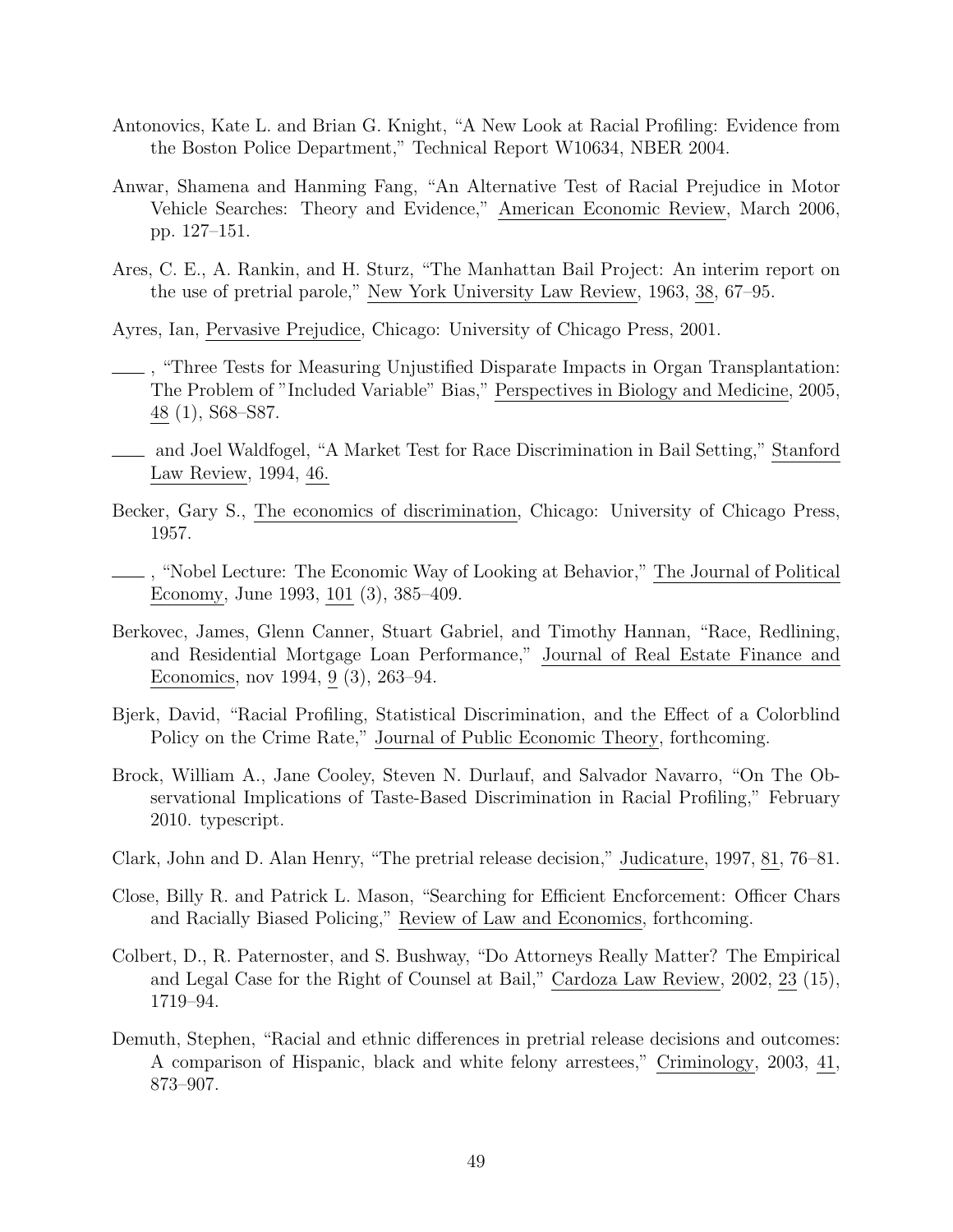- Antonovics, Kate L. and Brian G. Knight, "A New Look at Racial Profiling: Evidence from the Boston Police Department," Technical Report W10634, NBER 2004.
- Anwar, Shamena and Hanming Fang, "An Alternative Test of Racial Prejudice in Motor Vehicle Searches: Theory and Evidence," American Economic Review, March 2006, pp. 127–151.
- Ares, C. E., A. Rankin, and H. Sturz, "The Manhattan Bail Project: An interim report on the use of pretrial parole," New York University Law Review, 1963, 38, 67–95.

Ayres, Ian, Pervasive Prejudice, Chicago: University of Chicago Press, 2001.

- , "Three Tests for Measuring Unjustified Disparate Impacts in Organ Transplantation: The Problem of "Included Variable" Bias," Perspectives in Biology and Medicine, 2005, 48 (1), S68–S87.
- and Joel Waldfogel, "A Market Test for Race Discrimination in Bail Setting," Stanford Law Review, 1994, 46.
- Becker, Gary S., The economics of discrimination, Chicago: University of Chicago Press, 1957.
- , "Nobel Lecture: The Economic Way of Looking at Behavior," The Journal of Political Economy, June 1993, 101 (3), 385–409.
- Berkovec, James, Glenn Canner, Stuart Gabriel, and Timothy Hannan, "Race, Redlining, and Residential Mortgage Loan Performance," Journal of Real Estate Finance and Economics, nov 1994, 9 (3), 263–94.
- Bjerk, David, "Racial Profiling, Statistical Discrimination, and the Effect of a Colorblind Policy on the Crime Rate," Journal of Public Economic Theory, forthcoming.
- Brock, William A., Jane Cooley, Steven N. Durlauf, and Salvador Navarro, "On The Observational Implications of Taste-Based Discrimination in Racial Profiling," February 2010. typescript.
- Clark, John and D. Alan Henry, "The pretrial release decision," Judicature, 1997, 81, 76–81.
- Close, Billy R. and Patrick L. Mason, "Searching for Efficient Encforcement: Officer Chars and Racially Biased Policing," Review of Law and Economics, forthcoming.
- Colbert, D., R. Paternoster, and S. Bushway, "Do Attorneys Really Matter? The Empirical and Legal Case for the Right of Counsel at Bail," Cardoza Law Review, 2002, 23 (15), 1719–94.
- Demuth, Stephen, "Racial and ethnic differences in pretrial release decisions and outcomes: A comparison of Hispanic, black and white felony arrestees," Criminology, 2003, 41, 873–907.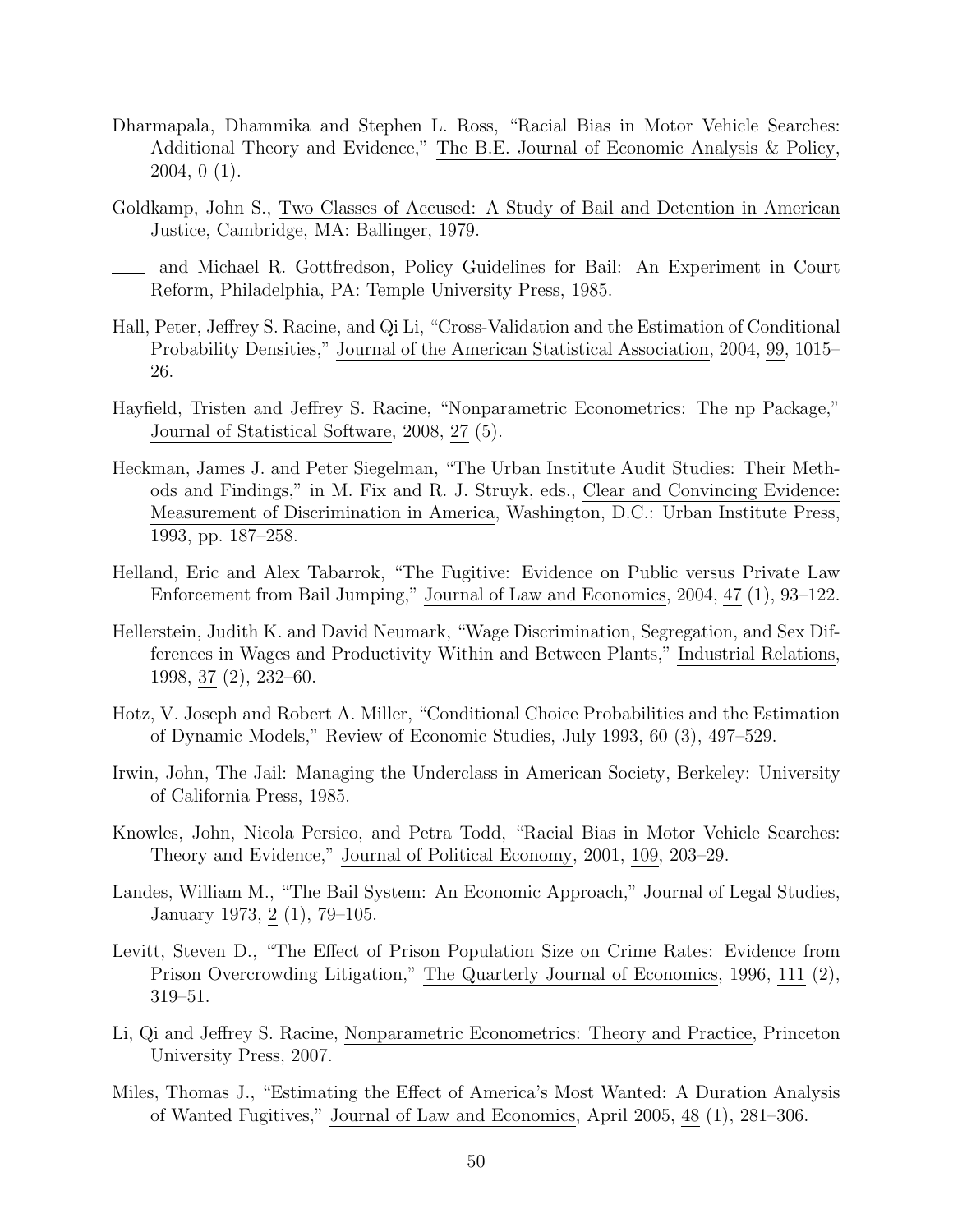- Dharmapala, Dhammika and Stephen L. Ross, "Racial Bias in Motor Vehicle Searches: Additional Theory and Evidence," The B.E. Journal of Economic Analysis & Policy, 2004, 0 (1).
- Goldkamp, John S., Two Classes of Accused: A Study of Bail and Detention in American Justice, Cambridge, MA: Ballinger, 1979.
- and Michael R. Gottfredson, Policy Guidelines for Bail: An Experiment in Court Reform, Philadelphia, PA: Temple University Press, 1985.
- Hall, Peter, Jeffrey S. Racine, and Qi Li, "Cross-Validation and the Estimation of Conditional Probability Densities," Journal of the American Statistical Association, 2004, 99, 1015– 26.
- Hayfield, Tristen and Jeffrey S. Racine, "Nonparametric Econometrics: The np Package," Journal of Statistical Software, 2008, 27 (5).
- Heckman, James J. and Peter Siegelman, "The Urban Institute Audit Studies: Their Methods and Findings," in M. Fix and R. J. Struyk, eds., Clear and Convincing Evidence: Measurement of Discrimination in America, Washington, D.C.: Urban Institute Press, 1993, pp. 187–258.
- Helland, Eric and Alex Tabarrok, "The Fugitive: Evidence on Public versus Private Law Enforcement from Bail Jumping," Journal of Law and Economics, 2004, 47 (1), 93–122.
- Hellerstein, Judith K. and David Neumark, "Wage Discrimination, Segregation, and Sex Differences in Wages and Productivity Within and Between Plants," Industrial Relations, 1998, 37 (2), 232–60.
- Hotz, V. Joseph and Robert A. Miller, "Conditional Choice Probabilities and the Estimation of Dynamic Models," Review of Economic Studies, July 1993, 60 (3), 497–529.
- Irwin, John, The Jail: Managing the Underclass in American Society, Berkeley: University of California Press, 1985.
- Knowles, John, Nicola Persico, and Petra Todd, "Racial Bias in Motor Vehicle Searches: Theory and Evidence," Journal of Political Economy, 2001, 109, 203–29.
- Landes, William M., "The Bail System: An Economic Approach," Journal of Legal Studies, January 1973, 2 (1), 79–105.
- Levitt, Steven D., "The Effect of Prison Population Size on Crime Rates: Evidence from Prison Overcrowding Litigation," The Quarterly Journal of Economics, 1996, 111 (2), 319–51.
- Li, Qi and Jeffrey S. Racine, Nonparametric Econometrics: Theory and Practice, Princeton University Press, 2007.
- Miles, Thomas J., "Estimating the Effect of America's Most Wanted: A Duration Analysis of Wanted Fugitives," Journal of Law and Economics, April 2005, 48 (1), 281–306.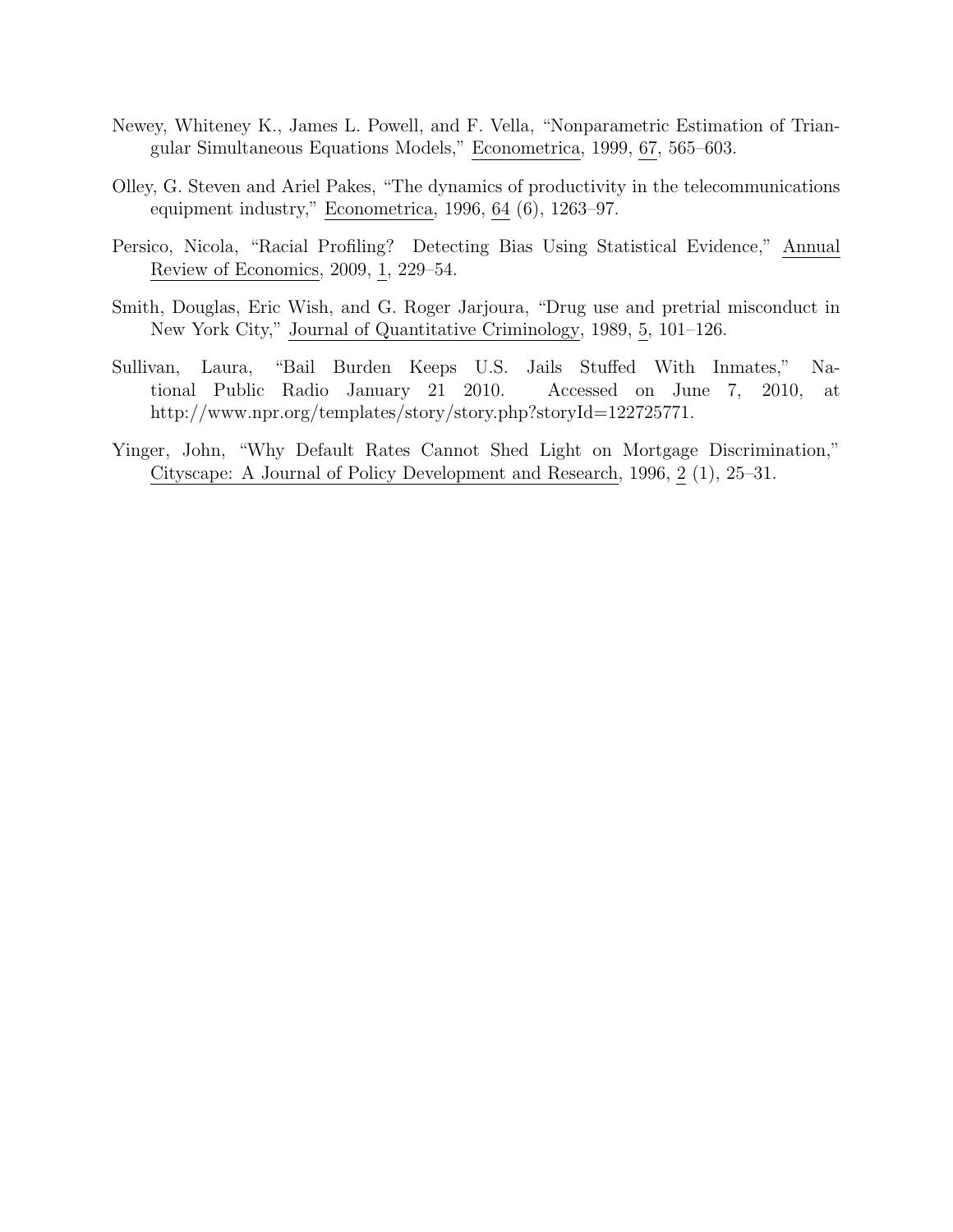- Newey, Whiteney K., James L. Powell, and F. Vella, "Nonparametric Estimation of Triangular Simultaneous Equations Models," Econometrica, 1999, 67, 565–603.
- Olley, G. Steven and Ariel Pakes, "The dynamics of productivity in the telecommunications equipment industry," Econometrica, 1996, 64 (6), 1263–97.
- Persico, Nicola, "Racial Profiling? Detecting Bias Using Statistical Evidence," Annual Review of Economics, 2009, 1, 229–54.
- Smith, Douglas, Eric Wish, and G. Roger Jarjoura, "Drug use and pretrial misconduct in New York City," Journal of Quantitative Criminology, 1989, 5, 101–126.
- Sullivan, Laura, "Bail Burden Keeps U.S. Jails Stuffed With Inmates," National Public Radio January 21 2010. Accessed on June 7, 2010, at http://www.npr.org/templates/story/story.php?storyId=122725771.
- Yinger, John, "Why Default Rates Cannot Shed Light on Mortgage Discrimination," Cityscape: A Journal of Policy Development and Research, 1996, 2 (1), 25–31.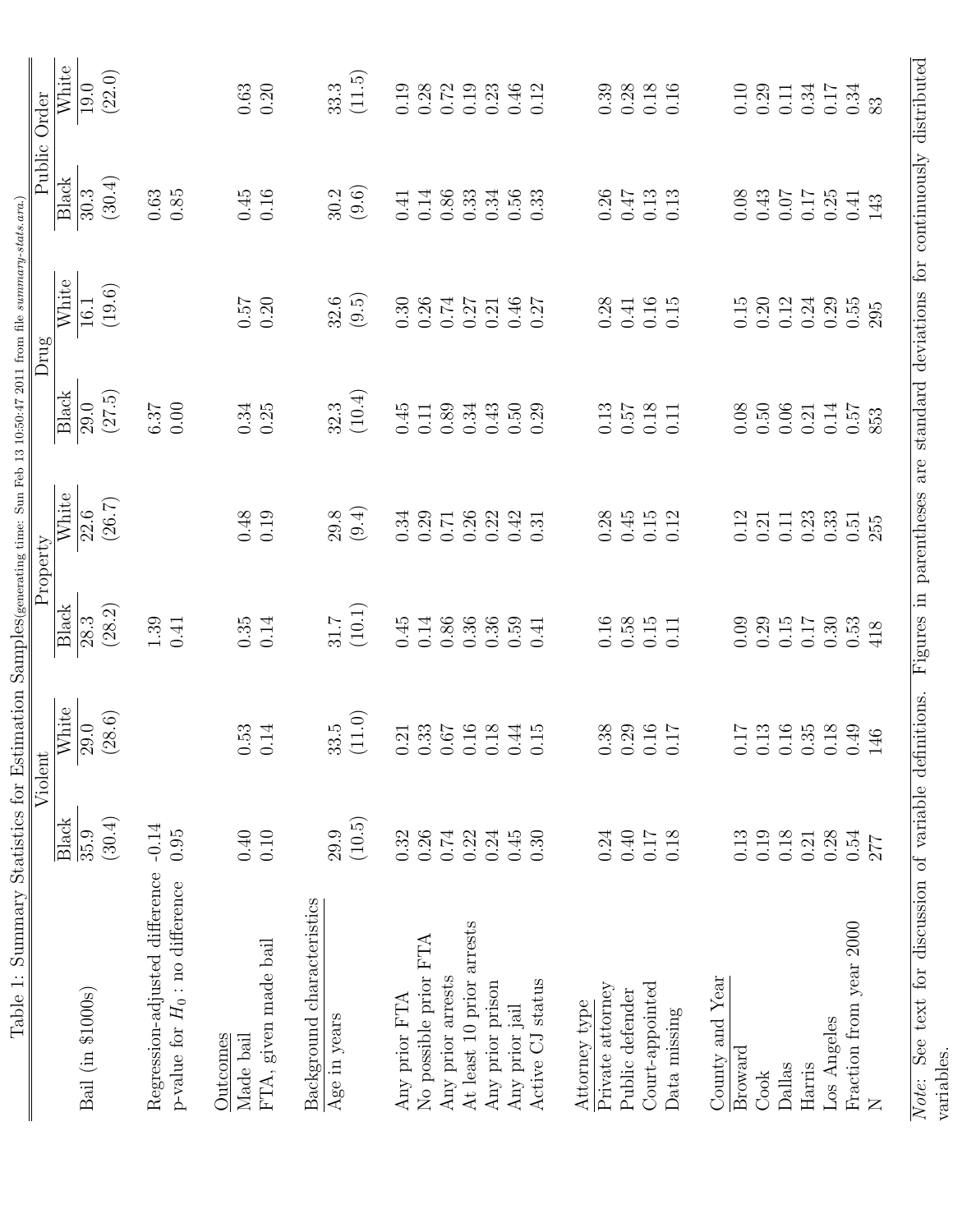| Table 1: Summary Statistics for Estimation Samples(generating time: Sun Feb 13 10:50:47 2011 from file summary-stats.ara.) |                         | Violent                              |                                             | Property                                                                    |                                             | Drug                                        |                                                     | Public Order                                        |
|----------------------------------------------------------------------------------------------------------------------------|-------------------------|--------------------------------------|---------------------------------------------|-----------------------------------------------------------------------------|---------------------------------------------|---------------------------------------------|-----------------------------------------------------|-----------------------------------------------------|
| Bail (in \$1000s)                                                                                                          | Black<br>(30.4)<br>35.9 | White<br>(38.6)<br>$\overline{29.0}$ | $\overline{\text{Black}}$<br>(28.2)<br>28.3 | White<br>(26.7)<br>$\overline{22.6}$                                        | $\overline{\text{Black}}$<br>(27.5)<br>29.0 | $\overline{\text{White}}$<br>(19.6)<br>16.1 | $\overline{\text{Black}}$<br>(30.4)<br>30.3         | White<br>(22.0)<br>$19.0\,$                         |
| Regression-adjusted difference<br>p-value for $H_0$ : no difference                                                        | $-0.14$<br>0.95         |                                      | $1.39\,$<br>0.41                            |                                                                             | $0.00$<br>6.37                              |                                             | 0.63<br>0.85                                        |                                                     |
| FTA, given made bail<br>Outcomes<br>Made bail                                                                              | $0.40\,$<br>0.10        | $0.53$<br>$0.14$                     | 0.14<br>0.35                                | $0.48$<br>0.19                                                              | $0.34$<br>$0.25$                            | $0.57$ $0.20$                               | $\begin{array}{c} 0.45 \\ 0.16 \end{array}$         | 0.20<br>$\,0.63\,$                                  |
| Background characteristics<br>Age in years                                                                                 | (10.5)<br>29.9          | (11.0)<br>$33.\overline{5}$          | $(10.1)$<br>$31.7\,$                        | (9.4)<br>29.8                                                               | $(10.4)$<br>32.3                            | (9.5)<br>32.6                               | (9.6)<br>30.2                                       | (11.5)<br>33.3                                      |
| Any prior FTA                                                                                                              | 0.32                    |                                      | 0.45                                        | 0.34                                                                        | 0.45                                        | 0.30                                        | 0.41                                                | 0.19                                                |
| No possible prior FTA                                                                                                      | 0.26                    | $\frac{21}{1.33}$                    | 0.14                                        | 0.29                                                                        | $0.11\,$                                    | 0.26                                        | $0.14\,$                                            | 0.28                                                |
| Any prior arrests                                                                                                          | 0.74                    |                                      | $0.86\,$                                    | 0.71                                                                        | 0.89                                        | 0.74                                        |                                                     | 0.72                                                |
| At least 10 prior arrests                                                                                                  | 0.22                    | 0.16                                 | 0.36                                        | 0.26                                                                        | 0.34                                        | 0.27                                        | $\frac{0.86}{0.33}$                                 | $0.19\,$                                            |
| Any prior prison                                                                                                           | 0.24                    |                                      | 0.36                                        | 0.22                                                                        | 0.43                                        | 0.21                                        |                                                     | 0.23                                                |
| Any prior jail                                                                                                             | 0.45                    | 0.18<br>0.44                         | $0.59\,$                                    | 0.42                                                                        | $0.50\,$                                    | $0.46\,$                                    | $0.34$<br>$0.56$<br>$0.33$                          | $0.46$<br>$0.12$                                    |
| Active CJ status                                                                                                           | 0.30                    |                                      | 0.41                                        | 0.31                                                                        | 0.29                                        | 0.27                                        |                                                     |                                                     |
| Private attorney<br>Attorney type                                                                                          | 0.24                    |                                      | 0.16                                        | 0.28                                                                        |                                             | 0.28                                        |                                                     |                                                     |
| Public defender                                                                                                            | $0.40$                  |                                      |                                             | 0.45                                                                        | $0.13$<br>$0.57$                            | 0.41                                        |                                                     |                                                     |
| Court-appointed                                                                                                            | 0.17                    | 0.38<br>0.29<br>0.16                 | $\begin{array}{c} 0.58 \\ 0.15 \end{array}$ | 0.15                                                                        | 0.18                                        | $0.16$<br>$0.15$                            | $\begin{array}{c} 0.26 \\ 0.47 \\ 0.13 \end{array}$ | $\begin{array}{c} 0.39 \\ 0.28 \\ 0.16 \end{array}$ |
| Data missing                                                                                                               | 0.18                    |                                      | 0.11                                        | 0.12                                                                        | 0.11                                        |                                             | 0.13                                                |                                                     |
| County and Year                                                                                                            |                         |                                      |                                             |                                                                             |                                             |                                             |                                                     |                                                     |
| Broward                                                                                                                    | 0.13                    | 117                                  | 0.09                                        | $\!0.12$                                                                    | $0.08\,$                                    | 0.15                                        | $0.08\,$                                            | $0.10\,$                                            |
| Cook                                                                                                                       | 0.19                    | 0.13                                 | 0.29                                        | 0.21                                                                        | 0.50                                        | 0.20                                        | 0.43                                                | 0.29                                                |
| Dallas                                                                                                                     | 0.18                    |                                      | 0.15                                        | 0.11                                                                        | 0.06                                        | 0.12                                        | 0.07                                                | 0.11                                                |
| Harris                                                                                                                     | 0.21                    | 0.16<br>0.35<br>0.18                 | 0.17                                        | 0.23                                                                        | 0.21                                        | 0.24                                        | 0.17                                                | 0.34                                                |
| Los Angeles                                                                                                                | 0.28                    |                                      | 0.30                                        | 0.33                                                                        | 0.14                                        | 0.29                                        |                                                     | $0.17\,$                                            |
| Fraction from year 2000                                                                                                    | 0.54                    |                                      | 0.53                                        | 0.51                                                                        | 0.57                                        | 0.55                                        | $0.25$<br>$0.41$                                    | 0.34                                                |
| $\overline{Z}$                                                                                                             | 277                     | 46                                   | 418                                         | 255                                                                         | 853                                         | 295                                         | 143                                                 | 83                                                  |
| See text for discussion of variable definitions.<br>variables.<br>Note:                                                    |                         |                                      |                                             | Figures in parentheses are standard deviations for continuously distributed |                                             |                                             |                                                     |                                                     |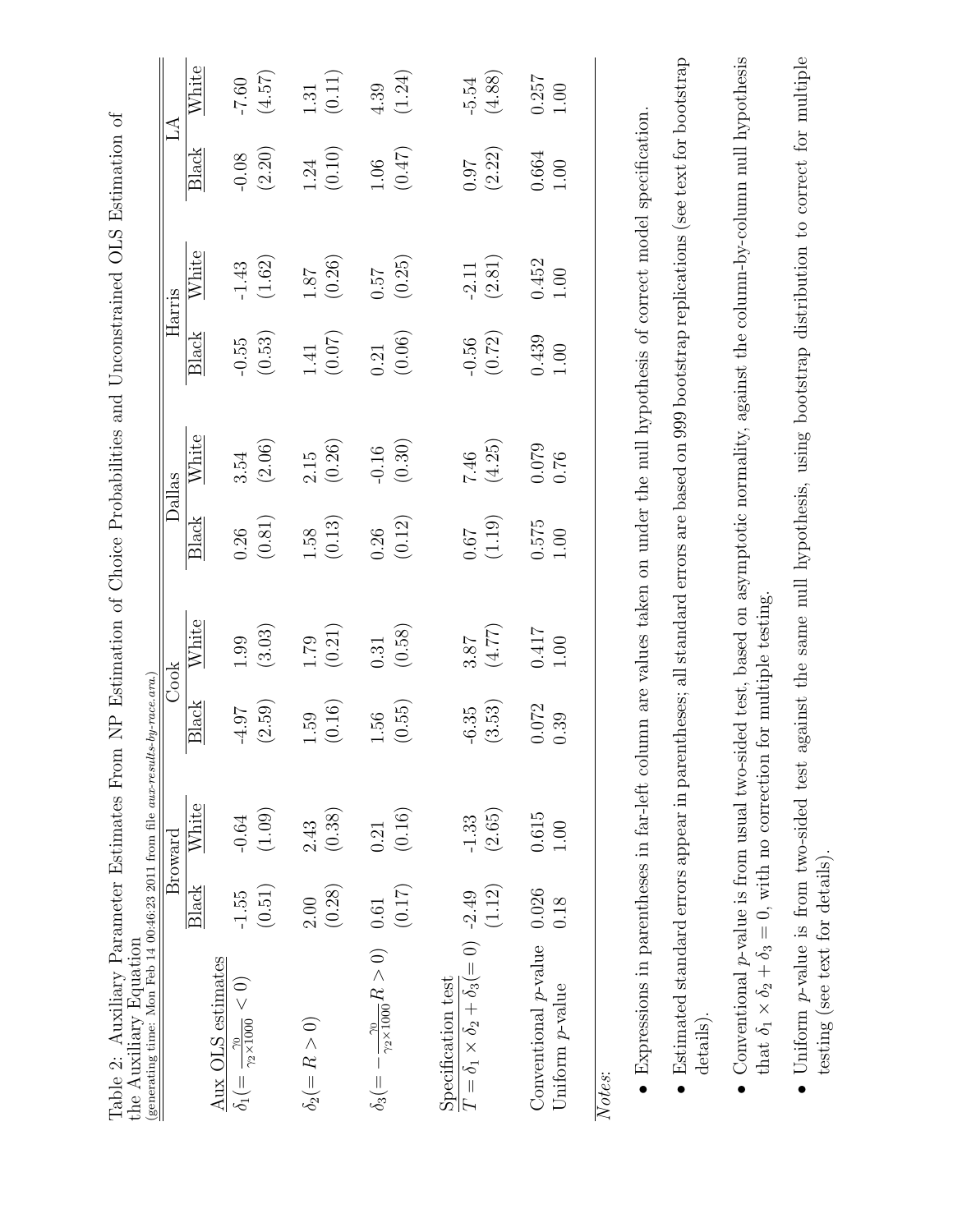| ľ.                                                                                                                                          |                                                                                                                                                                                                                                                                                                                                       |
|---------------------------------------------------------------------------------------------------------------------------------------------|---------------------------------------------------------------------------------------------------------------------------------------------------------------------------------------------------------------------------------------------------------------------------------------------------------------------------------------|
| )<br> <br> <br>-<br>3<br>3                                                                                                                  |                                                                                                                                                                                                                                                                                                                                       |
| (<br>ር<br>ים המותמ<br>)<br>)<br>)<br>)                                                                                                      |                                                                                                                                                                                                                                                                                                                                       |
| <br> <br> <br> <br>$\begin{array}{c} \begin{array}{c} \begin{array}{c} \end{array} \\ \begin{array}{c} \end{array} \end{array} \end{array}$ |                                                                                                                                                                                                                                                                                                                                       |
| <br> <br> <br> <br>ļ<br>ļ<br>ļ<br>١<br>्र                                                                                                   |                                                                                                                                                                                                                                                                                                                                       |
| <br> >>>><br>しょうさく<br>ש ידיי הורותיו                                                                                                        | $\mathcal{L} = \mathbf{R} \mathbf{I}$ . The contract of $\mathbf{R}$ is the contract of $\mathbf{R}$ is the contract of $\mathbf{R}$ is the contract of $\mathbf{R}$ is the contract of $\mathbf{R}$ is the contract of $\mathbf{R}$ is the contract of $\mathbf{R}$ is t<br>くろく・キャー・スー コー・クライ<br>ļ<br>.<br>וויווי נוב<br>,,,,,,,,,,, |
| ゴリーン<br>֖֖֖֚֚֚֚֡֝֬<br>֧֚֚֚֝<br>$\overline{\mathbf{r}}$<br>ĺ<br>l                                                                            | ם<br>ם<br>)<br> <br>                                                                                                                                                                                                                                                                                                                  |

|                                                                                                                               |         | Broward           |                   | Cook           | Dallas           |                |                     | Harris            | $\Delta$             |                   |
|-------------------------------------------------------------------------------------------------------------------------------|---------|-------------------|-------------------|----------------|------------------|----------------|---------------------|-------------------|----------------------|-------------------|
|                                                                                                                               | Black   | White             | Black             | White          | Black            | White          | <b>Black</b>        | White             | Black                | White             |
| Aux OLS estimates<br>$\delta_1(=\frac{\gamma_0}{\gamma_2\times 1000}<0)$                                                      | $-1.55$ | $-0.64$           | $-4.97$           | 1.99           | 0.26             | 3.54           | $-0.55$             | $-1.43$           | $-0.08$              | $-7.60$           |
|                                                                                                                               | (0.51)  | (1.09)            | (2.59)            | (3.03)         | (0.81)           | (2.06)         | $\left(0.53\right)$ | (1.62)            | $(2.20)$             | (4.57)            |
| $\delta_2(=R>0)$                                                                                                              | 2.00    | 2.43              | 1.59              | 1.79           | 1.58             | 2.15           | 1.41                | 1.87              | 1.24                 | 1.31              |
|                                                                                                                               | (0.28)  | (0.38)            | (0.16)            | (0.21)         | (0.13)           | (0.26)         | (0.07)              | (0.26)            | (0.10)               | (0.11)            |
| $\delta_3(=-\frac{\gamma_0}{\gamma_2\times 1000}R>0)$ 0.61                                                                    |         | 0.21              | 1.56              | 0.31           | 0.26             | $-0.16$        | 0.21                | 75.0              | 1.06                 | 4.39              |
|                                                                                                                               | (0.17)  | (0.16)            | (0.55)            | (0.58)         | (0.12)           | (0.30)         | (0.06)              | (0.25)            | $(0.47)$             | (1.24)            |
| Specification test                                                                                                            |         |                   |                   |                |                  |                |                     |                   |                      |                   |
| $T = \delta_1 \times \delta_2 + \delta_3 (= 0)$ -2.49                                                                         | (1.12)  | (2.65)<br>$-1.33$ | (3.53)<br>$-6.35$ | (4.77)<br>3.87 | (1.19)<br>$79.0$ | (4.25)<br>7.46 | (0.72)<br>$-0.56$   | (2.81)<br>$-2.11$ | (2.22)<br><b>160</b> | (4.88)<br>$-5.54$ |
| Conventional $p$ -value $0.026$                                                                                               |         | 0.615             | 0.072             | 0.417          | 0.575            | 0.079          | 0.439               | 0.452             | 0.664                | 0.257             |
| Uniform <i>p</i> -value                                                                                                       | 0.18    | 1.00              | 0.39              | 1.00           | 1.00             | 0.76           | 1.00                | 1.00              | 1.00                 | 1.00              |
| Notes:                                                                                                                        |         |                   |                   |                |                  |                |                     |                   |                      |                   |
| • Expressions in parentheses in far-left column are values taken on under the null hypothesis of correct model specification. |         |                   |                   |                |                  |                |                     |                   |                      |                   |

 Expressions in parentheses in far-left column are values taken on under the null hypothesis of correct model specification. ۲<br>د

- Estimated standard errors appear in parentheses; all standard errors are based on 999 bootstrap replications (see text for bootstrap Estimated standard errors appear in parentheses; all standard errors are based on 999 bootstrap replications (see text for bootstrap details).
- Conventional  $p$ -value is from usual two-sided test, based on asymptotic normality, against the column-by-column null hypothesis Conventional p-value is from usual two-sided test, based on asymptotic normality, against the column-by-column null hypothesis that  $\delta_1 \times$  $\delta_2$  +  $\delta_3 = 0$ , with no correction for multiple testing.
- $\bullet$  Uniform p-value is from two-sided test against the same null hypothesis, using bootstrap distribution to correct for multiple testing (see text for details).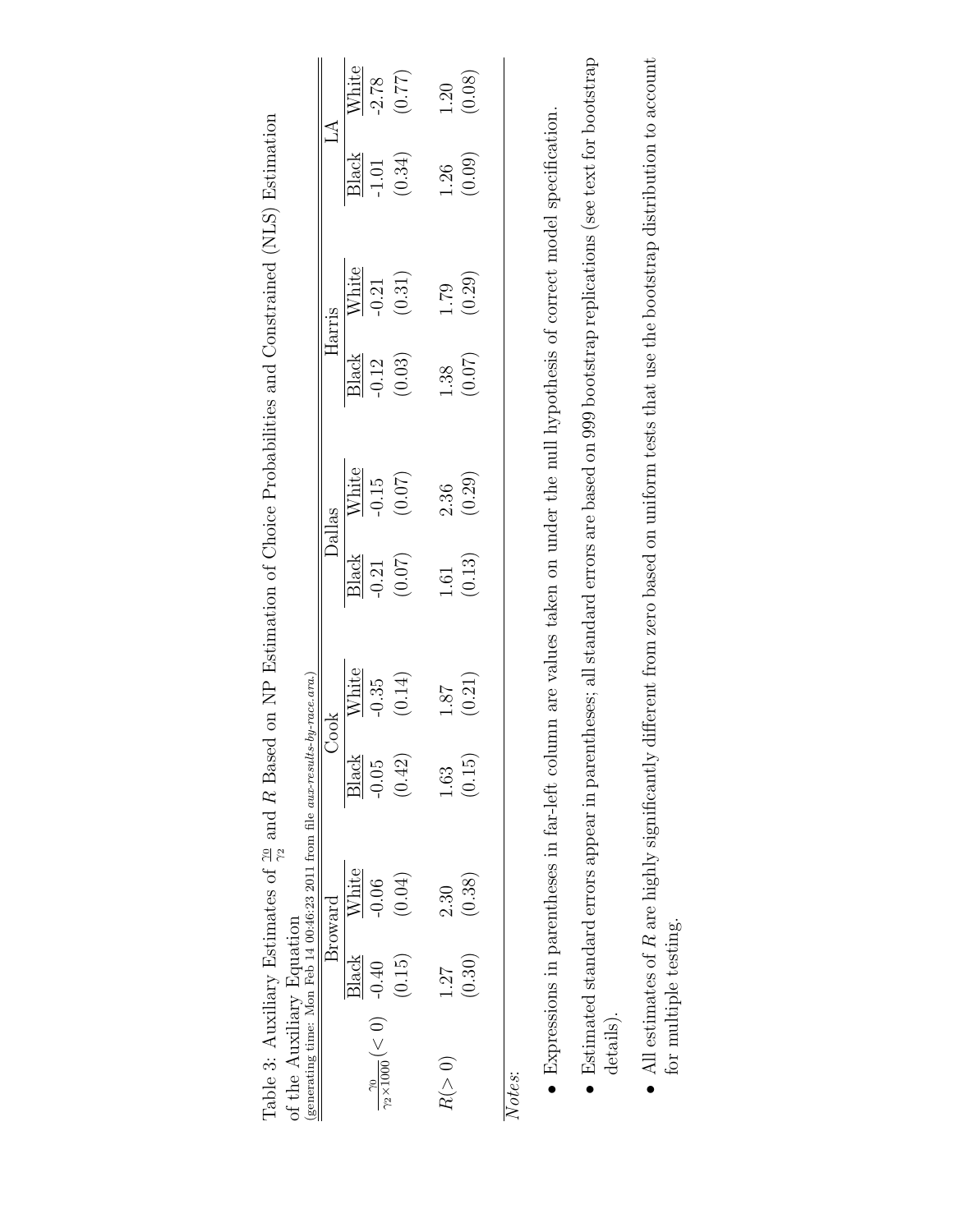| generating time: Mon Feb 14 00:46:23 2011 from file aux-resul<br>of the Auxiliary Equation<br>$\frac{20}{22 \times 1000} (< 0)$ - 0.40 | <b>Black</b> | $\frac{\text{White}}{\text{-0.06}}$<br>Broward | <b>Black</b><br>$-0.05$ | $\begin{array}{c}\n\hline\n\text{White} \\ \hline\n0.35 \\ (0.14)\n\end{array}$<br>:s-by-race.ara.) | $\begin{tabular}{c} \hline \textbf{Dallas} \\ \hline \textbf{Black} \\ \hline \textbf{0.21} \\ \textbf{-0.21} \\ \end{tabular}$ | $\frac{\overline{\text{White}}}{-0.15}$<br>(0.07) | $\begin{tabular}{c} \hline\hline\text{Harris} \\ \hline \text{Black} \\ \hline \text{12} \\ \text{-0.12} \\ \text{(0.03)} \\ \hline \end{tabular}$ | $\frac{\overline{\text{White}}}{-0.21}$<br>(0.31) | $\tilde{L} \tilde{A}$<br>Black<br>1.01<br>(0.34) | $\frac{\text{White}}{\text{-2.78}}$<br>(0.77) |
|----------------------------------------------------------------------------------------------------------------------------------------|--------------|------------------------------------------------|-------------------------|-----------------------------------------------------------------------------------------------------|---------------------------------------------------------------------------------------------------------------------------------|---------------------------------------------------|----------------------------------------------------------------------------------------------------------------------------------------------------|---------------------------------------------------|--------------------------------------------------|-----------------------------------------------|
|                                                                                                                                        | (0.15)       | (0.04)                                         | (0.42)                  |                                                                                                     |                                                                                                                                 |                                                   |                                                                                                                                                    |                                                   |                                                  |                                               |
| R (> 0)                                                                                                                                | 1.27         | 2.30                                           | 1.63                    | 18.1                                                                                                | $1.61$<br>(0.13)                                                                                                                | $2.36$<br>(0.29)                                  | $1.38$<br>(0.07)                                                                                                                                   | $1.79$<br>(0.29)                                  | $1.26$<br>(0.09)                                 | $1.20$<br>(0.08)                              |
| 'otes                                                                                                                                  | (0.30)       | (0.38)                                         | (0.15)                  | 0.21                                                                                                |                                                                                                                                 |                                                   |                                                                                                                                                    |                                                   |                                                  |                                               |

Table 3: Auxiliary Estimates of  $\frac{10}{\gamma_2}$  and R Based on NP Estimation of Choice Probabilities and Constrained (NLS) Estimation of the Auxilian Constrained (NLS) Estimation Table 3: Auxiliary Estimates of  $\frac{\gamma_0}{\gamma_2}$  and R Based on NP Estimation of Choice Probabilities and Constrained (NLS) Estimation  $\epsilon$ .  $\ddot{t}$ 

 $\aleph$ 

- Expressions in parentheses in far-left column are values taken on under the null hypothesis of correct model specification. Expressions in parentheses in far-left column are values taken on under the null hypothesis of correct model specification.
- Estimated standard errors appear in parentheses; all standard errors are based on 999 bootstrap replications (see text for bootstrap Estimated standard errors appear in parentheses; all standard errors are based on 999 bootstrap replications (see text for bootstrap details).
- $\bullet$  All estimates of R are highly significantly different from zero based on uniform tests that use the bootstrap distribution to account  $\bullet$  All estimates of R are highly significantly different from zero based on uniform tests that use the bootstrap distribution to account for multiple testing. for multiple testing.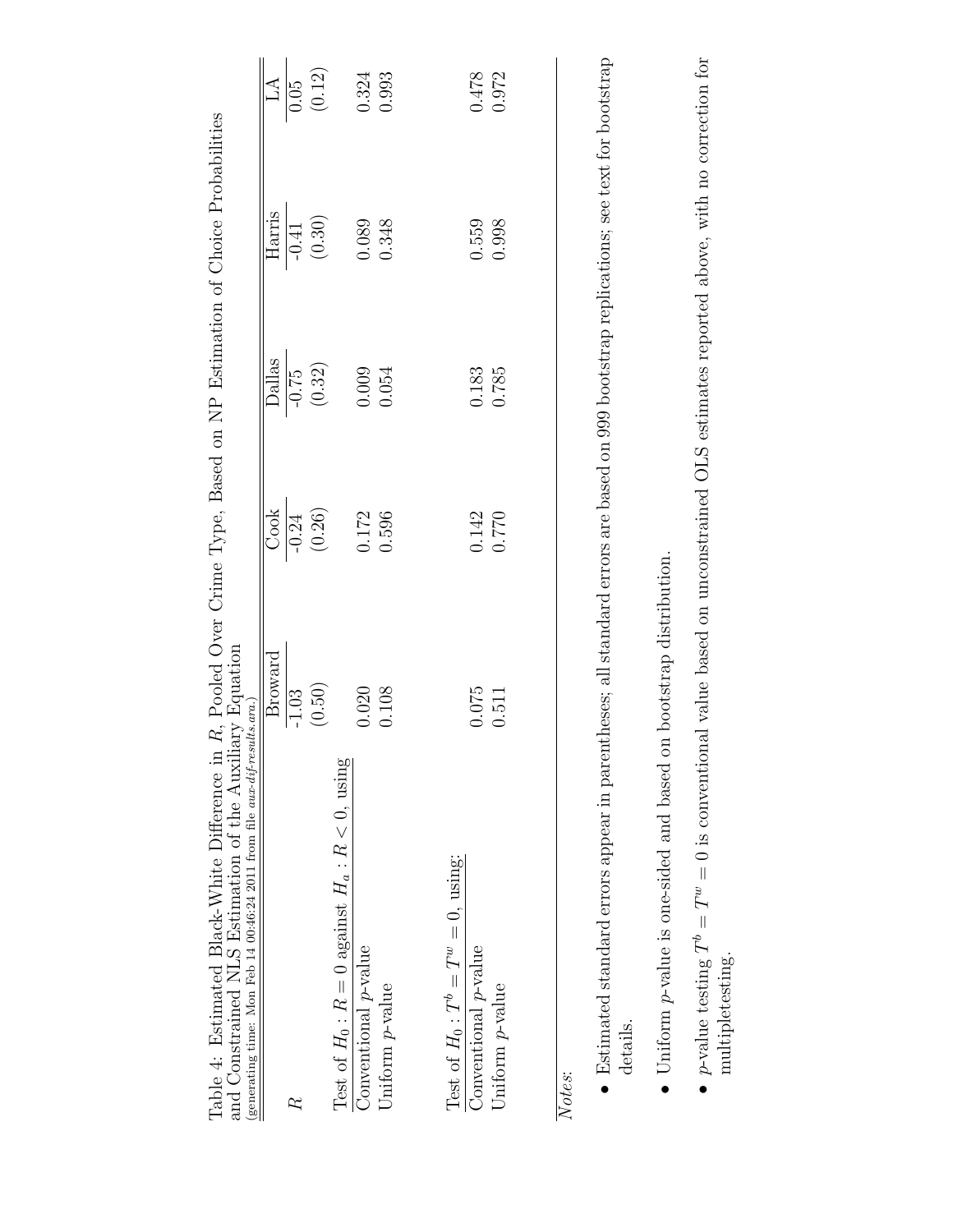| Table 4: Estimated Black-White Difference in R, Pooled Over Crime Type, Based on NP Estimation of Choice Probabilities<br>and Constrained NLS Estimation of the Auxiliary Equation<br>(generating time: Mon Feb 14 00:46:24 2011 from file aux-dif-results.ara.) |         |         |               |         |                  |
|------------------------------------------------------------------------------------------------------------------------------------------------------------------------------------------------------------------------------------------------------------------|---------|---------|---------------|---------|------------------|
|                                                                                                                                                                                                                                                                  | Broward | Cook    | <b>Dallas</b> | Harris  | $\Delta$         |
|                                                                                                                                                                                                                                                                  | $-1.03$ | $-0.24$ | $-0.75$       | $-0.41$ | $\frac{60}{100}$ |
|                                                                                                                                                                                                                                                                  | (0.50)  | (0.26)  | (0.32)        | (0.30)  | (0.12)           |
| Test of $H_0: R = 0$ against $H_a: R < 0$ , using                                                                                                                                                                                                                |         |         |               |         |                  |
| Conventional <i>p</i> -value                                                                                                                                                                                                                                     | 0.020   | 0.172   | 0.009         | 0.089   | 0.324            |
| Uniform $p$ -value                                                                                                                                                                                                                                               | 0.108   | 0.596   | 0.054         | 0.348   | 0.993            |
| Test of $H_0: T^b = T^w = 0$ , using:<br>Conventional <i>p</i> -value                                                                                                                                                                                            | 0.075   | 0.142   | 0.183         | 0.559   | 0.478            |
| Uniform $p$ -value                                                                                                                                                                                                                                               | 0.511   | 0.770   | 0.785         | 0.998   | 0.972            |
| Notes:                                                                                                                                                                                                                                                           |         |         |               |         |                  |
| $\bullet$ Estimated standard errors appear in parentheses; all standard errors are based on 999 bootstrap replications; see text for bootstrap<br>details.                                                                                                       |         |         |               |         |                  |
| $\begin{bmatrix} 1 & 1 \\ 1 & 1 \end{bmatrix}$<br>$\ddot{\cdot}$                                                                                                                                                                                                 |         |         |               |         |                  |

- 
- Uniform  $p$ -value is one-sided and based on bootstrap distribution. Uniform p-value is one-sided and based on bootstrap distribution.
- *p*-value testing  $T^b = T^w = 0$  is conventional value based on unconstrained OLS estimates reported above, with no correction for •  $p$ -value testing  $T^b = T^w = 0$  is conventional value based on unconstrained OLS estimates reported above, with no correction for multipletesting. multipletesting.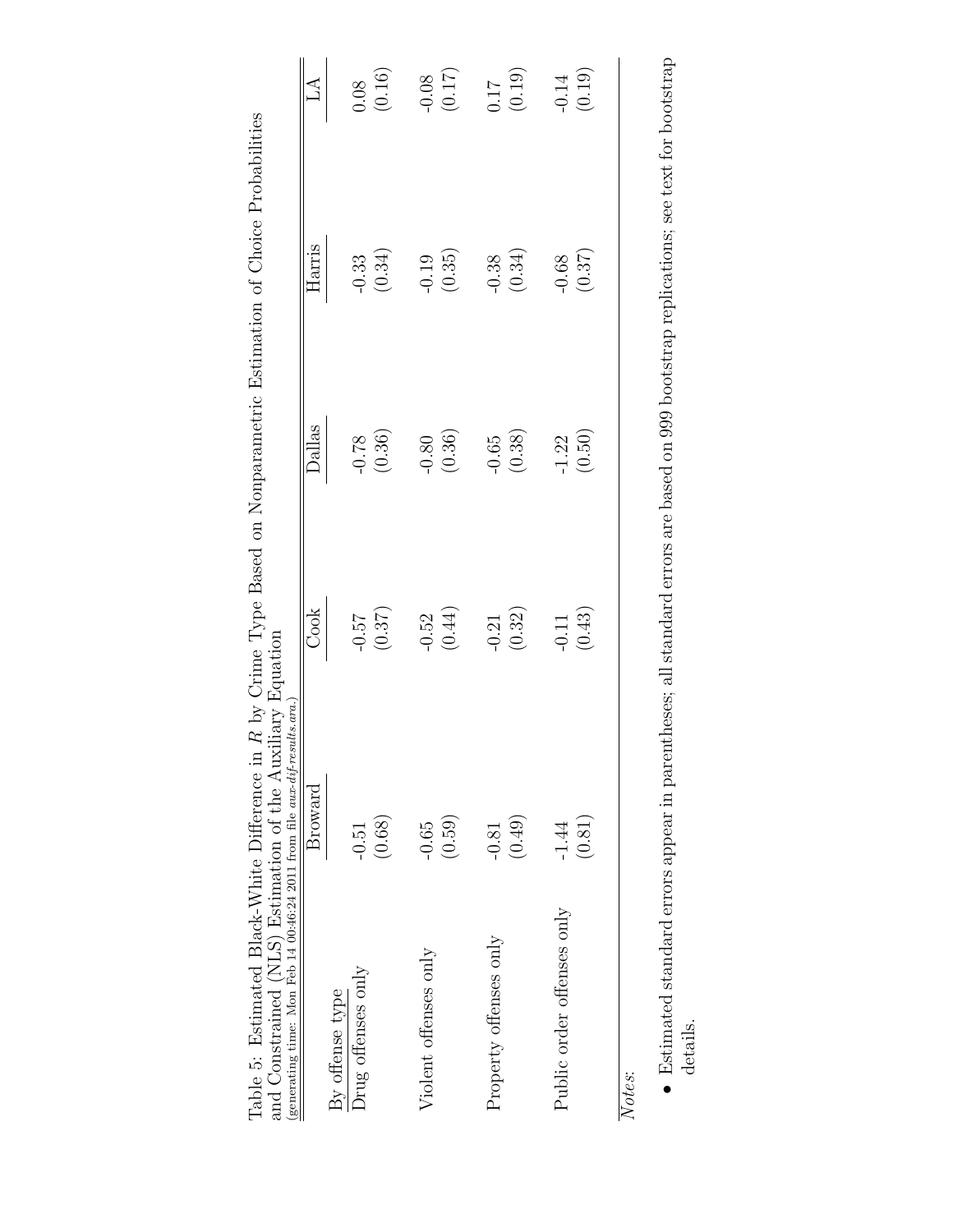| and Constrained (NLS) Estimation of the Auxiliary Equation<br>(generating time: Mon Feb 14 00:46:24 2011 from file aux-dif-results.ara.) |         |                   |                     |                   |                   |
|------------------------------------------------------------------------------------------------------------------------------------------|---------|-------------------|---------------------|-------------------|-------------------|
|                                                                                                                                          | Broward | Cook              | Dallas              | Harris            | $\Delta$          |
| By offense type                                                                                                                          |         |                   |                     |                   |                   |
| Drug offenses only                                                                                                                       | $-0.51$ |                   |                     | $-0.33$           |                   |
|                                                                                                                                          | (0.68)  | (0.37)            | (0.36)              | (0.34)            | (0.16)            |
| Violent offenses only                                                                                                                    | $-0.65$ |                   |                     |                   |                   |
|                                                                                                                                          | (0.59)  | $-0.52$<br>(0.44) | $-0.80$<br>(0.36)   | $-0.19$<br>(0.35) | (0.17)            |
| Property offenses only                                                                                                                   | $-0.81$ |                   |                     |                   |                   |
|                                                                                                                                          | (0.49)  | $-0.21$<br>(0.32) | $-0.65$<br>$(0.38)$ | $-0.38$<br>(0.34) | (61.0)            |
| Public order offenses only                                                                                                               | $-1.44$ |                   | $-1.22$             |                   |                   |
|                                                                                                                                          | (0.81)  | $-0.11$<br>(0.43) | (0.50)              | (0.37)            | $-0.14$<br>(0.19) |
| Notes:                                                                                                                                   |         |                   |                     |                   |                   |

Table 5: Estimated Black-White Difference in R by Crime Type Based on Nonparametric Estimation of Choice Probabilities Table 5: Estimated Black-White Difference in R by Crime Type Based on Nonparametric Estimation of Choice Probabilities

• Estimated standard errors appear in parentheses; all standard errors are based on 999 bootstrap replications; see text for bootstrap details.